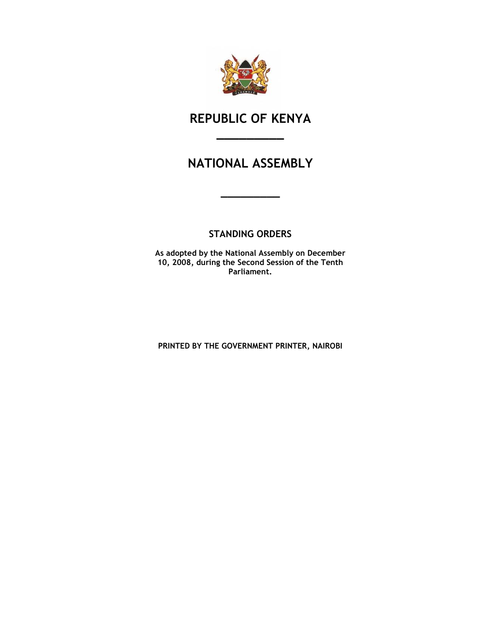

# REPUBLIC OF KENYA

\_\_\_\_\_\_\_\_\_

# NATIONAL ASSEMBLY

\_\_\_\_\_\_\_\_\_

# STANDING ORDERS

As adopted by the National Assembly on December 10, 2008, during the Second Session of the Tenth Parliament.

PRINTED BY THE GOVERNMENT PRINTER, NAIROBI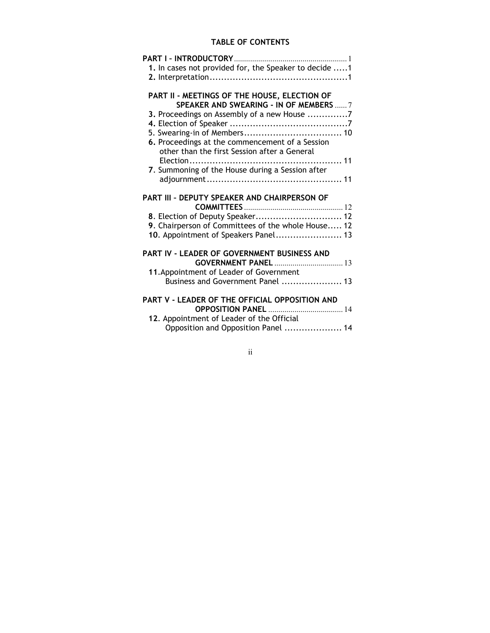# TABLE OF CONTENTS

| PART I - INTRODUCTORY<br>. 1                                                     |
|----------------------------------------------------------------------------------|
| 1. In cases not provided for, the Speaker to decide 1                            |
|                                                                                  |
|                                                                                  |
| PART II - MEETINGS OF THE HOUSE, ELECTION OF                                     |
| SPEAKER AND SWEARING - IN OF MEMBERS  7                                          |
| 3. Proceedings on Assembly of a new House 7                                      |
|                                                                                  |
|                                                                                  |
| 6. Proceedings at the commencement of a Session                                  |
| other than the first Session after a General                                     |
|                                                                                  |
| 7. Summoning of the House during a Session after                                 |
|                                                                                  |
|                                                                                  |
| PART III - DEPUTY SPEAKER AND CHAIRPERSON OF                                     |
|                                                                                  |
|                                                                                  |
| 8. Election of Deputy Speaker 12                                                 |
| 9. Chairperson of Committees of the whole House 12                               |
| 10. Appointment of Speakers Panel 13                                             |
|                                                                                  |
| PART IV - LEADER OF GOVERNMENT BUSINESS AND                                      |
| <b>GOVERNMENT PANEL  13</b>                                                      |
| 11. Appointment of Leader of Government                                          |
| Business and Government Panel  13                                                |
|                                                                                  |
| PART V - LEADER OF THE OFFICIAL OPPOSITION AND                                   |
|                                                                                  |
| 12. Appointment of Leader of the Official<br>Opposition and Opposition Panel  14 |

ii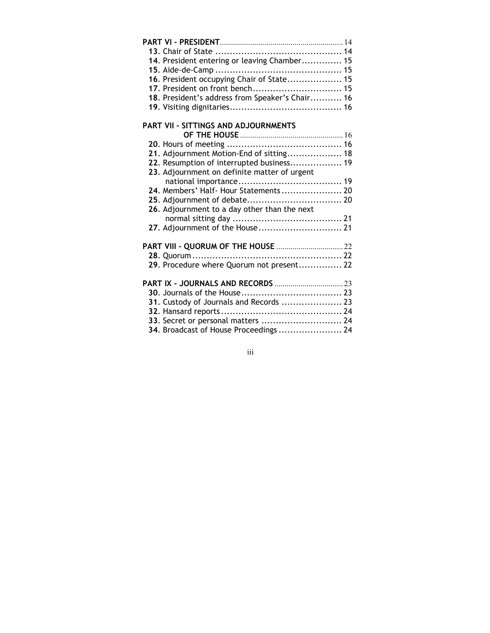| 14. President entering or leaving Chamber 15    |  |
|-------------------------------------------------|--|
| 16. President occupying Chair of State 15       |  |
| 17. President on front bench 15                 |  |
| 18. President's address from Speaker's Chair 16 |  |
|                                                 |  |
| <b>PART VII - SITTINGS AND ADJOURNMENTS</b>     |  |
|                                                 |  |
| 21. Adjournment Motion-End of sitting 18        |  |
| 22. Resumption of interrupted business 19       |  |
| 23. Adjournment on definite matter of urgent    |  |
|                                                 |  |
| 24. Members' Half- Hour Statements 20           |  |
|                                                 |  |
| 26. Adjournment to a day other than the next    |  |
|                                                 |  |
| 27. Adjournment of the House 21                 |  |
|                                                 |  |
|                                                 |  |
| 29. Procedure where Quorum not present 22       |  |
|                                                 |  |
|                                                 |  |
| 31. Custody of Journals and Records  23         |  |
|                                                 |  |
| 33. Secret or personal matters  24              |  |
| 34. Broadcast of House Proceedings  24          |  |

iii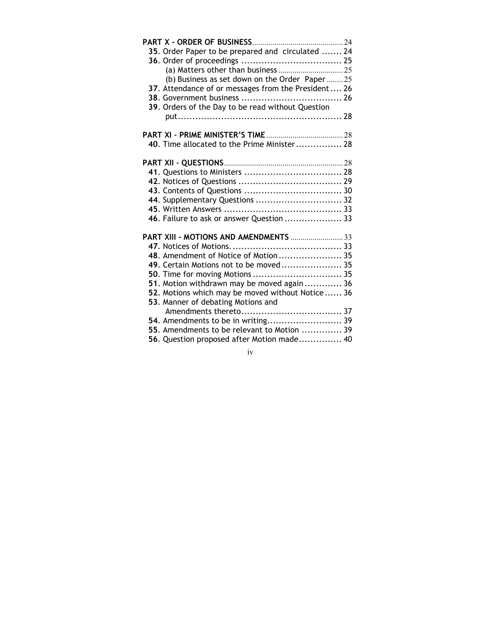| 35. Order Paper to be prepared and circulated  24    |
|------------------------------------------------------|
|                                                      |
|                                                      |
| (b) Business as set down on the Order Paper25        |
| 37. Attendance of or messages from the President  26 |
|                                                      |
| 39. Orders of the Day to be read without Question    |
|                                                      |
|                                                      |
|                                                      |
| 40. Time allocated to the Prime Minister 28          |
|                                                      |
|                                                      |
|                                                      |
|                                                      |
|                                                      |
| 44. Supplementary Questions  32                      |
|                                                      |
| 46. Failure to ask or answer Question  33            |
|                                                      |
| PART XIII - MOTIONS AND AMENDMENTS  33               |
|                                                      |
| 48. Amendment of Notice of Motion 35                 |
| 49. Certain Motions not to be moved 35               |
|                                                      |
| 51. Motion withdrawn may be moved again 36           |
| 52. Motions which may be moved without Notice 36     |
| 53. Manner of debating Motions and                   |
|                                                      |
|                                                      |
| 55. Amendments to be relevant to Motion  39          |
| 56. Question proposed after Motion made 40           |

iv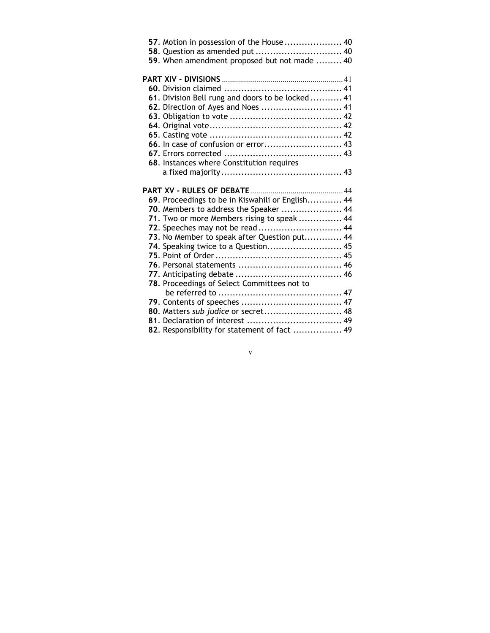| 57. Motion in possession of the House 40          |  |
|---------------------------------------------------|--|
|                                                   |  |
| 59. When amendment proposed but not made  40      |  |
|                                                   |  |
|                                                   |  |
| 61. Division Bell rung and doors to be locked  41 |  |
| 62. Direction of Ayes and Noes  41                |  |
|                                                   |  |
|                                                   |  |
|                                                   |  |
|                                                   |  |
|                                                   |  |
| 68. Instances where Constitution requires         |  |
|                                                   |  |
|                                                   |  |
| 69. Proceedings to be in Kiswahili or English 44  |  |
| 70. Members to address the Speaker  44            |  |
| 71. Two or more Members rising to speak  44       |  |
| 72. Speeches may not be read  44                  |  |
| 73. No Member to speak after Question put 44      |  |
| 74. Speaking twice to a Question 45               |  |
|                                                   |  |
|                                                   |  |
|                                                   |  |
| 78. Proceedings of Select Committees not to       |  |
|                                                   |  |
|                                                   |  |
|                                                   |  |
|                                                   |  |
| 80. Matters sub judice or secret 48               |  |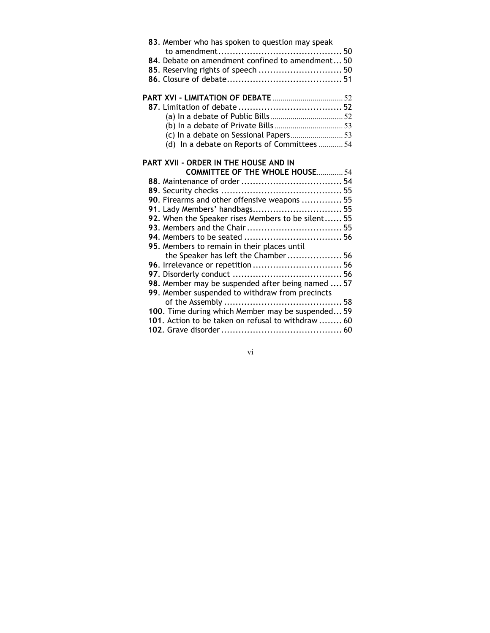| 83. Member who has spoken to question may speak<br>84. Debate on amendment confined to amendment 50<br>85. Reserving rights of speech  50 |
|-------------------------------------------------------------------------------------------------------------------------------------------|
|                                                                                                                                           |
|                                                                                                                                           |
|                                                                                                                                           |
|                                                                                                                                           |
| (d) In a debate on Reports of Committees  54                                                                                              |
|                                                                                                                                           |
| PART XVII - ORDER IN THE HOUSE AND IN                                                                                                     |
| <b>COMMITTEE OF THE WHOLE HOUSE 54</b>                                                                                                    |
|                                                                                                                                           |
|                                                                                                                                           |
| 90. Firearms and other offensive weapons  55                                                                                              |
| 91. Lady Members' handbags 55                                                                                                             |
| 92. When the Speaker rises Members to be silent 55                                                                                        |
|                                                                                                                                           |
|                                                                                                                                           |
| 95. Members to remain in their places until                                                                                               |
| the Speaker has left the Chamber 56                                                                                                       |
|                                                                                                                                           |
|                                                                                                                                           |
| 98. Member may be suspended after being named  57                                                                                         |
| 99. Member suspended to withdraw from precincts                                                                                           |
|                                                                                                                                           |
| 100. Time during which Member may be suspended 59                                                                                         |
| 101. Action to be taken on refusal to withdraw  60                                                                                        |
|                                                                                                                                           |

vi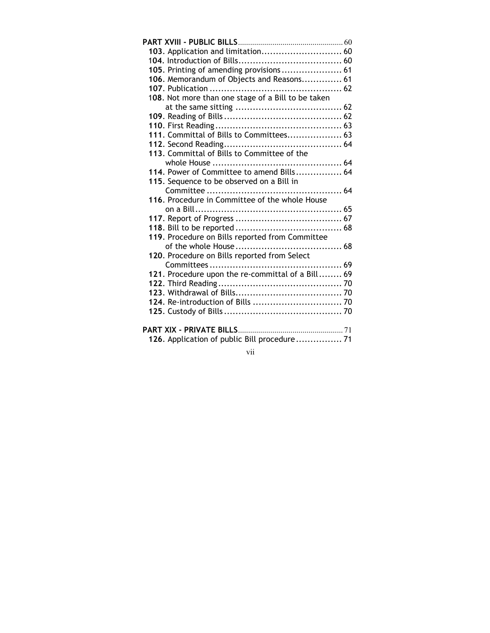| 103. Application and limitation 60                 |
|----------------------------------------------------|
|                                                    |
| 105. Printing of amending provisions 61            |
| 106. Memorandum of Objects and Reasons 61          |
|                                                    |
| 108. Not more than one stage of a Bill to be taken |
|                                                    |
|                                                    |
|                                                    |
| 111. Committal of Bills to Committees 63           |
|                                                    |
| 113. Committal of Bills to Committee of the        |
|                                                    |
| 114. Power of Committee to amend Bills 64          |
| 115. Sequence to be observed on a Bill in          |
|                                                    |
| 116. Procedure in Committee of the whole House     |
|                                                    |
|                                                    |
|                                                    |
| 119. Procedure on Bills reported from Committee    |
|                                                    |
| 120. Procedure on Bills reported from Select       |
| 121. Procedure upon the re-committal of a Bill 69  |
|                                                    |
|                                                    |
|                                                    |
|                                                    |
|                                                    |
|                                                    |
| 126. Application of public Bill procedure 71       |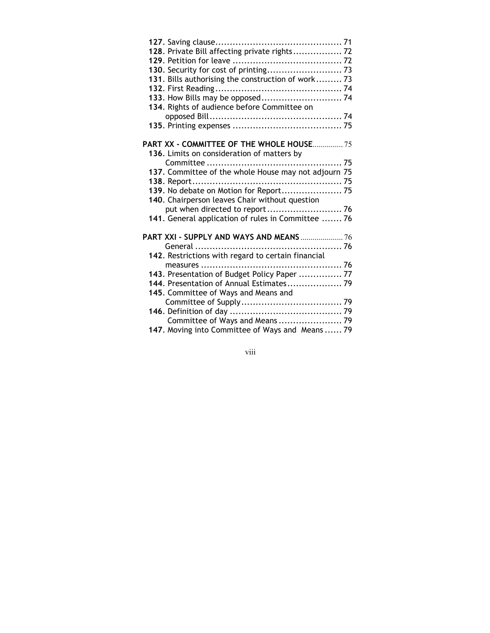| 128. Private Bill affecting private rights 72        |
|------------------------------------------------------|
|                                                      |
|                                                      |
| 131. Bills authorising the construction of work 73   |
|                                                      |
|                                                      |
| 134. Rights of audience before Committee on          |
|                                                      |
|                                                      |
|                                                      |
| <b>PART XX - COMMITTEE OF THE WHOLE HOUSE 75</b>     |
| 136. Limits on consideration of matters by           |
|                                                      |
| 137. Committee of the whole House may not adjourn 75 |
|                                                      |
| 139. No debate on Motion for Report 75               |
| 140. Chairperson leaves Chair without question       |
|                                                      |
| 141. General application of rules in Committee  76   |
|                                                      |
| PART XXI - SUPPLY AND WAYS AND MEANS  76             |
| General                                              |
| 142. Restrictions with regard to certain financial   |
| 143. Presentation of Budget Policy Paper  77         |
|                                                      |
| 145. Committee of Ways and Means and                 |
|                                                      |
|                                                      |
| Committee of Ways and Means  79                      |
| 147. Moving into Committee of Ways and Means  79     |
|                                                      |

viii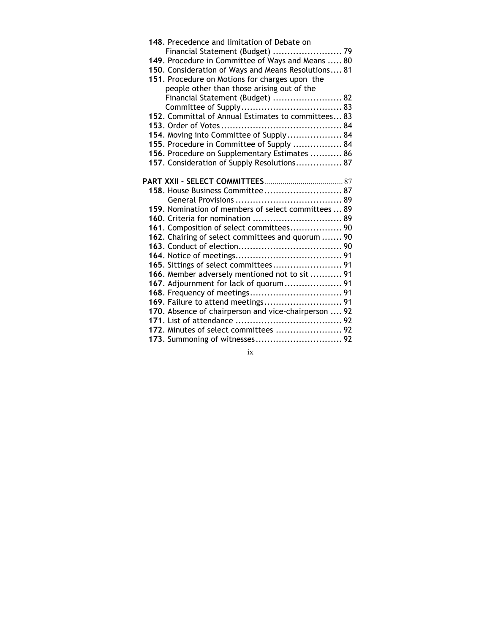| 148. Precedence and limitation of Debate on          |
|------------------------------------------------------|
| Financial Statement (Budget)  79                     |
| 149. Procedure in Committee of Ways and Means  80    |
| 150. Consideration of Ways and Means Resolutions 81  |
| 151. Procedure on Motions for charges upon the       |
| people other than those arising out of the           |
| Financial Statement (Budget)  82                     |
|                                                      |
| 152. Committal of Annual Estimates to committees 83  |
|                                                      |
| 154. Moving into Committee of Supply 84              |
| 155. Procedure in Committee of Supply  84            |
| 156. Procedure on Supplementary Estimates  86        |
| 157. Consideration of Supply Resolutions 87          |
|                                                      |
|                                                      |
| 158. House Business Committee 87                     |
|                                                      |
| 159. Nomination of members of select committees  89  |
| 160. Criteria for nomination  89                     |
| 161. Composition of select committees 90             |
| 162. Chairing of select committees and quorum  90    |
|                                                      |
|                                                      |
| 165. Sittings of select committees 91                |
| 166. Member adversely mentioned not to sit  91       |
| 167. Adjournment for lack of quorum 91               |
|                                                      |
|                                                      |
| 170. Absence of chairperson and vice-chairperson  92 |
|                                                      |
| 172. Minutes of select committees  92                |
|                                                      |

ix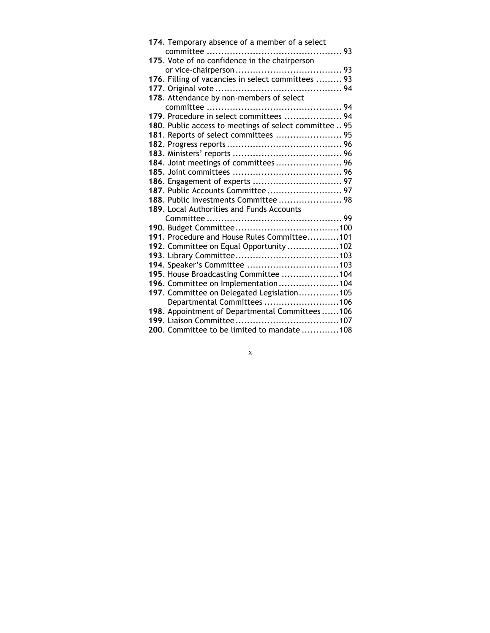| 174. Temporary absence of a member of a select         |
|--------------------------------------------------------|
|                                                        |
| 175. Vote of no confidence in the chairperson          |
|                                                        |
| 176. Filling of vacancies in select committees  93     |
|                                                        |
| 178. Attendance by non-members of select               |
|                                                        |
| 179. Procedure in select committees  94                |
| 180. Public access to meetings of select committee  95 |
| 181. Reports of select committees  95                  |
|                                                        |
|                                                        |
| 184. Joint meetings of committees 96                   |
|                                                        |
|                                                        |
|                                                        |
| 188. Public Investments Committee  98                  |
| 189. Local Authorities and Funds Accounts              |
|                                                        |
|                                                        |
| 191. Procedure and House Rules Committee101            |
| 192. Committee on Equal Opportunity 102                |
|                                                        |
|                                                        |
| 195. House Broadcasting Committee 104                  |
| 196. Committee on Implementation104                    |
| 197. Committee on Delegated Legislation105             |
| Departmental Committees 106                            |
| 198. Appointment of Departmental Committees106         |
|                                                        |
| 200. Committee to be limited to mandate 108            |

 $\mathbf{x}$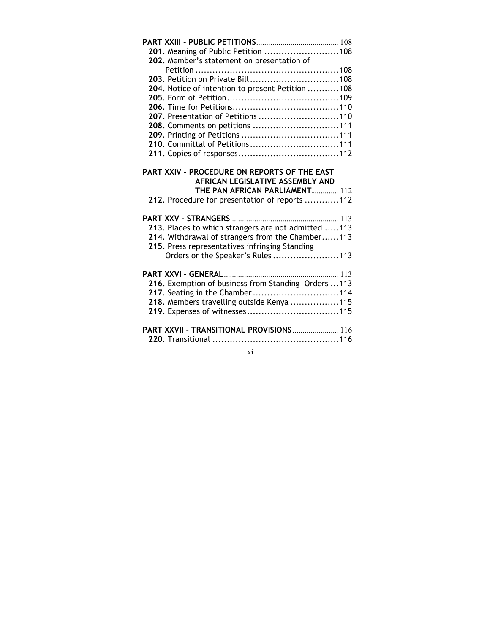xi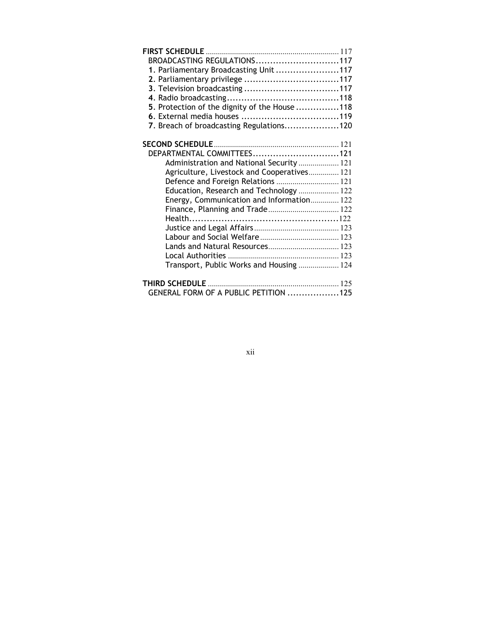| BROADCASTING REGULATIONS117                   |  |
|-----------------------------------------------|--|
| 1. Parliamentary Broadcasting Unit 117        |  |
|                                               |  |
|                                               |  |
|                                               |  |
| 5. Protection of the dignity of the House 118 |  |
|                                               |  |
| 7. Breach of broadcasting Regulations120      |  |
|                                               |  |
|                                               |  |
| DEPARTMENTAL COMMITTEES121                    |  |
| Administration and National Security  121     |  |
| Agriculture, Livestock and Cooperatives 121   |  |
| Defence and Foreign Relations  121            |  |
| Education, Research and Technology  122       |  |
| Energy, Communication and Information 122     |  |
|                                               |  |
|                                               |  |
|                                               |  |
|                                               |  |
|                                               |  |
|                                               |  |
| Transport, Public Works and Housing  124      |  |
|                                               |  |
|                                               |  |
| GENERAL FORM OF A PUBLIC PETITION 125         |  |

|   | I | ۰. |  |
|---|---|----|--|
| I |   |    |  |
|   |   |    |  |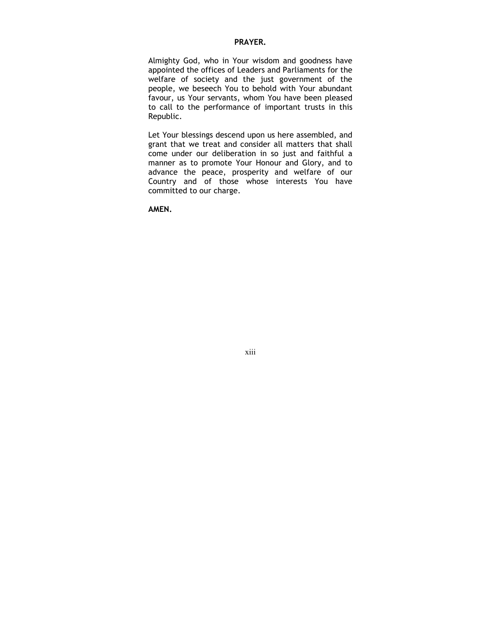#### PRAYER.

Almighty God, who in Your wisdom and goodness have appointed the offices of Leaders and Parliaments for the welfare of society and the just government of the people, we beseech You to behold with Your abundant favour, us Your servants, whom You have been pleased to call to the performance of important trusts in this Republic.

Let Your blessings descend upon us here assembled, and grant that we treat and consider all matters that shall come under our deliberation in so just and faithful a manner as to promote Your Honour and Glory, and to advance the peace, prosperity and welfare of our Country and of those whose interests You have committed to our charge.

AMEN.

xiii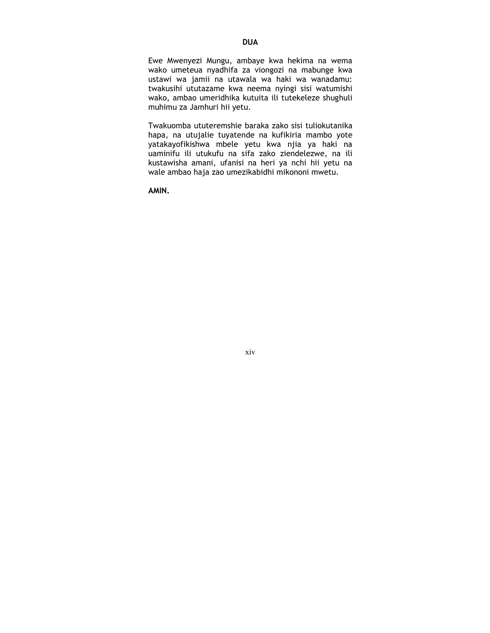Ewe Mwenyezi Mungu, ambaye kwa hekima na wema wako umeteua nyadhifa za viongozi na mabunge kwa ustawi wa jamii na utawala wa haki wa wanadamu: twakusihi ututazame kwa neema nyingi sisi watumishi wako, ambao umeridhika kutuita ili tutekeleze shughuli muhimu za Jamhuri hii yetu.

Twakuomba ututeremshie baraka zako sisi tuliokutanika hapa, na utujalie tuyatende na kufikiria mambo yote yatakayofikishwa mbele yetu kwa njia ya haki na uaminifu ili utukufu na sifa zako ziendelezwe, na ili kustawisha amani, ufanisi na heri ya nchi hii yetu na wale ambao haja zao umezikabidhi mikononi mwetu.

AMIN.

xiv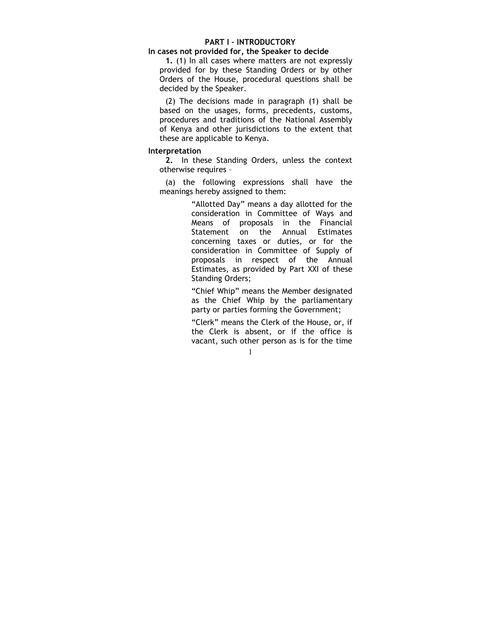#### PART I – INTRODUCTORY

#### In cases not provided for, the Speaker to decide

1. (1) In all cases where matters are not expressly provided for by these Standing Orders or by other Orders of the House, procedural questions shall be decided by the Speaker.

(2) The decisions made in paragraph (1) shall be based on the usages, forms, precedents, customs, procedures and traditions of the National Assembly of Kenya and other jurisdictions to the extent that these are applicable to Kenya.

#### Interpretation

2. In these Standing Orders, unless the context otherwise requires –

(a) the following expressions shall have the meanings hereby assigned to them:

> "Allotted Day" means a day allotted for the consideration in Committee of Ways and Means of proposals in the Financial Statement on the Annual Estimates concerning taxes or duties, or for the consideration in Committee of Supply of proposals in respect of the Annual Estimates, as provided by Part XXI of these Standing Orders;

> "Chief Whip" means the Member designated as the Chief Whip by the parliamentary party or parties forming the Government;

> "Clerk" means the Clerk of the House, or, if the Clerk is absent, or if the office is vacant, such other person as is for the time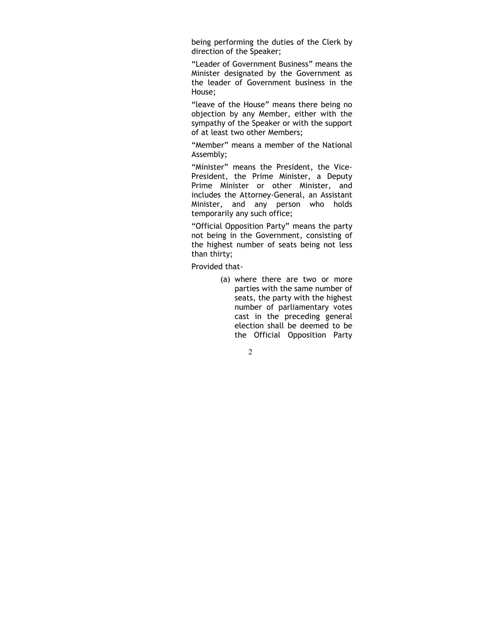being performing the duties of the Clerk by direction of the Speaker;

"Leader of Government Business" means the Minister designated by the Government as the leader of Government business in the House;

"leave of the House" means there being no objection by any Member, either with the sympathy of the Speaker or with the support of at least two other Members;

"Member" means a member of the National Assembly;

"Minister" means the President, the Vice-President, the Prime Minister, a Deputy Prime Minister or other Minister, and includes the Attorney-General, an Assistant Minister, and any person who holds temporarily any such office;

"Official Opposition Party" means the party not being in the Government, consisting of the highest number of seats being not less than thirty;

Provided that-

(a) where there are two or more parties with the same number of seats, the party with the highest number of parliamentary votes cast in the preceding general election shall be deemed to be the Official Opposition Party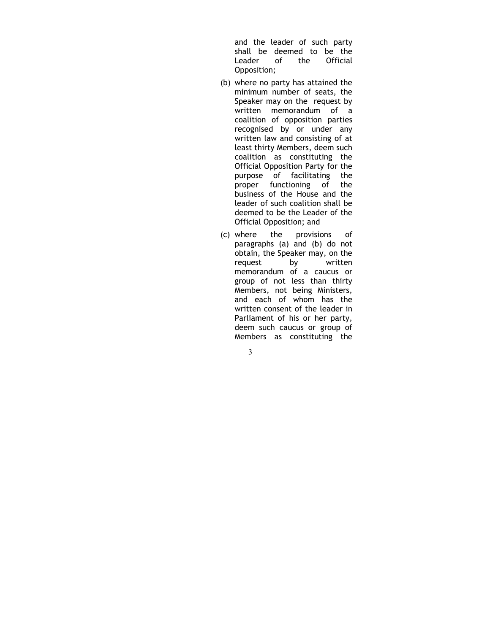and the leader of such party shall be deemed to be the Leader of the Official Opposition;

- (b) where no party has attained the minimum number of seats, the Speaker may on the request by written memorandum of a coalition of opposition parties recognised by or under any written law and consisting of at least thirty Members, deem such coalition as constituting the Official Opposition Party for the purpose of facilitating the proper functioning of the business of the House and the leader of such coalition shall be deemed to be the Leader of the Official Opposition; and
- (c) where the provisions of paragraphs (a) and (b) do not obtain, the Speaker may, on the request by written memorandum of a caucus or group of not less than thirty Members, not being Ministers, and each of whom has the written consent of the leader in Parliament of his or her party, deem such caucus or group of Members as constituting the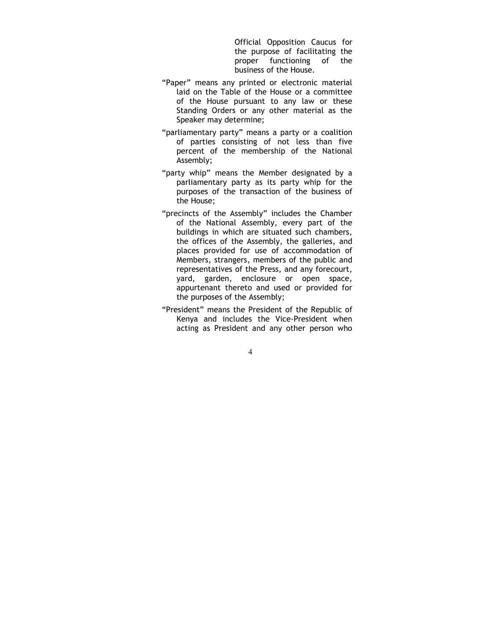Official Opposition Caucus for the purpose of facilitating the proper functioning of the business of the House.

- "Paper" means any printed or electronic material laid on the Table of the House or a committee of the House pursuant to any law or these Standing Orders or any other material as the Speaker may determine;
- "parliamentary party" means a party or a coalition of parties consisting of not less than five percent of the membership of the National Assembly;
- "party whip" means the Member designated by a parliamentary party as its party whip for the purposes of the transaction of the business of the House;
- "precincts of the Assembly" includes the Chamber of the National Assembly, every part of the buildings in which are situated such chambers, the offices of the Assembly, the galleries, and places provided for use of accommodation of Members, strangers, members of the public and representatives of the Press, and any forecourt, yard, garden, enclosure or open space, appurtenant thereto and used or provided for the purposes of the Assembly;
- "President" means the President of the Republic of Kenya and includes the Vice-President when acting as President and any other person who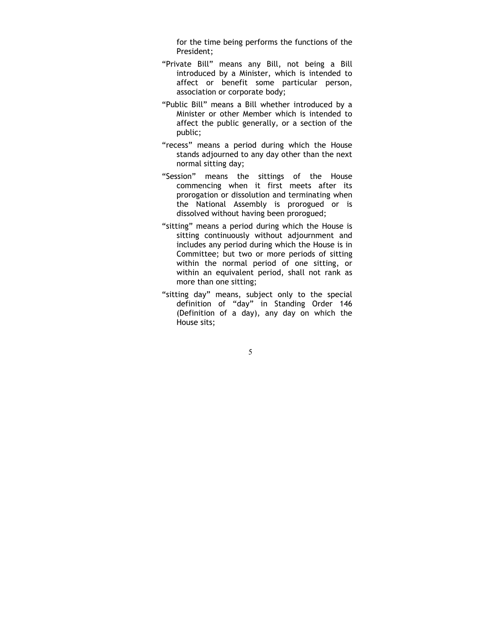for the time being performs the functions of the President;

- "Private Bill" means any Bill, not being a Bill introduced by a Minister, which is intended to affect or benefit some particular person, association or corporate body;
- "Public Bill" means a Bill whether introduced by a Minister or other Member which is intended to affect the public generally, or a section of the public;
- "recess" means a period during which the House stands adjourned to any day other than the next normal sitting day;
- "Session" means the sittings of the House commencing when it first meets after its prorogation or dissolution and terminating when the National Assembly is prorogued or is dissolved without having been prorogued;
- "sitting" means a period during which the House is sitting continuously without adjournment and includes any period during which the House is in Committee; but two or more periods of sitting within the normal period of one sitting, or within an equivalent period, shall not rank as more than one sitting;
- "sitting day" means, subject only to the special definition of "day" in Standing Order 146 (Definition of a day), any day on which the House sits;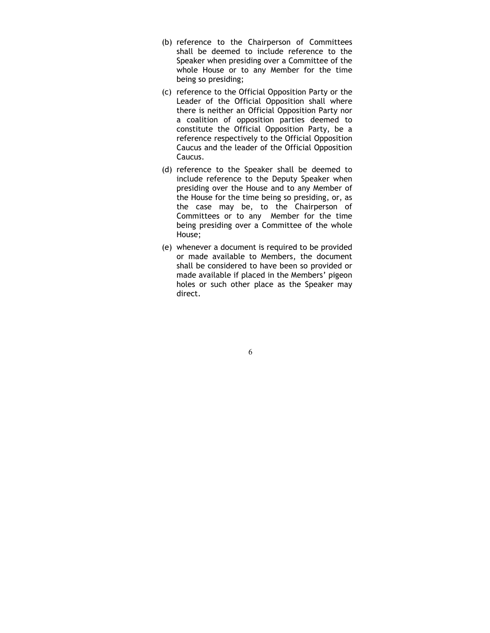- (b) reference to the Chairperson of Committees shall be deemed to include reference to the Speaker when presiding over a Committee of the whole House or to any Member for the time being so presiding;
- (c) reference to the Official Opposition Party or the Leader of the Official Opposition shall where there is neither an Official Opposition Party nor a coalition of opposition parties deemed to constitute the Official Opposition Party, be a reference respectively to the Official Opposition Caucus and the leader of the Official Opposition Caucus.
- (d) reference to the Speaker shall be deemed to include reference to the Deputy Speaker when presiding over the House and to any Member of the House for the time being so presiding, or, as the case may be, to the Chairperson of Committees or to any Member for the time being presiding over a Committee of the whole House;
- (e) whenever a document is required to be provided or made available to Members, the document shall be considered to have been so provided or made available if placed in the Members' pigeon holes or such other place as the Speaker may direct.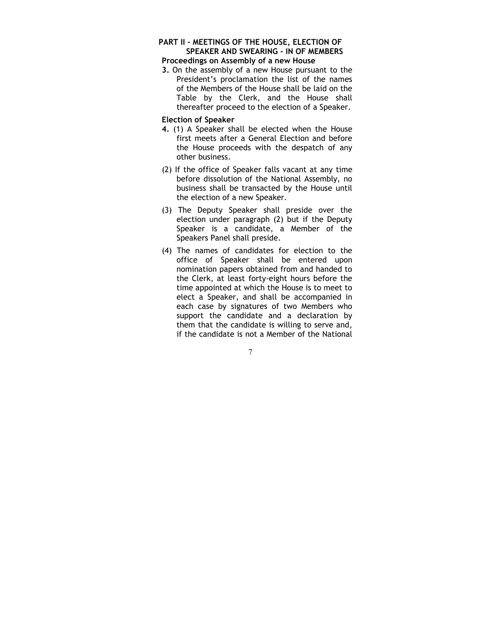# PART II - MEETINGS OF THE HOUSE, ELECTION OF SPEAKER AND SWEARING - IN OF MEMBERS

# Proceedings on Assembly of a new House

3. On the assembly of a new House pursuant to the President's proclamation the list of the names of the Members of the House shall be laid on the Table by the Clerk, and the House shall thereafter proceed to the election of a Speaker.

# Election of Speaker

- 4. (1) A Speaker shall be elected when the House first meets after a General Election and before the House proceeds with the despatch of any other business.
- (2) If the office of Speaker falls vacant at any time before dissolution of the National Assembly, no business shall be transacted by the House until the election of a new Speaker.
- (3) The Deputy Speaker shall preside over the election under paragraph (2) but if the Deputy Speaker is a candidate, a Member of the Speakers Panel shall preside.
- (4) The names of candidates for election to the office of Speaker shall be entered upon nomination papers obtained from and handed to the Clerk, at least forty-eight hours before the time appointed at which the House is to meet to elect a Speaker, and shall be accompanied in each case by signatures of two Members who support the candidate and a declaration by them that the candidate is willing to serve and, if the candidate is not a Member of the National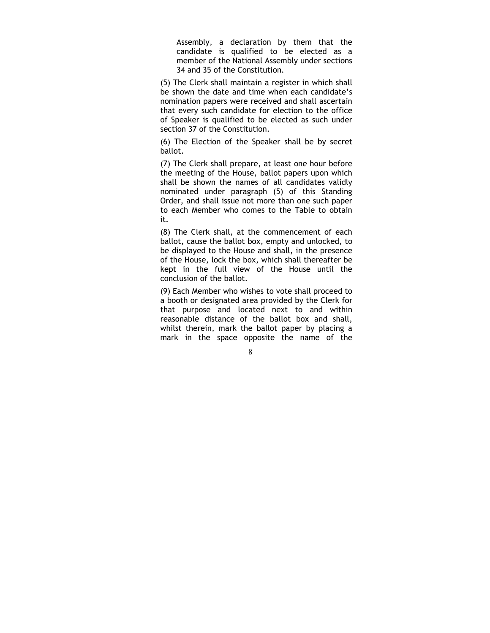Assembly, a declaration by them that the candidate is qualified to be elected as a member of the National Assembly under sections 34 and 35 of the Constitution.

(5) The Clerk shall maintain a register in which shall be shown the date and time when each candidate's nomination papers were received and shall ascertain that every such candidate for election to the office of Speaker is qualified to be elected as such under section 37 of the Constitution.

(6) The Election of the Speaker shall be by secret ballot.

(7) The Clerk shall prepare, at least one hour before the meeting of the House, ballot papers upon which shall be shown the names of all candidates validly nominated under paragraph (5) of this Standing Order, and shall issue not more than one such paper to each Member who comes to the Table to obtain it.

(8) The Clerk shall, at the commencement of each ballot, cause the ballot box, empty and unlocked, to be displayed to the House and shall, in the presence of the House, lock the box, which shall thereafter be kept in the full view of the House until the conclusion of the ballot.

(9) Each Member who wishes to vote shall proceed to a booth or designated area provided by the Clerk for that purpose and located next to and within reasonable distance of the ballot box and shall, whilst therein, mark the ballot paper by placing a mark in the space opposite the name of the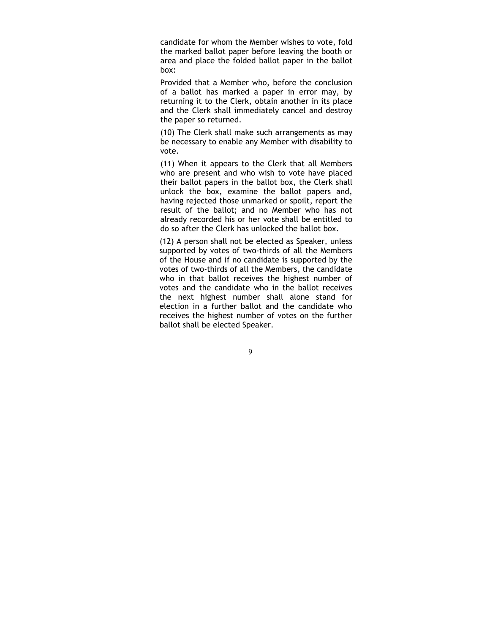candidate for whom the Member wishes to vote, fold the marked ballot paper before leaving the booth or area and place the folded ballot paper in the ballot box:

Provided that a Member who, before the conclusion of a ballot has marked a paper in error may, by returning it to the Clerk, obtain another in its place and the Clerk shall immediately cancel and destroy the paper so returned.

(10) The Clerk shall make such arrangements as may be necessary to enable any Member with disability to vote.

(11) When it appears to the Clerk that all Members who are present and who wish to vote have placed their ballot papers in the ballot box, the Clerk shall unlock the box, examine the ballot papers and, having rejected those unmarked or spoilt, report the result of the ballot; and no Member who has not already recorded his or her vote shall be entitled to do so after the Clerk has unlocked the ballot box.

(12) A person shall not be elected as Speaker, unless supported by votes of two-thirds of all the Members of the House and if no candidate is supported by the votes of two-thirds of all the Members, the candidate who in that ballot receives the highest number of votes and the candidate who in the ballot receives the next highest number shall alone stand for election in a further ballot and the candidate who receives the highest number of votes on the further ballot shall be elected Speaker.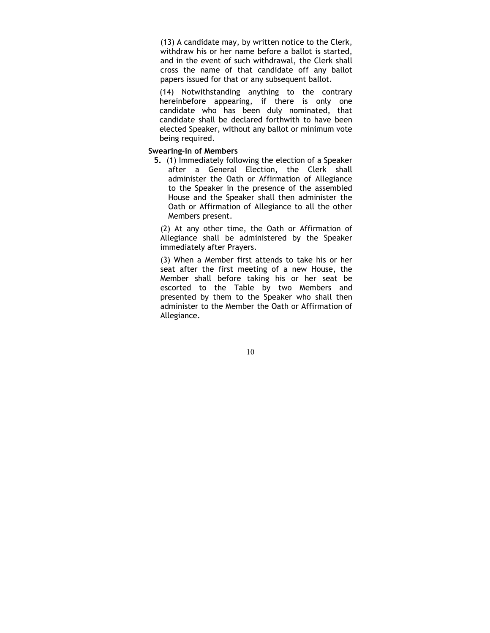(13) A candidate may, by written notice to the Clerk, withdraw his or her name before a ballot is started, and in the event of such withdrawal, the Clerk shall cross the name of that candidate off any ballot papers issued for that or any subsequent ballot.

(14) Notwithstanding anything to the contrary hereinbefore appearing, if there is only one candidate who has been duly nominated, that candidate shall be declared forthwith to have been elected Speaker, without any ballot or minimum vote being required.

# Swearing-in of Members

5. (1) Immediately following the election of a Speaker after a General Election, the Clerk shall administer the Oath or Affirmation of Allegiance to the Speaker in the presence of the assembled House and the Speaker shall then administer the Oath or Affirmation of Allegiance to all the other Members present.

(2) At any other time, the Oath or Affirmation of Allegiance shall be administered by the Speaker immediately after Prayers.

(3) When a Member first attends to take his or her seat after the first meeting of a new House, the Member shall before taking his or her seat be escorted to the Table by two Members and presented by them to the Speaker who shall then administer to the Member the Oath or Affirmation of Allegiance.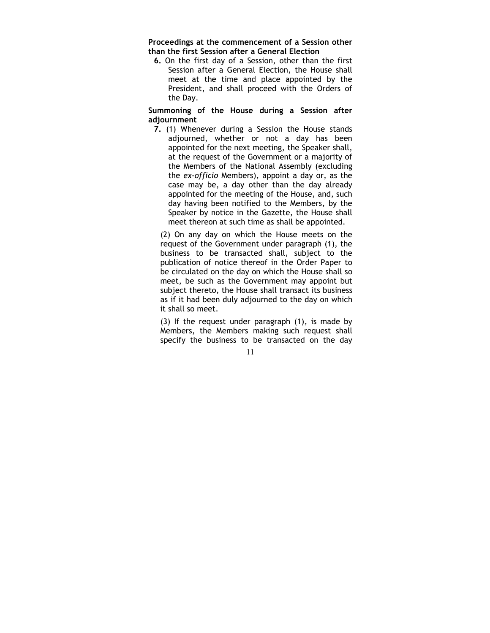Proceedings at the commencement of a Session other than the first Session after a General Election

6. On the first day of a Session, other than the first Session after a General Election, the House shall meet at the time and place appointed by the President, and shall proceed with the Orders of the Day.

Summoning of the House during a Session after adjournment

7. (1) Whenever during a Session the House stands adjourned, whether or not a day has been appointed for the next meeting, the Speaker shall, at the request of the Government or a majority of the Members of the National Assembly (excluding the ex-officio Members), appoint a day or, as the case may be, a day other than the day already appointed for the meeting of the House, and, such day having been notified to the Members, by the Speaker by notice in the Gazette, the House shall meet thereon at such time as shall be appointed.

(2) On any day on which the House meets on the request of the Government under paragraph (1), the business to be transacted shall, subject to the publication of notice thereof in the Order Paper to be circulated on the day on which the House shall so meet, be such as the Government may appoint but subject thereto, the House shall transact its business as if it had been duly adjourned to the day on which it shall so meet.

(3) If the request under paragraph (1), is made by Members, the Members making such request shall specify the business to be transacted on the day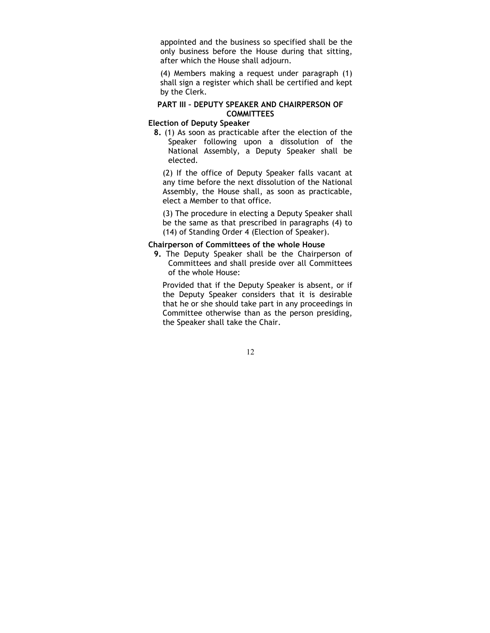appointed and the business so specified shall be the only business before the House during that sitting, after which the House shall adjourn.

(4) Members making a request under paragraph (1) shall sign a register which shall be certified and kept by the Clerk.

# PART III – DEPUTY SPEAKER AND CHAIRPERSON OF **COMMITTEES**

# Election of Deputy Speaker

8. (1) As soon as practicable after the election of the Speaker following upon a dissolution of the National Assembly, a Deputy Speaker shall be elected.

(2) If the office of Deputy Speaker falls vacant at any time before the next dissolution of the National Assembly, the House shall, as soon as practicable, elect a Member to that office.

(3) The procedure in electing a Deputy Speaker shall be the same as that prescribed in paragraphs (4) to (14) of Standing Order 4 (Election of Speaker).

# Chairperson of Committees of the whole House

9. The Deputy Speaker shall be the Chairperson of Committees and shall preside over all Committees of the whole House:

Provided that if the Deputy Speaker is absent, or if the Deputy Speaker considers that it is desirable that he or she should take part in any proceedings in Committee otherwise than as the person presiding, the Speaker shall take the Chair.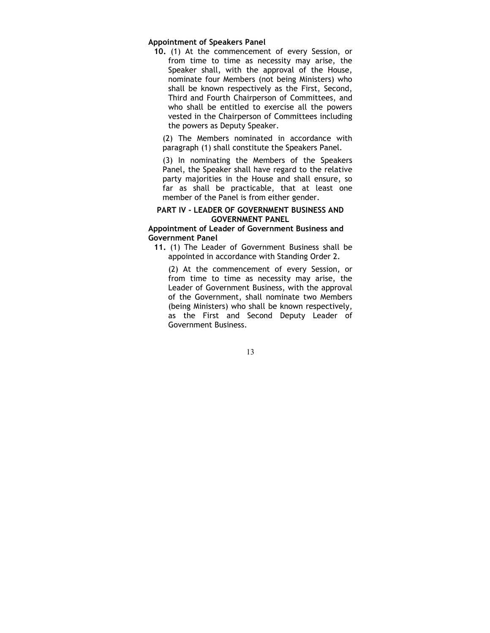#### Appointment of Speakers Panel

10. (1) At the commencement of every Session, or from time to time as necessity may arise, the Speaker shall, with the approval of the House, nominate four Members (not being Ministers) who shall be known respectively as the First, Second, Third and Fourth Chairperson of Committees, and who shall be entitled to exercise all the powers vested in the Chairperson of Committees including the powers as Deputy Speaker.

(2) The Members nominated in accordance with paragraph (1) shall constitute the Speakers Panel.

(3) In nominating the Members of the Speakers Panel, the Speaker shall have regard to the relative party majorities in the House and shall ensure, so far as shall be practicable, that at least one member of the Panel is from either gender.

#### PART IV - LEADER OF GOVERNMENT BUSINESS AND GOVERNMENT PANEL

# Appointment of Leader of Government Business and Government Panel

11. (1) The Leader of Government Business shall be appointed in accordance with Standing Order 2.

(2) At the commencement of every Session, or from time to time as necessity may arise, the Leader of Government Business, with the approval of the Government, shall nominate two Members (being Ministers) who shall be known respectively, as the First and Second Deputy Leader of Government Business.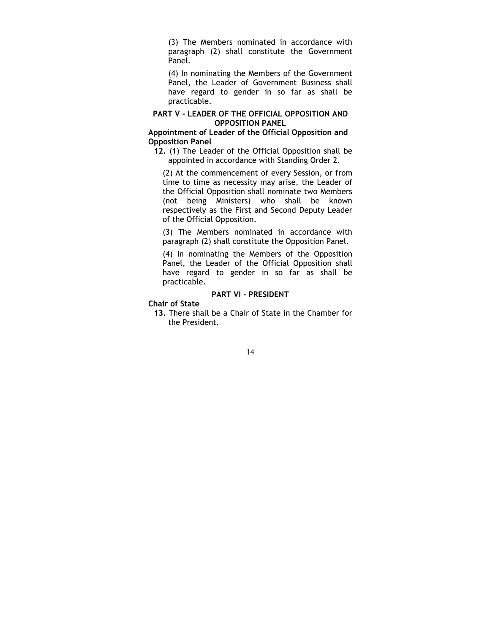(3) The Members nominated in accordance with paragraph (2) shall constitute the Government Panel.

(4) In nominating the Members of the Government Panel, the Leader of Government Business shall have regard to gender in so far as shall be practicable.

# PART V - LEADER OF THE OFFICIAL OPPOSITION AND OPPOSITION PANEL

# Appointment of Leader of the Official Opposition and Opposition Panel

12. (1) The Leader of the Official Opposition shall be appointed in accordance with Standing Order 2.

(2) At the commencement of every Session, or from time to time as necessity may arise, the Leader of the Official Opposition shall nominate two Members (not being Ministers) who shall be known respectively as the First and Second Deputy Leader of the Official Opposition.

(3) The Members nominated in accordance with paragraph (2) shall constitute the Opposition Panel.

(4) In nominating the Members of the Opposition Panel, the Leader of the Official Opposition shall have regard to gender in so far as shall be practicable.

# PART VI - PRESIDENT

Chair of State

13. There shall be a Chair of State in the Chamber for the President.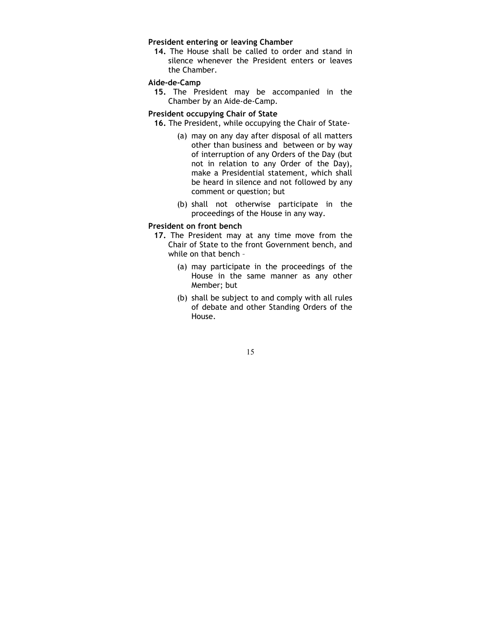## President entering or leaving Chamber

14. The House shall be called to order and stand in silence whenever the President enters or leaves the Chamber.

# Aide-de-Camp

15. The President may be accompanied in the Chamber by an Aide-de-Camp.

#### President occupying Chair of State

- 16. The President, while occupying the Chair of State-
	- (a) may on any day after disposal of all matters other than business and between or by way of interruption of any Orders of the Day (but not in relation to any Order of the Day), make a Presidential statement, which shall be heard in silence and not followed by any comment or question; but
	- (b) shall not otherwise participate in the proceedings of the House in any way.

#### President on front bench

- 17. The President may at any time move from the Chair of State to the front Government bench, and while on that bench –
	- (a) may participate in the proceedings of the House in the same manner as any other Member; but
	- (b) shall be subject to and comply with all rules of debate and other Standing Orders of the House.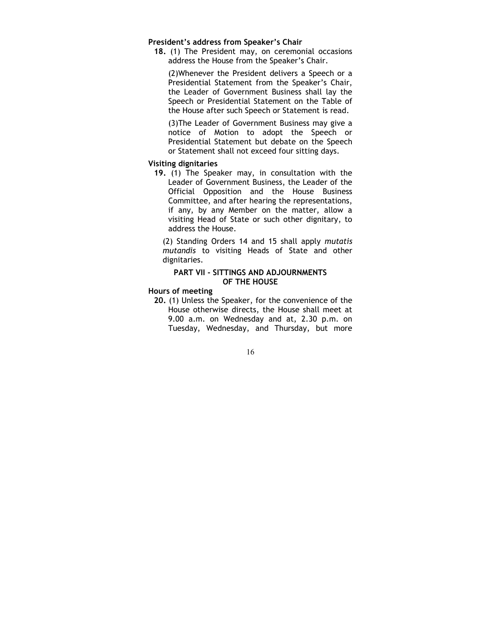#### President's address from Speaker's Chair

18. (1) The President may, on ceremonial occasions address the House from the Speaker's Chair.

(2)Whenever the President delivers a Speech or a Presidential Statement from the Speaker's Chair, the Leader of Government Business shall lay the Speech or Presidential Statement on the Table of the House after such Speech or Statement is read.

(3)The Leader of Government Business may give a notice of Motion to adopt the Speech or Presidential Statement but debate on the Speech or Statement shall not exceed four sitting days.

#### Visiting dignitaries

19. (1) The Speaker may, in consultation with the Leader of Government Business, the Leader of the Official Opposition and the House Business Committee, and after hearing the representations, if any, by any Member on the matter, allow a visiting Head of State or such other dignitary, to address the House.

(2) Standing Orders 14 and 15 shall apply mutatis mutandis to visiting Heads of State and other dignitaries.

# PART VII - SITTINGS AND ADJOURNMENTS OF THE HOUSE

#### Hours of meeting

20. (1) Unless the Speaker, for the convenience of the House otherwise directs, the House shall meet at 9.00 a.m. on Wednesday and at, 2.30 p.m. on Tuesday, Wednesday, and Thursday, but more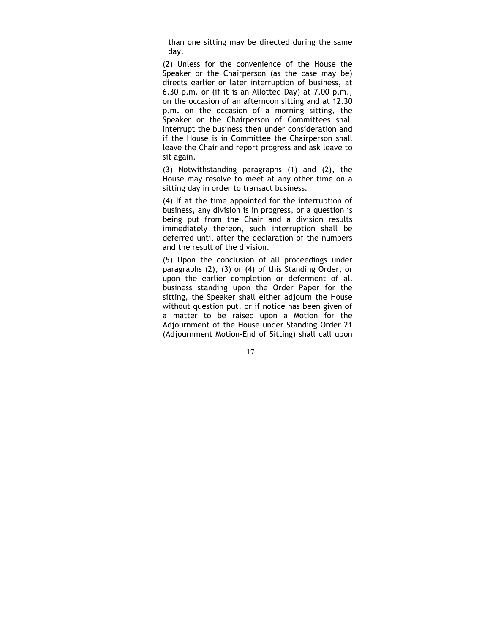than one sitting may be directed during the same day.

(2) Unless for the convenience of the House the Speaker or the Chairperson (as the case may be) directs earlier or later interruption of business, at 6.30 p.m. or (if it is an Allotted Day) at 7.00 p.m., on the occasion of an afternoon sitting and at 12.30 p.m. on the occasion of a morning sitting, the Speaker or the Chairperson of Committees shall interrupt the business then under consideration and if the House is in Committee the Chairperson shall leave the Chair and report progress and ask leave to sit again.

(3) Notwithstanding paragraphs (1) and (2), the House may resolve to meet at any other time on a sitting day in order to transact business.

(4) If at the time appointed for the interruption of business, any division is in progress, or a question is being put from the Chair and a division results immediately thereon, such interruption shall be deferred until after the declaration of the numbers and the result of the division.

(5) Upon the conclusion of all proceedings under paragraphs (2), (3) or (4) of this Standing Order, or upon the earlier completion or deferment of all business standing upon the Order Paper for the sitting, the Speaker shall either adjourn the House without question put, or if notice has been given of a matter to be raised upon a Motion for the Adjournment of the House under Standing Order 21 (Adjournment Motion-End of Sitting) shall call upon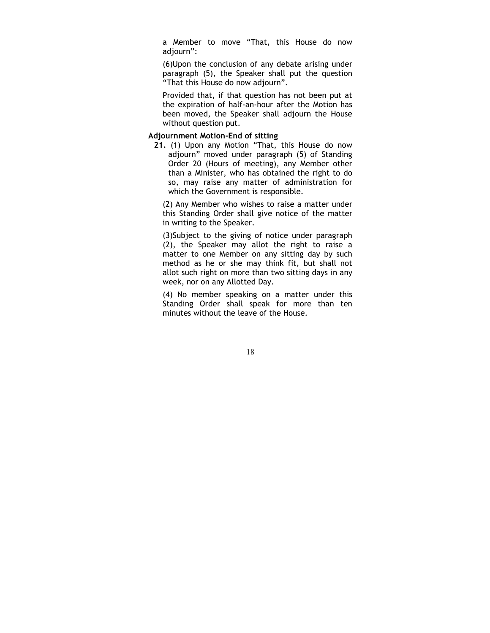a Member to move "That, this House do now adjourn":

(6)Upon the conclusion of any debate arising under paragraph (5), the Speaker shall put the question "That this House do now adjourn".

Provided that, if that question has not been put at the expiration of half-an-hour after the Motion has been moved, the Speaker shall adjourn the House without question put.

# Adjournment Motion-End of sitting

21. (1) Upon any Motion "That, this House do now adjourn" moved under paragraph (5) of Standing Order 20 (Hours of meeting), any Member other than a Minister, who has obtained the right to do so, may raise any matter of administration for which the Government is responsible.

(2) Any Member who wishes to raise a matter under this Standing Order shall give notice of the matter in writing to the Speaker.

(3)Subject to the giving of notice under paragraph (2), the Speaker may allot the right to raise a matter to one Member on any sitting day by such method as he or she may think fit, but shall not allot such right on more than two sitting days in any week, nor on any Allotted Day.

(4) No member speaking on a matter under this Standing Order shall speak for more than ten minutes without the leave of the House.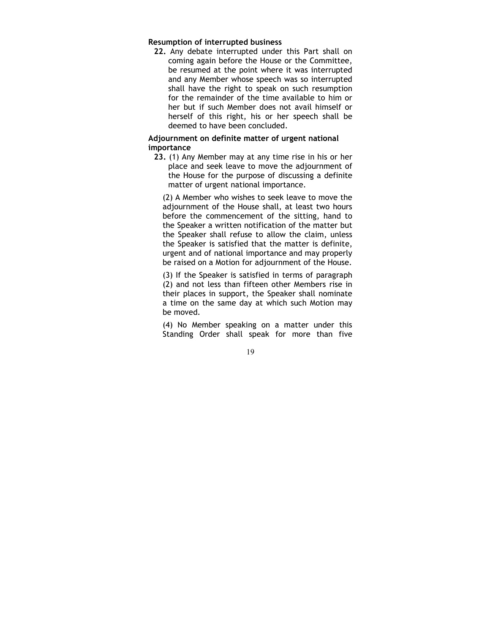#### Resumption of interrupted business

22. Any debate interrupted under this Part shall on coming again before the House or the Committee, be resumed at the point where it was interrupted and any Member whose speech was so interrupted shall have the right to speak on such resumption for the remainder of the time available to him or her but if such Member does not avail himself or herself of this right, his or her speech shall be deemed to have been concluded.

# Adjournment on definite matter of urgent national importance

23. (1) Any Member may at any time rise in his or her place and seek leave to move the adjournment of the House for the purpose of discussing a definite matter of urgent national importance.

(2) A Member who wishes to seek leave to move the adjournment of the House shall, at least two hours before the commencement of the sitting, hand to the Speaker a written notification of the matter but the Speaker shall refuse to allow the claim, unless the Speaker is satisfied that the matter is definite, urgent and of national importance and may properly be raised on a Motion for adjournment of the House.

(3) If the Speaker is satisfied in terms of paragraph (2) and not less than fifteen other Members rise in their places in support, the Speaker shall nominate a time on the same day at which such Motion may be moved.

(4) No Member speaking on a matter under this Standing Order shall speak for more than five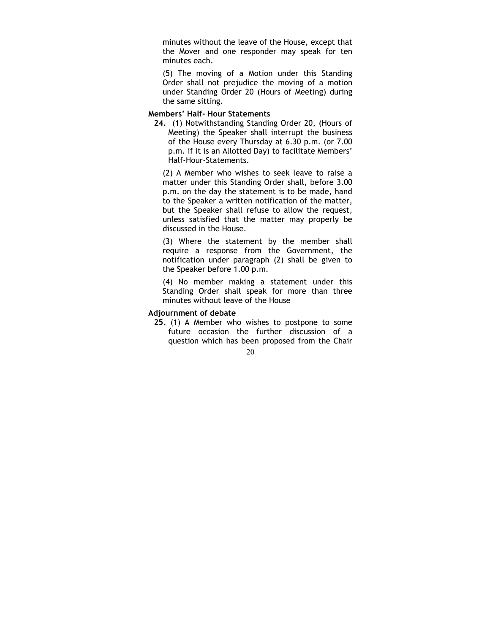minutes without the leave of the House, except that the Mover and one responder may speak for ten minutes each.

(5) The moving of a Motion under this Standing Order shall not prejudice the moving of a motion under Standing Order 20 (Hours of Meeting) during the same sitting.

# Members' Half- Hour Statements

24. (1) Notwithstanding Standing Order 20, (Hours of Meeting) the Speaker shall interrupt the business of the House every Thursday at 6.30 p.m. (or 7.00 p.m. if it is an Allotted Day) to facilitate Members' Half-Hour-Statements.

(2) A Member who wishes to seek leave to raise a matter under this Standing Order shall, before 3.00 p.m. on the day the statement is to be made, hand to the Speaker a written notification of the matter, but the Speaker shall refuse to allow the request, unless satisfied that the matter may properly be discussed in the House.

(3) Where the statement by the member shall require a response from the Government, the notification under paragraph (2) shall be given to the Speaker before 1.00 p.m.

(4) No member making a statement under this Standing Order shall speak for more than three minutes without leave of the House

# Adjournment of debate

25. (1) A Member who wishes to postpone to some future occasion the further discussion of a question which has been proposed from the Chair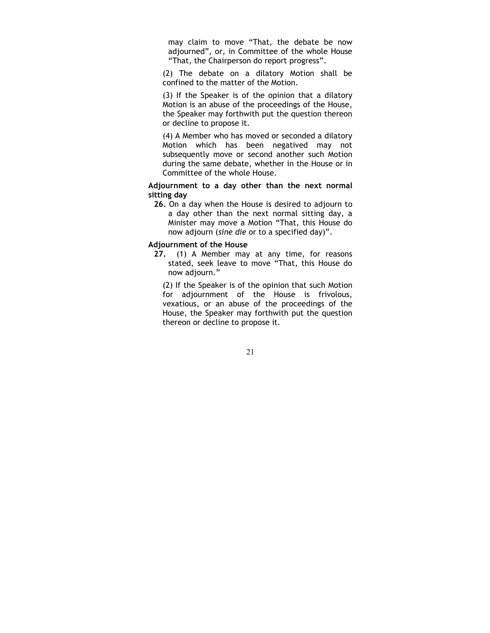may claim to move "That, the debate be now adjourned", or, in Committee of the whole House "That, the Chairperson do report progress".

(2) The debate on a dilatory Motion shall be confined to the matter of the Motion.

(3) If the Speaker is of the opinion that a dilatory Motion is an abuse of the proceedings of the House, the Speaker may forthwith put the question thereon or decline to propose it.

(4) A Member who has moved or seconded a dilatory Motion which has been negatived may not subsequently move or second another such Motion during the same debate, whether in the House or in Committee of the whole House.

Adjournment to a day other than the next normal sitting day

26. On a day when the House is desired to adjourn to a day other than the next normal sitting day, a Minister may move a Motion "That, this House do now adjourn (sine die or to a specified day)".

#### Adjournment of the House

27. (1) A Member may at any time, for reasons stated, seek leave to move "That, this House do now adjourn."

(2) If the Speaker is of the opinion that such Motion for adjournment of the House is frivolous, vexatious, or an abuse of the proceedings of the House, the Speaker may forthwith put the question thereon or decline to propose it.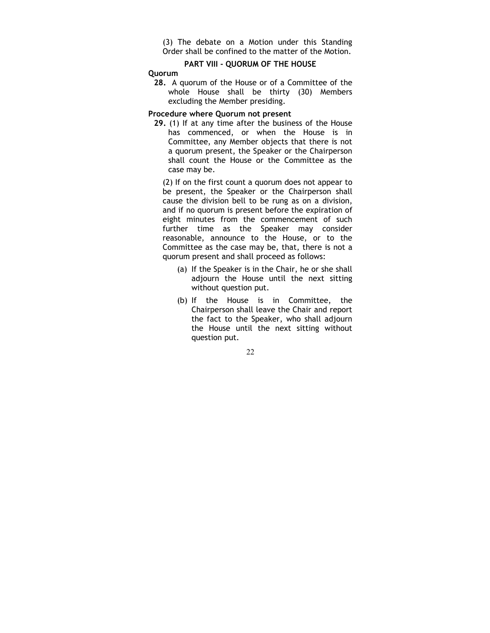(3) The debate on a Motion under this Standing Order shall be confined to the matter of the Motion.

# PART VIII - QUORUM OF THE HOUSE

#### Quorum

28. A quorum of the House or of a Committee of the whole House shall be thirty (30) Members excluding the Member presiding.

#### Procedure where Quorum not present

29. (1) If at any time after the business of the House has commenced, or when the House is in Committee, any Member objects that there is not a quorum present, the Speaker or the Chairperson shall count the House or the Committee as the case may be.

(2) If on the first count a quorum does not appear to be present, the Speaker or the Chairperson shall cause the division bell to be rung as on a division, and if no quorum is present before the expiration of eight minutes from the commencement of such further time as the Speaker may consider reasonable, announce to the House, or to the Committee as the case may be, that, there is not a quorum present and shall proceed as follows:

- (a) If the Speaker is in the Chair, he or she shall adjourn the House until the next sitting without question put.
- (b) If the House is in Committee, the Chairperson shall leave the Chair and report the fact to the Speaker, who shall adjourn the House until the next sitting without question put.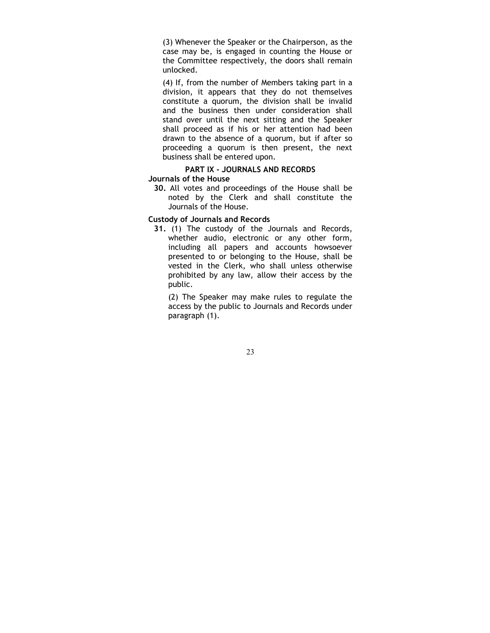(3) Whenever the Speaker or the Chairperson, as the case may be, is engaged in counting the House or the Committee respectively, the doors shall remain unlocked.

(4) If, from the number of Members taking part in a division, it appears that they do not themselves constitute a quorum, the division shall be invalid and the business then under consideration shall stand over until the next sitting and the Speaker shall proceed as if his or her attention had been drawn to the absence of a quorum, but if after so proceeding a quorum is then present, the next business shall be entered upon.

## PART IX - JOURNALS AND RECORDS

### Journals of the House

30. All votes and proceedings of the House shall be noted by the Clerk and shall constitute the Journals of the House.

## Custody of Journals and Records

31. (1) The custody of the Journals and Records, whether audio, electronic or any other form, including all papers and accounts howsoever presented to or belonging to the House, shall be vested in the Clerk, who shall unless otherwise prohibited by any law, allow their access by the public.

(2) The Speaker may make rules to regulate the access by the public to Journals and Records under paragraph (1).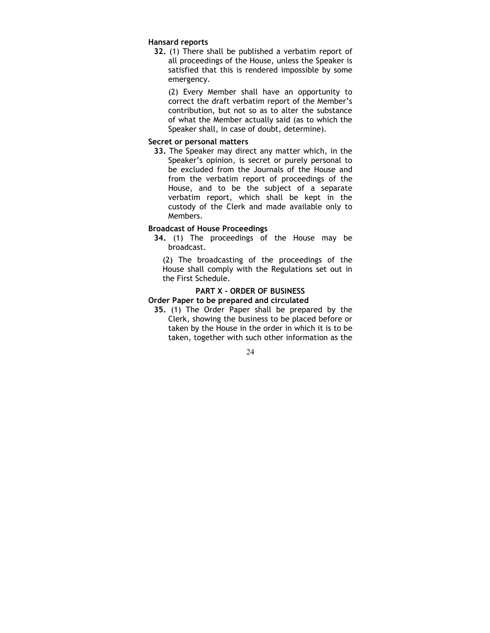### Hansard reports

32. (1) There shall be published a verbatim report of all proceedings of the House, unless the Speaker is satisfied that this is rendered impossible by some emergency.

(2) Every Member shall have an opportunity to correct the draft verbatim report of the Member's contribution, but not so as to alter the substance of what the Member actually said (as to which the Speaker shall, in case of doubt, determine).

## Secret or personal matters

33. The Speaker may direct any matter which, in the Speaker's opinion, is secret or purely personal to be excluded from the Journals of the House and from the verbatim report of proceedings of the House, and to be the subject of a separate verbatim report, which shall be kept in the custody of the Clerk and made available only to Members.

## Broadcast of House Proceedings

34. (1) The proceedings of the House may be broadcast.

(2) The broadcasting of the proceedings of the House shall comply with the Regulations set out in the First Schedule.

# PART X - ORDER OF BUSINESS

## Order Paper to be prepared and circulated

35. (1) The Order Paper shall be prepared by the Clerk, showing the business to be placed before or taken by the House in the order in which it is to be taken, together with such other information as the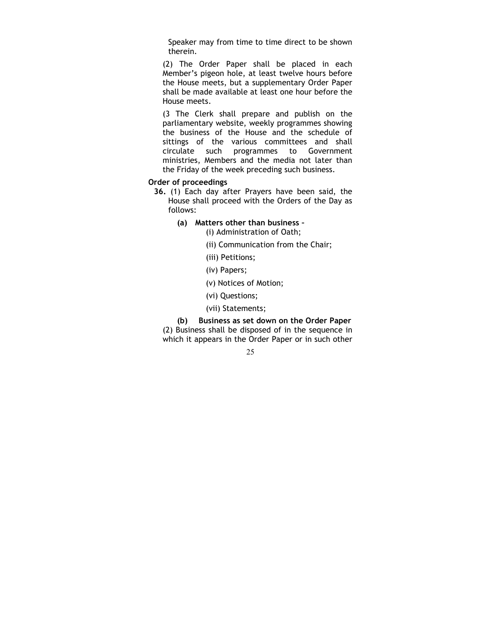Speaker may from time to time direct to be shown therein.

(2) The Order Paper shall be placed in each Member's pigeon hole, at least twelve hours before the House meets, but a supplementary Order Paper shall be made available at least one hour before the House meets.

(3 The Clerk shall prepare and publish on the parliamentary website, weekly programmes showing the business of the House and the schedule of sittings of the various committees and shall circulate such programmes to Government ministries, Members and the media not later than the Friday of the week preceding such business.

## Order of proceedings

- 36. (1) Each day after Prayers have been said, the House shall proceed with the Orders of the Day as follows:
	- (a) Matters other than business
		- (i) Administration of Oath;
		- (ii) Communication from the Chair;
		- (iii) Petitions;
		- (iv) Papers;
		- (v) Notices of Motion;
		- (vi) Questions;
		- (vii) Statements;

(b) Business as set down on the Order Paper (2) Business shall be disposed of in the sequence in which it appears in the Order Paper or in such other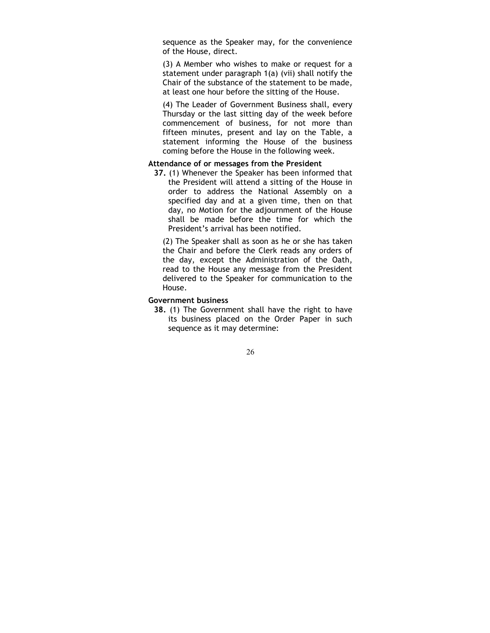sequence as the Speaker may, for the convenience of the House, direct.

(3) A Member who wishes to make or request for a statement under paragraph 1(a) (vii) shall notify the Chair of the substance of the statement to be made, at least one hour before the sitting of the House.

(4) The Leader of Government Business shall, every Thursday or the last sitting day of the week before commencement of business, for not more than fifteen minutes, present and lay on the Table, a statement informing the House of the business coming before the House in the following week.

## Attendance of or messages from the President

37. (1) Whenever the Speaker has been informed that the President will attend a sitting of the House in order to address the National Assembly on a specified day and at a given time, then on that day, no Motion for the adjournment of the House shall be made before the time for which the President's arrival has been notified.

(2) The Speaker shall as soon as he or she has taken the Chair and before the Clerk reads any orders of the day, except the Administration of the Oath, read to the House any message from the President delivered to the Speaker for communication to the House.

## Government business

38. (1) The Government shall have the right to have its business placed on the Order Paper in such sequence as it may determine: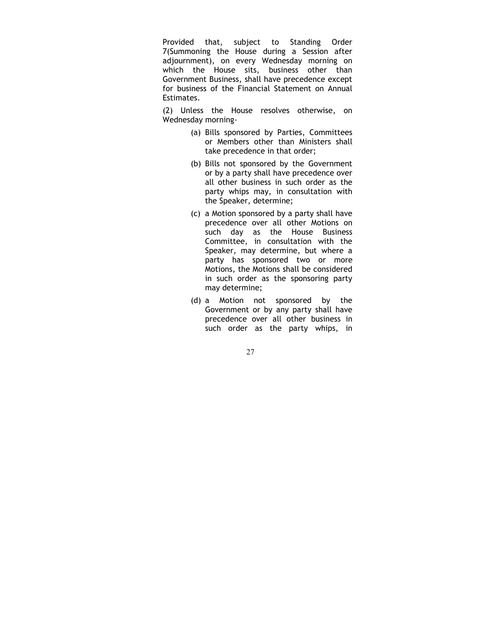Provided that, subject to Standing Order 7(Summoning the House during a Session after adjournment), on every Wednesday morning on which the House sits, business other than Government Business, shall have precedence except for business of the Financial Statement on Annual Estimates.

(2) Unless the House resolves otherwise, on Wednesday morning-

- (a) Bills sponsored by Parties, Committees or Members other than Ministers shall take precedence in that order;
- (b) Bills not sponsored by the Government or by a party shall have precedence over all other business in such order as the party whips may, in consultation with the Speaker, determine;
- (c) a Motion sponsored by a party shall have precedence over all other Motions on such day as the House Business Committee, in consultation with the Speaker, may determine, but where a party has sponsored two or more Motions, the Motions shall be considered in such order as the sponsoring party may determine;
- (d) a Motion not sponsored by the Government or by any party shall have precedence over all other business in such order as the party whips, in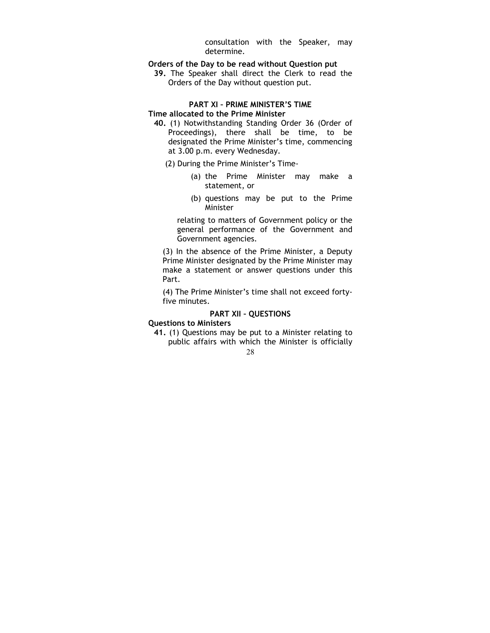consultation with the Speaker, may determine.

- Orders of the Day to be read without Question put
	- 39. The Speaker shall direct the Clerk to read the Orders of the Day without question put.

### PART XI – PRIME MINISTER'S TIME Time allocated to the Prime Minister

- 40. (1) Notwithstanding Standing Order 36 (Order of Proceedings), there shall be time, to be designated the Prime Minister's time, commencing at 3.00 p.m. every Wednesday.
	- (2) During the Prime Minister's Time-
		- (a) the Prime Minister may make a statement, or
		- (b) questions may be put to the Prime Minister

relating to matters of Government policy or the general performance of the Government and Government agencies.

(3) In the absence of the Prime Minister, a Deputy Prime Minister designated by the Prime Minister may make a statement or answer questions under this Part.

(4) The Prime Minister's time shall not exceed fortyfive minutes.

## PART XII – QUESTIONS

### Questions to Ministers

41. (1) Questions may be put to a Minister relating to public affairs with which the Minister is officially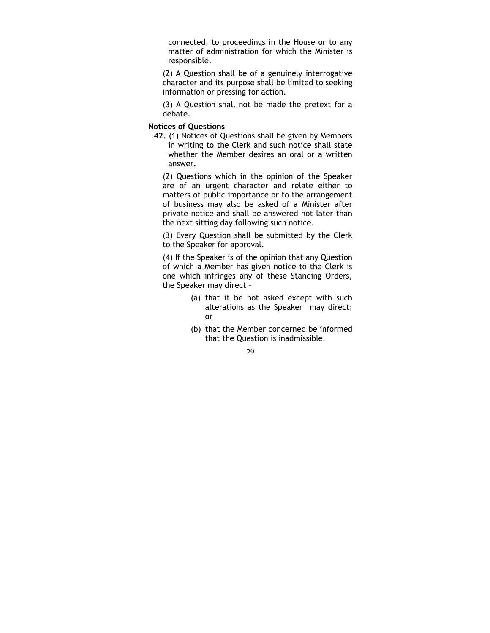connected, to proceedings in the House or to any matter of administration for which the Minister is responsible.

(2) A Question shall be of a genuinely interrogative character and its purpose shall be limited to seeking information or pressing for action.

(3) A Question shall not be made the pretext for a debate.

## Notices of Questions

42. (1) Notices of Questions shall be given by Members in writing to the Clerk and such notice shall state whether the Member desires an oral or a written answer.

(2) Questions which in the opinion of the Speaker are of an urgent character and relate either to matters of public importance or to the arrangement of business may also be asked of a Minister after private notice and shall be answered not later than the next sitting day following such notice.

(3) Every Question shall be submitted by the Clerk to the Speaker for approval.

(4) If the Speaker is of the opinion that any Question of which a Member has given notice to the Clerk is one which infringes any of these Standing Orders, the Speaker may direct –

- (a) that it be not asked except with such alterations as the Speaker may direct; or
- (b) that the Member concerned be informed that the Question is inadmissible.

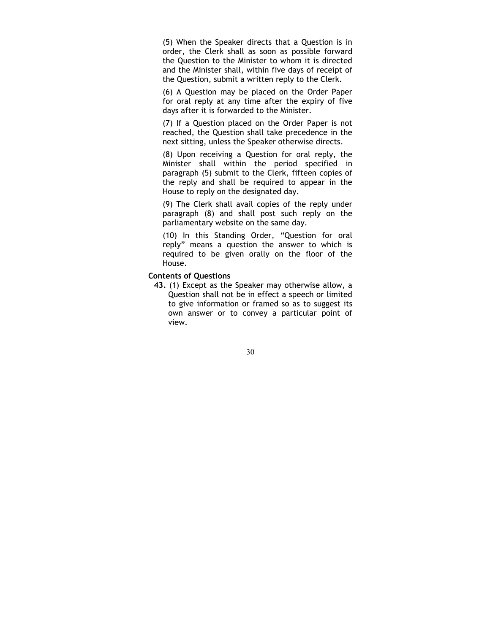(5) When the Speaker directs that a Question is in order, the Clerk shall as soon as possible forward the Question to the Minister to whom it is directed and the Minister shall, within five days of receipt of the Question, submit a written reply to the Clerk.

(6) A Question may be placed on the Order Paper for oral reply at any time after the expiry of five days after it is forwarded to the Minister.

(7) If a Question placed on the Order Paper is not reached, the Question shall take precedence in the next sitting, unless the Speaker otherwise directs.

(8) Upon receiving a Question for oral reply, the Minister shall within the period specified in paragraph (5) submit to the Clerk, fifteen copies of the reply and shall be required to appear in the House to reply on the designated day.

(9) The Clerk shall avail copies of the reply under paragraph (8) and shall post such reply on the parliamentary website on the same day.

(10) In this Standing Order, "Question for oral reply" means a question the answer to which is required to be given orally on the floor of the House.

## Contents of Questions

43. (1) Except as the Speaker may otherwise allow, a Question shall not be in effect a speech or limited to give information or framed so as to suggest its own answer or to convey a particular point of view.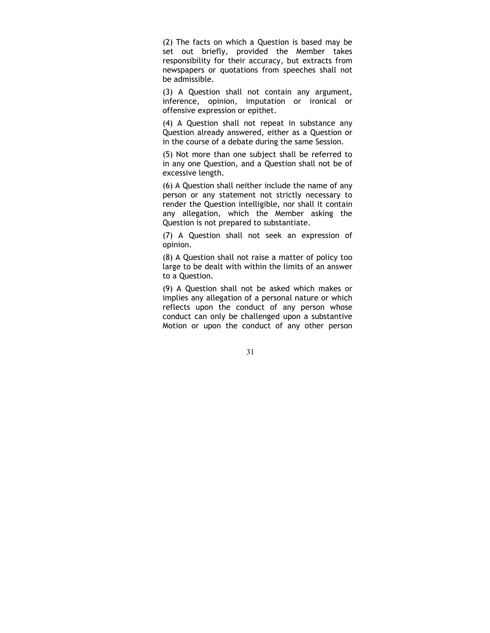(2) The facts on which a Question is based may be set out briefly, provided the Member takes responsibility for their accuracy, but extracts from newspapers or quotations from speeches shall not be admissible.

(3) A Question shall not contain any argument, inference, opinion, imputation or ironical or offensive expression or epithet.

(4) A Question shall not repeat in substance any Question already answered, either as a Question or in the course of a debate during the same Session.

(5) Not more than one subject shall be referred to in any one Question, and a Question shall not be of excessive length.

(6) A Question shall neither include the name of any person or any statement not strictly necessary to render the Question intelligible, nor shall it contain any allegation, which the Member asking the Question is not prepared to substantiate.

(7) A Question shall not seek an expression of opinion.

(8) A Question shall not raise a matter of policy too large to be dealt with within the limits of an answer to a Question.

(9) A Question shall not be asked which makes or implies any allegation of a personal nature or which reflects upon the conduct of any person whose conduct can only be challenged upon a substantive Motion or upon the conduct of any other person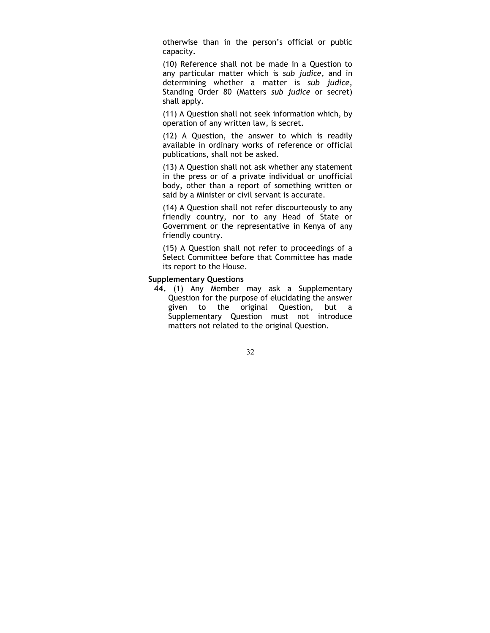otherwise than in the person's official or public capacity.

(10) Reference shall not be made in a Question to any particular matter which is sub judice, and in determining whether a matter is sub judice, Standing Order 80 (Matters sub judice or secret) shall apply.

(11) A Question shall not seek information which, by operation of any written law, is secret.

(12) A Question, the answer to which is readily available in ordinary works of reference or official publications, shall not be asked.

(13) A Question shall not ask whether any statement in the press or of a private individual or unofficial body, other than a report of something written or said by a Minister or civil servant is accurate.

(14) A Question shall not refer discourteously to any friendly country, nor to any Head of State or Government or the representative in Kenya of any friendly country.

(15) A Question shall not refer to proceedings of a Select Committee before that Committee has made its report to the House.

#### Supplementary Questions

44. (1) Any Member may ask a Supplementary Question for the purpose of elucidating the answer given to the original Question, but a Supplementary Question must not introduce matters not related to the original Question.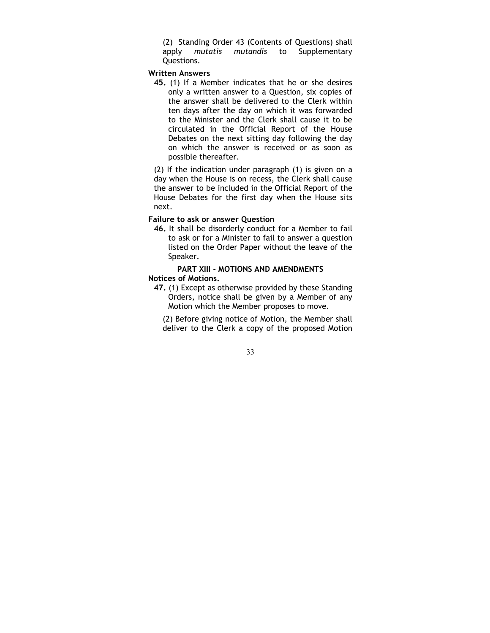(2) Standing Order 43 (Contents of Questions) shall apply mutatis mutandis to Supplementary Questions.

#### Written Answers

45. (1) If a Member indicates that he or she desires only a written answer to a Question, six copies of the answer shall be delivered to the Clerk within ten days after the day on which it was forwarded to the Minister and the Clerk shall cause it to be circulated in the Official Report of the House Debates on the next sitting day following the day on which the answer is received or as soon as possible thereafter.

(2) If the indication under paragraph (1) is given on a day when the House is on recess, the Clerk shall cause the answer to be included in the Official Report of the House Debates for the first day when the House sits next.

### Failure to ask or answer Question

46. It shall be disorderly conduct for a Member to fail to ask or for a Minister to fail to answer a question listed on the Order Paper without the leave of the Speaker.

## PART XIII - MOTIONS AND AMENDMENTS Notices of Motions.

47. (1) Except as otherwise provided by these Standing Orders, notice shall be given by a Member of any Motion which the Member proposes to move.

(2) Before giving notice of Motion, the Member shall deliver to the Clerk a copy of the proposed Motion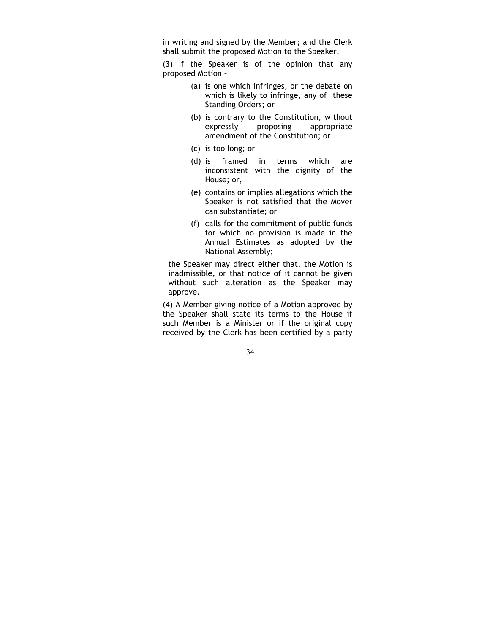in writing and signed by the Member; and the Clerk shall submit the proposed Motion to the Speaker.

(3) If the Speaker is of the opinion that any proposed Motion –

- (a) is one which infringes, or the debate on which is likely to infringe, any of these Standing Orders; or
- (b) is contrary to the Constitution, without expressly proposing appropriate amendment of the Constitution; or
- (c) is too long; or
- (d) is framed in terms which are inconsistent with the dignity of the House; or,
- (e) contains or implies allegations which the Speaker is not satisfied that the Mover can substantiate; or
- (f) calls for the commitment of public funds for which no provision is made in the Annual Estimates as adopted by the National Assembly;

the Speaker may direct either that, the Motion is inadmissible, or that notice of it cannot be given without such alteration as the Speaker may approve.

(4) A Member giving notice of a Motion approved by the Speaker shall state its terms to the House if such Member is a Minister or if the original copy received by the Clerk has been certified by a party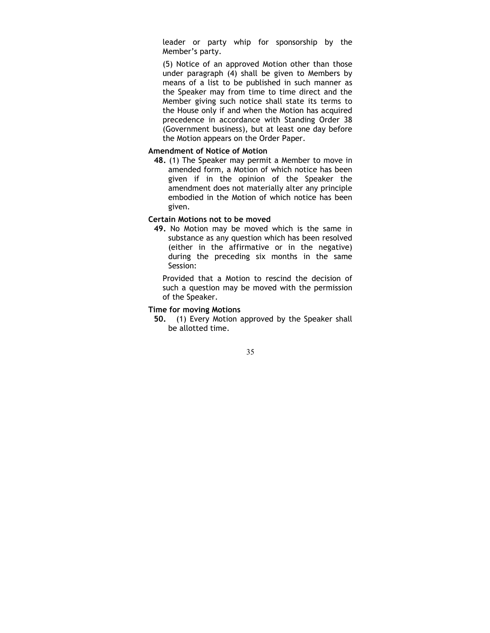leader or party whip for sponsorship by the Member's party.

(5) Notice of an approved Motion other than those under paragraph (4) shall be given to Members by means of a list to be published in such manner as the Speaker may from time to time direct and the Member giving such notice shall state its terms to the House only if and when the Motion has acquired precedence in accordance with Standing Order 38 (Government business), but at least one day before the Motion appears on the Order Paper.

### Amendment of Notice of Motion

48. (1) The Speaker may permit a Member to move in amended form, a Motion of which notice has been given if in the opinion of the Speaker the amendment does not materially alter any principle embodied in the Motion of which notice has been given.

### Certain Motions not to be moved

49. No Motion may be moved which is the same in substance as any question which has been resolved (either in the affirmative or in the negative) during the preceding six months in the same Session:

Provided that a Motion to rescind the decision of such a question may be moved with the permission of the Speaker.

## Time for moving Motions

50. (1) Every Motion approved by the Speaker shall be allotted time.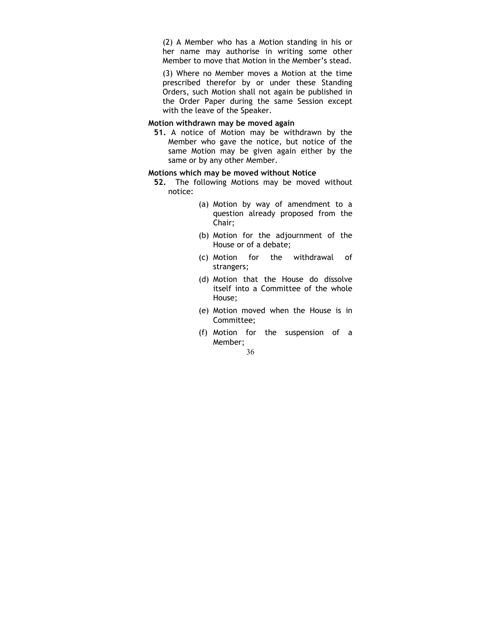(2) A Member who has a Motion standing in his or her name may authorise in writing some other Member to move that Motion in the Member's stead.

(3) Where no Member moves a Motion at the time prescribed therefor by or under these Standing Orders, such Motion shall not again be published in the Order Paper during the same Session except with the leave of the Speaker.

## Motion withdrawn may be moved again

51. A notice of Motion may be withdrawn by the Member who gave the notice, but notice of the same Motion may be given again either by the same or by any other Member.

### Motions which may be moved without Notice

- 52. The following Motions may be moved without notice:
	- (a) Motion by way of amendment to a question already proposed from the Chair;
	- (b) Motion for the adjournment of the House or of a debate;
	- (c) Motion for the withdrawal of strangers;
	- (d) Motion that the House do dissolve itself into a Committee of the whole House;
	- (e) Motion moved when the House is in Committee;
	- (f) Motion for the suspension of a Member;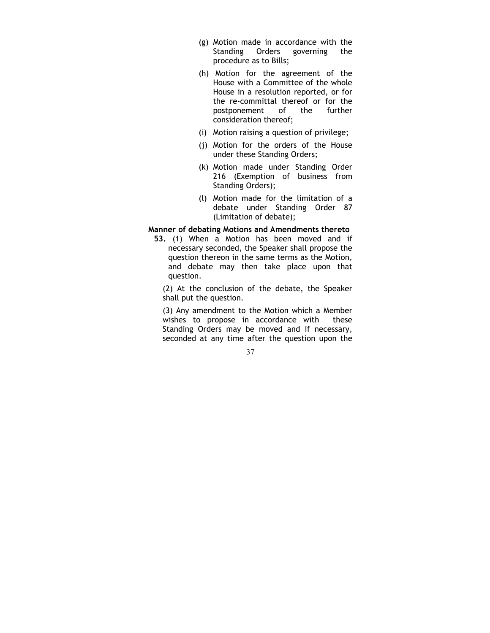- (g) Motion made in accordance with the Standing Orders governing the procedure as to Bills;
- (h) Motion for the agreement of the House with a Committee of the whole House in a resolution reported, or for the re-committal thereof or for the postponement of the further consideration thereof;
- (i) Motion raising a question of privilege;
- (j) Motion for the orders of the House under these Standing Orders;
- (k) Motion made under Standing Order 216 (Exemption of business from Standing Orders);
- (l) Motion made for the limitation of a debate under Standing Order 87 (Limitation of debate);

### Manner of debating Motions and Amendments thereto

53. (1) When a Motion has been moved and if necessary seconded, the Speaker shall propose the question thereon in the same terms as the Motion, and debate may then take place upon that question.

(2) At the conclusion of the debate, the Speaker shall put the question.

(3) Any amendment to the Motion which a Member wishes to propose in accordance with these Standing Orders may be moved and if necessary, seconded at any time after the question upon the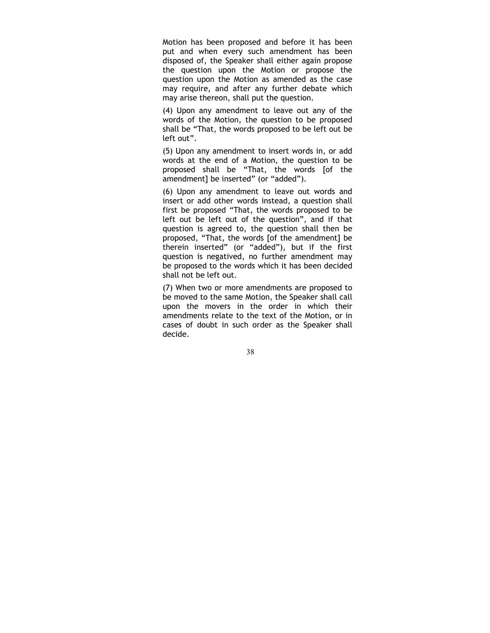Motion has been proposed and before it has been put and when every such amendment has been disposed of, the Speaker shall either again propose the question upon the Motion or propose the question upon the Motion as amended as the case may require, and after any further debate which may arise thereon, shall put the question.

(4) Upon any amendment to leave out any of the words of the Motion, the question to be proposed shall be "That, the words proposed to be left out be left out".

(5) Upon any amendment to insert words in, or add words at the end of a Motion, the question to be proposed shall be "That, the words [of the amendment] be inserted" (or "added").

(6) Upon any amendment to leave out words and insert or add other words instead, a question shall first be proposed "That, the words proposed to be left out be left out of the question", and if that question is agreed to, the question shall then be proposed, "That, the words [of the amendment] be therein inserted" (or "added"), but if the first question is negatived, no further amendment may be proposed to the words which it has been decided shall not be left out.

(7) When two or more amendments are proposed to be moved to the same Motion, the Speaker shall call upon the movers in the order in which their amendments relate to the text of the Motion, or in cases of doubt in such order as the Speaker shall decide.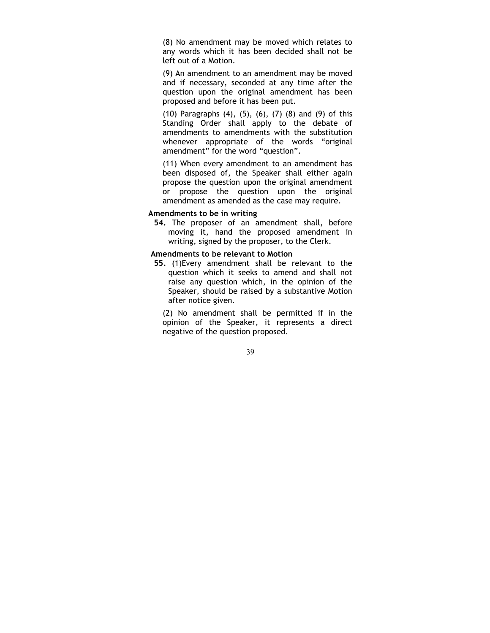(8) No amendment may be moved which relates to any words which it has been decided shall not be left out of a Motion.

(9) An amendment to an amendment may be moved and if necessary, seconded at any time after the question upon the original amendment has been proposed and before it has been put.

(10) Paragraphs (4), (5), (6), (7) (8) and (9) of this Standing Order shall apply to the debate of amendments to amendments with the substitution whenever appropriate of the words "original amendment" for the word "question".

(11) When every amendment to an amendment has been disposed of, the Speaker shall either again propose the question upon the original amendment or propose the question upon the original amendment as amended as the case may require.

### Amendments to be in writing

54. The proposer of an amendment shall, before moving it, hand the proposed amendment in writing, signed by the proposer, to the Clerk.

#### Amendments to be relevant to Motion

55. (1)Every amendment shall be relevant to the question which it seeks to amend and shall not raise any question which, in the opinion of the Speaker, should be raised by a substantive Motion after notice given.

(2) No amendment shall be permitted if in the opinion of the Speaker, it represents a direct negative of the question proposed.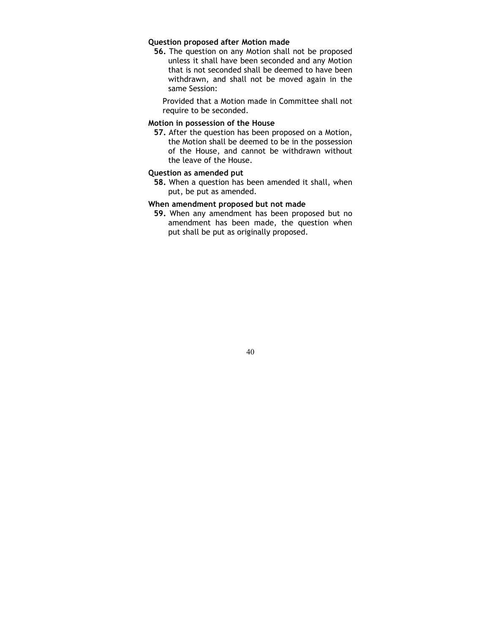## Question proposed after Motion made

56. The question on any Motion shall not be proposed unless it shall have been seconded and any Motion that is not seconded shall be deemed to have been withdrawn, and shall not be moved again in the same Session:

Provided that a Motion made in Committee shall not require to be seconded.

## Motion in possession of the House

57. After the question has been proposed on a Motion, the Motion shall be deemed to be in the possession of the House, and cannot be withdrawn without the leave of the House.

### Question as amended put

58. When a question has been amended it shall, when put, be put as amended.

## When amendment proposed but not made

59. When any amendment has been proposed but no amendment has been made, the question when put shall be put as originally proposed.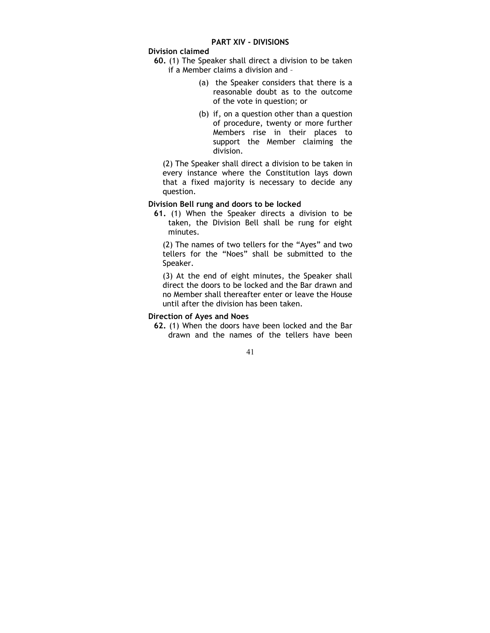## Division claimed

- 60. (1) The Speaker shall direct a division to be taken if a Member claims a division and –
	- (a) the Speaker considers that there is a reasonable doubt as to the outcome of the vote in question; or
	- (b) if, on a question other than a question of procedure, twenty or more further Members rise in their places to support the Member claiming the division.

(2) The Speaker shall direct a division to be taken in every instance where the Constitution lays down that a fixed majority is necessary to decide any question.

### Division Bell rung and doors to be locked

61. (1) When the Speaker directs a division to be taken, the Division Bell shall be rung for eight minutes.

(2) The names of two tellers for the "Ayes" and two tellers for the "Noes" shall be submitted to the Speaker.

(3) At the end of eight minutes, the Speaker shall direct the doors to be locked and the Bar drawn and no Member shall thereafter enter or leave the House until after the division has been taken.

## Direction of Ayes and Noes

62. (1) When the doors have been locked and the Bar drawn and the names of the tellers have been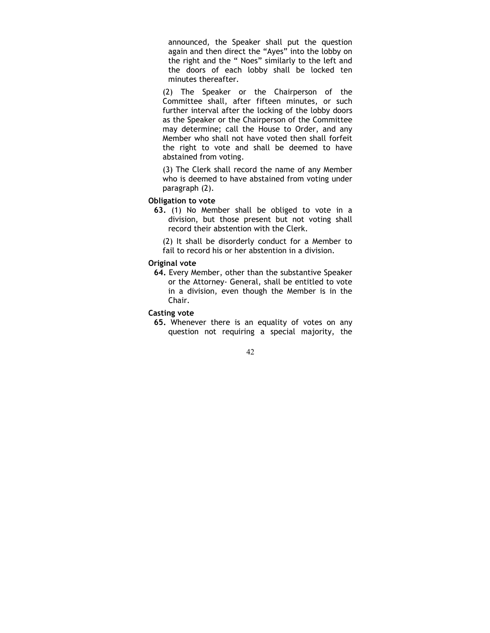announced, the Speaker shall put the question again and then direct the "Ayes" into the lobby on the right and the " Noes" similarly to the left and the doors of each lobby shall be locked ten minutes thereafter.

(2) The Speaker or the Chairperson of the Committee shall, after fifteen minutes, or such further interval after the locking of the lobby doors as the Speaker or the Chairperson of the Committee may determine; call the House to Order, and any Member who shall not have voted then shall forfeit the right to vote and shall be deemed to have abstained from voting.

(3) The Clerk shall record the name of any Member who is deemed to have abstained from voting under paragraph (2).

### Obligation to vote

63. (1) No Member shall be obliged to vote in a division, but those present but not voting shall record their abstention with the Clerk.

(2) It shall be disorderly conduct for a Member to fail to record his or her abstention in a division.

### Original vote

64. Every Member, other than the substantive Speaker or the Attorney- General, shall be entitled to vote in a division, even though the Member is in the Chair.

## Casting vote

65. Whenever there is an equality of votes on any question not requiring a special majority, the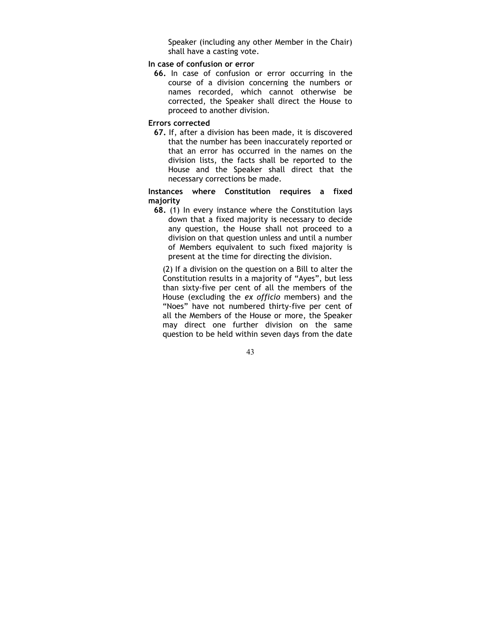Speaker (including any other Member in the Chair) shall have a casting vote.

## In case of confusion or error

66. In case of confusion or error occurring in the course of a division concerning the numbers or names recorded, which cannot otherwise be corrected, the Speaker shall direct the House to proceed to another division.

#### Errors corrected

67. If, after a division has been made, it is discovered that the number has been inaccurately reported or that an error has occurred in the names on the division lists, the facts shall be reported to the House and the Speaker shall direct that the necessary corrections be made.

Instances where Constitution requires a fixed majority

68. (1) In every instance where the Constitution lays down that a fixed majority is necessary to decide any question, the House shall not proceed to a division on that question unless and until a number of Members equivalent to such fixed majority is present at the time for directing the division.

(2) If a division on the question on a Bill to alter the Constitution results in a majority of "Ayes", but less than sixty-five per cent of all the members of the House (excluding the ex officio members) and the "Noes" have not numbered thirty-five per cent of all the Members of the House or more, the Speaker may direct one further division on the same question to be held within seven days from the date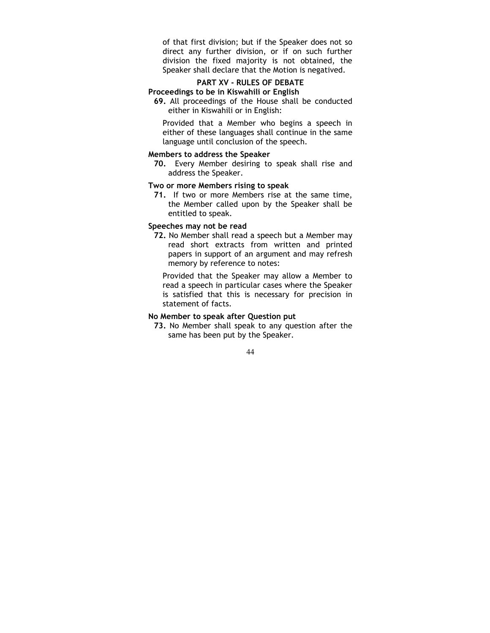of that first division; but if the Speaker does not so direct any further division, or if on such further division the fixed majority is not obtained, the Speaker shall declare that the Motion is negatived.

#### PART XV - RULES OF DEBATE Proceedings to be in Kiswahili or English

69. All proceedings of the House shall be conducted either in Kiswahili or in English:

Provided that a Member who begins a speech in either of these languages shall continue in the same language until conclusion of the speech.

## Members to address the Speaker

70. Every Member desiring to speak shall rise and address the Speaker.

## Two or more Members rising to speak

71. If two or more Members rise at the same time, the Member called upon by the Speaker shall be entitled to speak.

## Speeches may not be read

72. No Member shall read a speech but a Member may read short extracts from written and printed papers in support of an argument and may refresh memory by reference to notes:

Provided that the Speaker may allow a Member to read a speech in particular cases where the Speaker is satisfied that this is necessary for precision in statement of facts.

### No Member to speak after Question put

73. No Member shall speak to any question after the same has been put by the Speaker.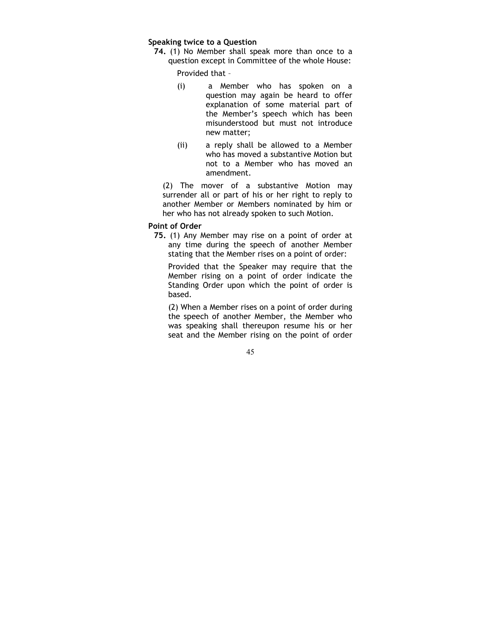#### Speaking twice to a Question

74. (1) No Member shall speak more than once to a question except in Committee of the whole House:

Provided that –

- (i) a Member who has spoken on a question may again be heard to offer explanation of some material part of the Member's speech which has been misunderstood but must not introduce new matter;
- (ii) a reply shall be allowed to a Member who has moved a substantive Motion but not to a Member who has moved an amendment.

(2) The mover of a substantive Motion may surrender all or part of his or her right to reply to another Member or Members nominated by him or her who has not already spoken to such Motion.

#### Point of Order

75. (1) Any Member may rise on a point of order at any time during the speech of another Member stating that the Member rises on a point of order:

Provided that the Speaker may require that the Member rising on a point of order indicate the Standing Order upon which the point of order is based.

(2) When a Member rises on a point of order during the speech of another Member, the Member who was speaking shall thereupon resume his or her seat and the Member rising on the point of order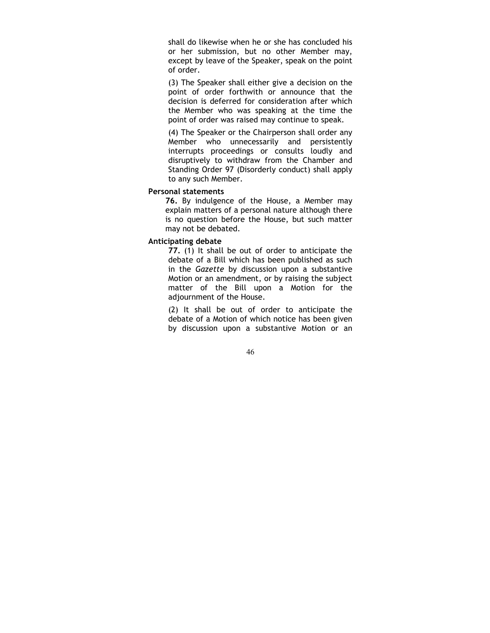shall do likewise when he or she has concluded his or her submission, but no other Member may, except by leave of the Speaker, speak on the point of order.

(3) The Speaker shall either give a decision on the point of order forthwith or announce that the decision is deferred for consideration after which the Member who was speaking at the time the point of order was raised may continue to speak.

(4) The Speaker or the Chairperson shall order any Member who unnecessarily and persistently interrupts proceedings or consults loudly and disruptively to withdraw from the Chamber and Standing Order 97 (Disorderly conduct) shall apply to any such Member.

#### Personal statements

76. By indulgence of the House, a Member may explain matters of a personal nature although there is no question before the House, but such matter may not be debated.

## Anticipating debate

77. (1) It shall be out of order to anticipate the debate of a Bill which has been published as such in the Gazette by discussion upon a substantive Motion or an amendment, or by raising the subject matter of the Bill upon a Motion for the adjournment of the House.

(2) It shall be out of order to anticipate the debate of a Motion of which notice has been given by discussion upon a substantive Motion or an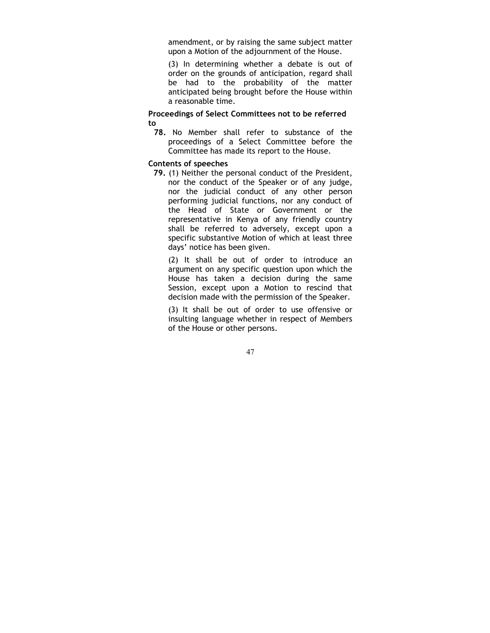amendment, or by raising the same subject matter upon a Motion of the adjournment of the House.

(3) In determining whether a debate is out of order on the grounds of anticipation, regard shall be had to the probability of the matter anticipated being brought before the House within a reasonable time.

Proceedings of Select Committees not to be referred to

78. No Member shall refer to substance of the proceedings of a Select Committee before the Committee has made its report to the House.

## Contents of speeches

79. (1) Neither the personal conduct of the President, nor the conduct of the Speaker or of any judge, nor the judicial conduct of any other person performing judicial functions, nor any conduct of the Head of State or Government or the representative in Kenya of any friendly country shall be referred to adversely, except upon a specific substantive Motion of which at least three days' notice has been given.

(2) It shall be out of order to introduce an argument on any specific question upon which the House has taken a decision during the same Session, except upon a Motion to rescind that decision made with the permission of the Speaker.

(3) It shall be out of order to use offensive or insulting language whether in respect of Members of the House or other persons.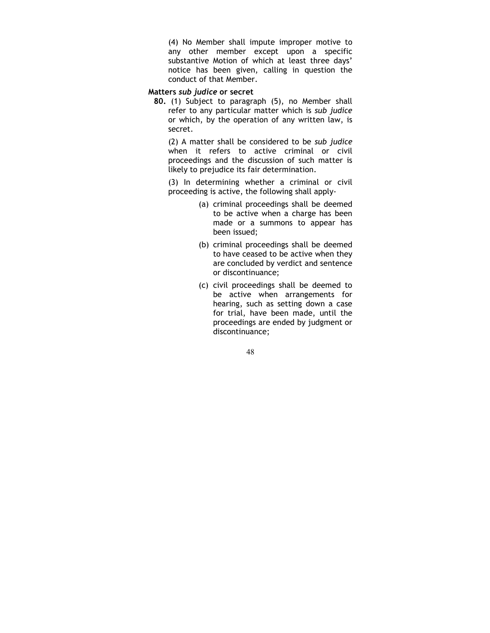(4) No Member shall impute improper motive to any other member except upon a specific substantive Motion of which at least three days' notice has been given, calling in question the conduct of that Member.

## Matters sub judice or secret

80. (1) Subject to paragraph (5), no Member shall refer to any particular matter which is sub judice or which, by the operation of any written law, is secret.

(2) A matter shall be considered to be sub judice when it refers to active criminal or civil proceedings and the discussion of such matter is likely to prejudice its fair determination.

(3) In determining whether a criminal or civil proceeding is active, the following shall apply-

- (a) criminal proceedings shall be deemed to be active when a charge has been made or a summons to appear has been issued;
- (b) criminal proceedings shall be deemed to have ceased to be active when they are concluded by verdict and sentence or discontinuance;
- (c) civil proceedings shall be deemed to be active when arrangements for hearing, such as setting down a case for trial, have been made, until the proceedings are ended by judgment or discontinuance;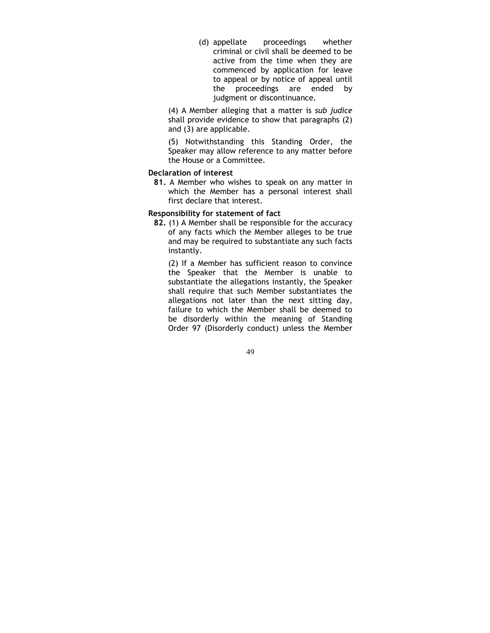(d) appellate proceedings whether criminal or civil shall be deemed to be active from the time when they are commenced by application for leave to appeal or by notice of appeal until the proceedings are ended by judgment or discontinuance.

(4) A Member alleging that a matter is sub judice shall provide evidence to show that paragraphs (2) and (3) are applicable.

(5) Notwithstanding this Standing Order, the Speaker may allow reference to any matter before the House or a Committee.

### Declaration of interest

81. A Member who wishes to speak on any matter in which the Member has a personal interest shall first declare that interest.

### Responsibility for statement of fact

82. (1) A Member shall be responsible for the accuracy of any facts which the Member alleges to be true and may be required to substantiate any such facts instantly.

(2) If a Member has sufficient reason to convince the Speaker that the Member is unable to substantiate the allegations instantly, the Speaker shall require that such Member substantiates the allegations not later than the next sitting day, failure to which the Member shall be deemed to be disorderly within the meaning of Standing Order 97 (Disorderly conduct) unless the Member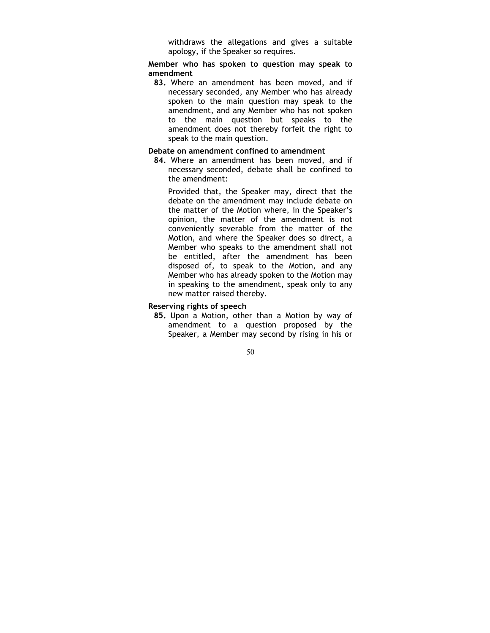withdraws the allegations and gives a suitable apology, if the Speaker so requires.

Member who has spoken to question may speak to amendment

83. Where an amendment has been moved, and if necessary seconded, any Member who has already spoken to the main question may speak to the amendment, and any Member who has not spoken to the main question but speaks to the amendment does not thereby forfeit the right to speak to the main question.

### Debate on amendment confined to amendment

84. Where an amendment has been moved, and if necessary seconded, debate shall be confined to the amendment:

Provided that, the Speaker may, direct that the debate on the amendment may include debate on the matter of the Motion where, in the Speaker's opinion, the matter of the amendment is not conveniently severable from the matter of the Motion, and where the Speaker does so direct, a Member who speaks to the amendment shall not be entitled, after the amendment has been disposed of, to speak to the Motion, and any Member who has already spoken to the Motion may in speaking to the amendment, speak only to any new matter raised thereby.

#### Reserving rights of speech

85. Upon a Motion, other than a Motion by way of amendment to a question proposed by the Speaker, a Member may second by rising in his or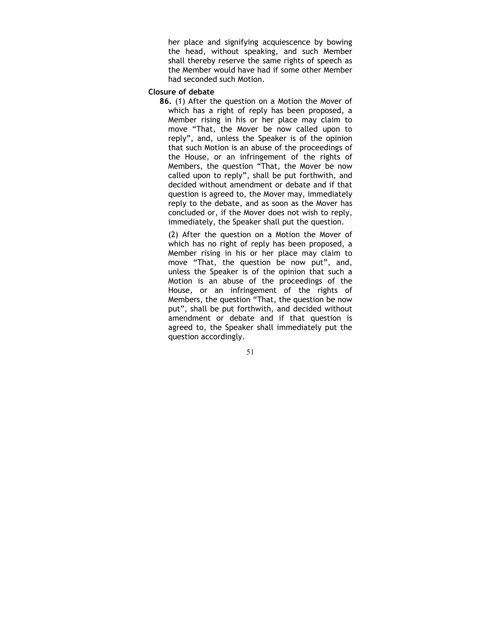her place and signifying acquiescence by bowing the head, without speaking, and such Member shall thereby reserve the same rights of speech as the Member would have had if some other Member had seconded such Motion.

## Closure of debate

86. (1) After the question on a Motion the Mover of which has a right of reply has been proposed, a Member rising in his or her place may claim to move "That, the Mover be now called upon to reply", and, unless the Speaker is of the opinion that such Motion is an abuse of the proceedings of the House, or an infringement of the rights of Members, the question "That, the Mover be now called upon to reply", shall be put forthwith, and decided without amendment or debate and if that question is agreed to, the Mover may, immediately reply to the debate, and as soon as the Mover has concluded or, if the Mover does not wish to reply, immediately, the Speaker shall put the question.

(2) After the question on a Motion the Mover of which has no right of reply has been proposed, a Member rising in his or her place may claim to move "That, the question be now put", and, unless the Speaker is of the opinion that such a Motion is an abuse of the proceedings of the House, or an infringement of the rights of Members, the question "That, the question be now put", shall be put forthwith, and decided without amendment or debate and if that question is agreed to, the Speaker shall immediately put the question accordingly.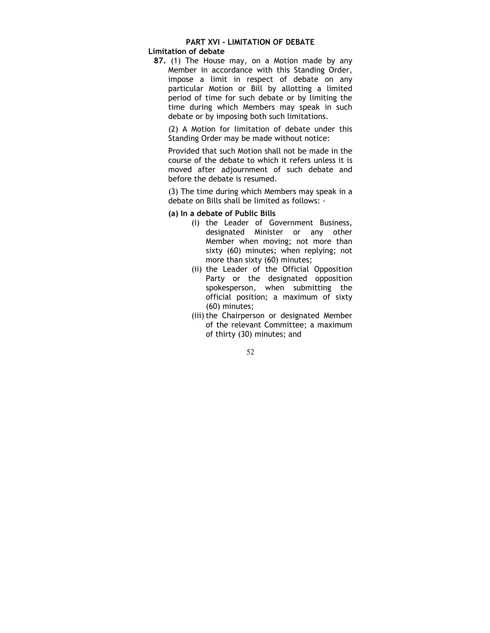## PART XVI - LIMITATION OF DEBATE

## Limitation of debate

87. (1) The House may, on a Motion made by any Member in accordance with this Standing Order, impose a limit in respect of debate on any particular Motion or Bill by allotting a limited period of time for such debate or by limiting the time during which Members may speak in such debate or by imposing both such limitations.

(2) A Motion for limitation of debate under this Standing Order may be made without notice:

Provided that such Motion shall not be made in the course of the debate to which it refers unless it is moved after adjournment of such debate and before the debate is resumed.

(3) The time during which Members may speak in a debate on Bills shall be limited as follows: -

- (a) In a debate of Public Bills
	- (i) the Leader of Government Business, designated Minister or any other Member when moving; not more than sixty (60) minutes; when replying; not more than sixty (60) minutes;
	- (ii) the Leader of the Official Opposition Party or the designated opposition spokesperson, when submitting the official position; a maximum of sixty (60) minutes;
	- (iii) the Chairperson or designated Member of the relevant Committee; a maximum of thirty (30) minutes; and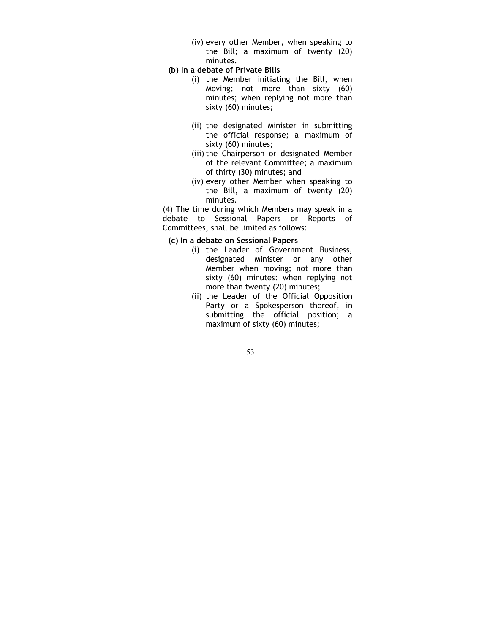(iv) every other Member, when speaking to the Bill; a maximum of twenty (20) minutes.

## (b) In a debate of Private Bills

- (i) the Member initiating the Bill, when Moving; not more than sixty (60) minutes; when replying not more than sixty (60) minutes;
- (ii) the designated Minister in submitting the official response; a maximum of sixty (60) minutes;
- (iii) the Chairperson or designated Member of the relevant Committee; a maximum of thirty (30) minutes; and
- (iv) every other Member when speaking to the Bill, a maximum of twenty (20) minutes.

(4) The time during which Members may speak in a debate to Sessional Papers or Reports of Committees, shall be limited as follows:

### (c) In a debate on Sessional Papers

- (i) the Leader of Government Business, designated Minister or any other Member when moving; not more than sixty (60) minutes: when replying not more than twenty (20) minutes;
- (ii) the Leader of the Official Opposition Party or a Spokesperson thereof, in submitting the official position; a maximum of sixty (60) minutes;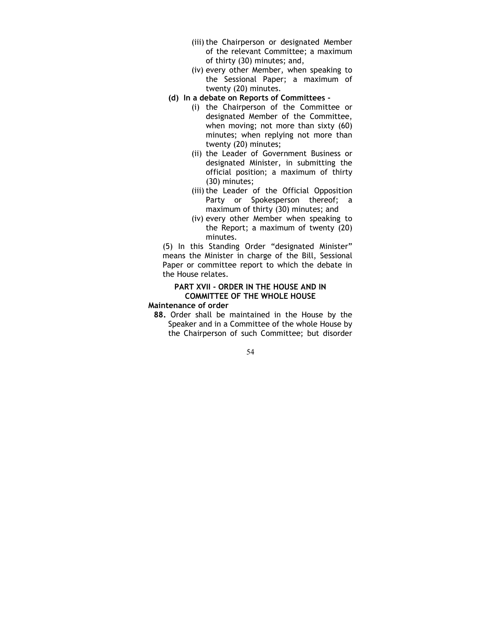- (iii) the Chairperson or designated Member of the relevant Committee; a maximum of thirty (30) minutes; and,
- (iv) every other Member, when speaking to the Sessional Paper; a maximum of twenty (20) minutes.
- (d) In a debate on Reports of Committees
	- (i) the Chairperson of the Committee or designated Member of the Committee, when moving; not more than sixty (60) minutes; when replying not more than twenty (20) minutes;
	- (ii) the Leader of Government Business or designated Minister, in submitting the official position; a maximum of thirty (30) minutes;
	- (iii) the Leader of the Official Opposition Party or Spokesperson thereof; a maximum of thirty (30) minutes; and
	- (iv) every other Member when speaking to the Report; a maximum of twenty (20) minutes.

(5) In this Standing Order "designated Minister" means the Minister in charge of the Bill, Sessional Paper or committee report to which the debate in the House relates.

## PART XVII - ORDER IN THE HOUSE AND IN COMMITTEE OF THE WHOLE HOUSE

#### Maintenance of order

88. Order shall be maintained in the House by the Speaker and in a Committee of the whole House by the Chairperson of such Committee; but disorder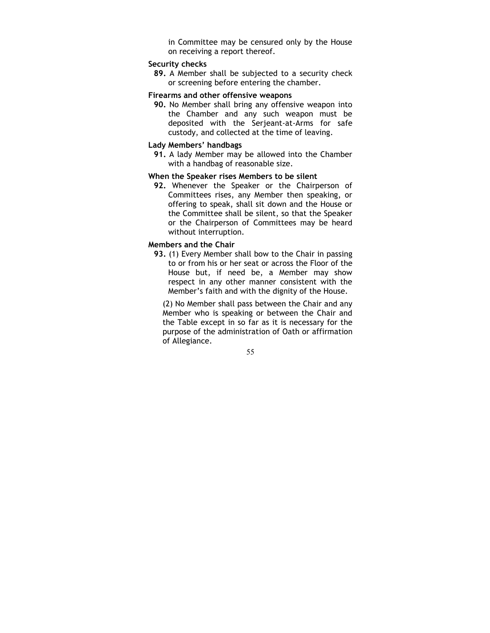in Committee may be censured only by the House on receiving a report thereof.

## Security checks

89. A Member shall be subjected to a security check or screening before entering the chamber.

#### Firearms and other offensive weapons

90. No Member shall bring any offensive weapon into the Chamber and any such weapon must be deposited with the Serjeant-at-Arms for safe custody, and collected at the time of leaving.

## Lady Members' handbags

91. A lady Member may be allowed into the Chamber with a handbag of reasonable size.

## When the Speaker rises Members to be silent

92. Whenever the Speaker or the Chairperson of Committees rises, any Member then speaking, or offering to speak, shall sit down and the House or the Committee shall be silent, so that the Speaker or the Chairperson of Committees may be heard without interruption.

### Members and the Chair

93. (1) Every Member shall bow to the Chair in passing to or from his or her seat or across the Floor of the House but, if need be, a Member may show respect in any other manner consistent with the Member's faith and with the dignity of the House.

(2) No Member shall pass between the Chair and any Member who is speaking or between the Chair and the Table except in so far as it is necessary for the purpose of the administration of Oath or affirmation of Allegiance.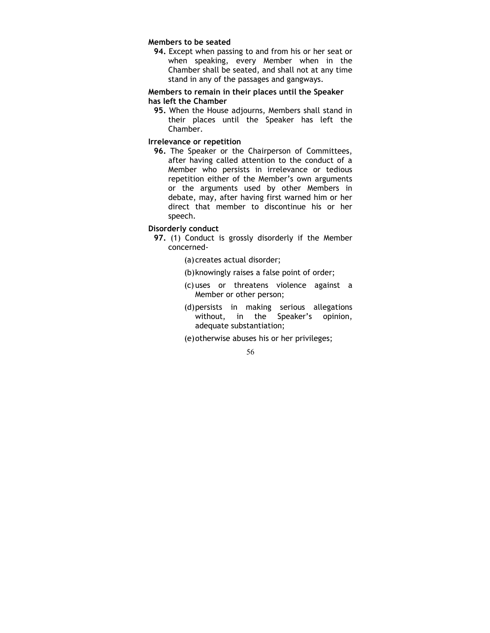#### Members to be seated

94. Except when passing to and from his or her seat or when speaking, every Member when in the Chamber shall be seated, and shall not at any time stand in any of the passages and gangways.

## Members to remain in their places until the Speaker has left the Chamber

95. When the House adjourns, Members shall stand in their places until the Speaker has left the Chamber.

## Irrelevance or repetition

96. The Speaker or the Chairperson of Committees, after having called attention to the conduct of a Member who persists in irrelevance or tedious repetition either of the Member's own arguments or the arguments used by other Members in debate, may, after having first warned him or her direct that member to discontinue his or her speech.

## Disorderly conduct

- 97. (1) Conduct is grossly disorderly if the Member concerned-
	- (a) creates actual disorder;
	- (b) knowingly raises a false point of order;
	- (c) uses or threatens violence against a Member or other person;
	- (d) persists in making serious allegations without, in the Speaker's opinion, adequate substantiation;
	- (e) otherwise abuses his or her privileges;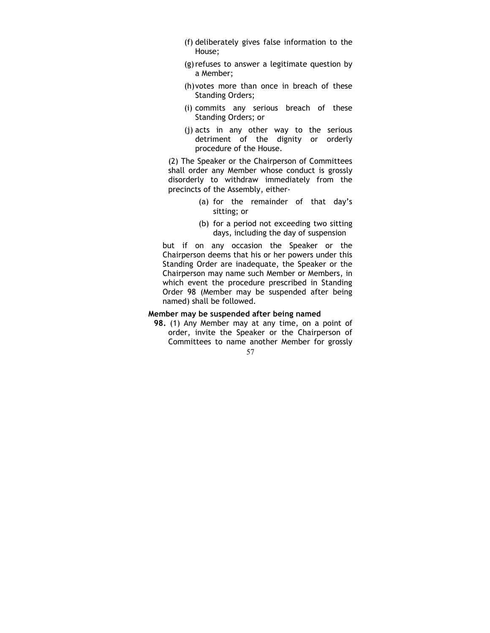- (f) deliberately gives false information to the House;
- (g) refuses to answer a legitimate question by a Member;
- (h) votes more than once in breach of these Standing Orders;
- (i) commits any serious breach of these Standing Orders; or
- (j) acts in any other way to the serious detriment of the dignity or orderly procedure of the House.

(2) The Speaker or the Chairperson of Committees shall order any Member whose conduct is grossly disorderly to withdraw immediately from the precincts of the Assembly, either-

- (a) for the remainder of that day's sitting; or
- (b) for a period not exceeding two sitting days, including the day of suspension

but if on any occasion the Speaker or the Chairperson deems that his or her powers under this Standing Order are inadequate, the Speaker or the Chairperson may name such Member or Members, in which event the procedure prescribed in Standing Order 98 (Member may be suspended after being named) shall be followed.

## Member may be suspended after being named

57 98. (1) Any Member may at any time, on a point of order, invite the Speaker or the Chairperson of Committees to name another Member for grossly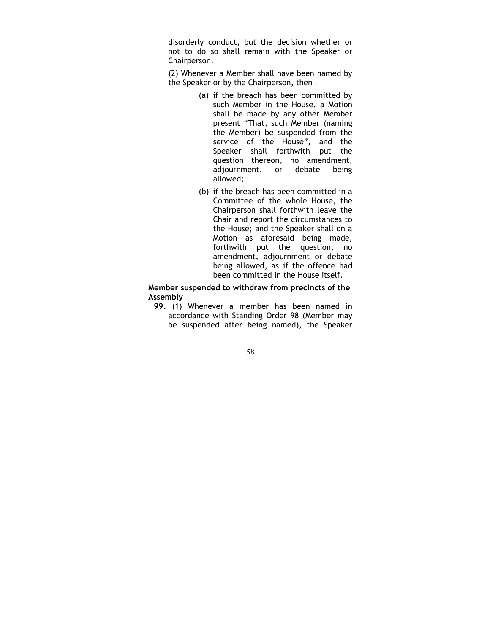disorderly conduct, but the decision whether or not to do so shall remain with the Speaker or Chairperson.

(2) Whenever a Member shall have been named by the Speaker or by the Chairperson, then –

- (a) if the breach has been committed by such Member in the House, a Motion shall be made by any other Member present "That, such Member (naming the Member) be suspended from the service of the House", and the Speaker shall forthwith put the question thereon, no amendment, adjournment, or debate being allowed;
- (b) if the breach has been committed in a Committee of the whole House, the Chairperson shall forthwith leave the Chair and report the circumstances to the House; and the Speaker shall on a Motion as aforesaid being made, forthwith put the question, no amendment, adjournment or debate being allowed, as if the offence had been committed in the House itself.

Member suspended to withdraw from precincts of the Assembly

- 99. (1) Whenever a member has been named in accordance with Standing Order 98 (Member may be suspended after being named), the Speaker
	- 58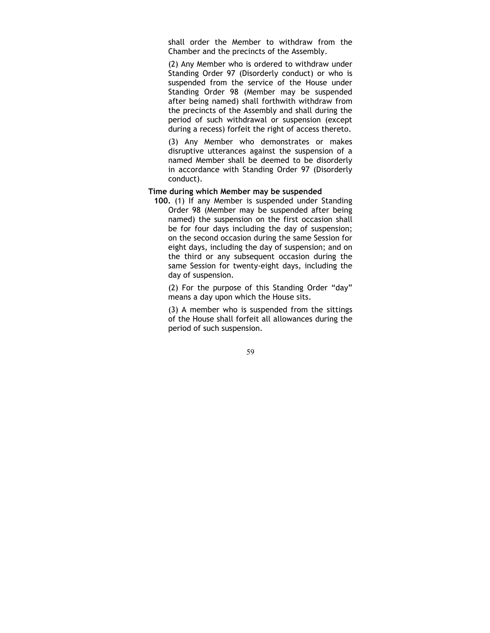shall order the Member to withdraw from the Chamber and the precincts of the Assembly.

(2) Any Member who is ordered to withdraw under Standing Order 97 (Disorderly conduct) or who is suspended from the service of the House under Standing Order 98 (Member may be suspended after being named) shall forthwith withdraw from the precincts of the Assembly and shall during the period of such withdrawal or suspension (except during a recess) forfeit the right of access thereto.

(3) Any Member who demonstrates or makes disruptive utterances against the suspension of a named Member shall be deemed to be disorderly in accordance with Standing Order 97 (Disorderly conduct).

### Time during which Member may be suspended

100. (1) If any Member is suspended under Standing Order 98 (Member may be suspended after being named) the suspension on the first occasion shall be for four days including the day of suspension; on the second occasion during the same Session for eight days, including the day of suspension; and on the third or any subsequent occasion during the same Session for twenty-eight days, including the day of suspension.

(2) For the purpose of this Standing Order "day" means a day upon which the House sits.

(3) A member who is suspended from the sittings of the House shall forfeit all allowances during the period of such suspension.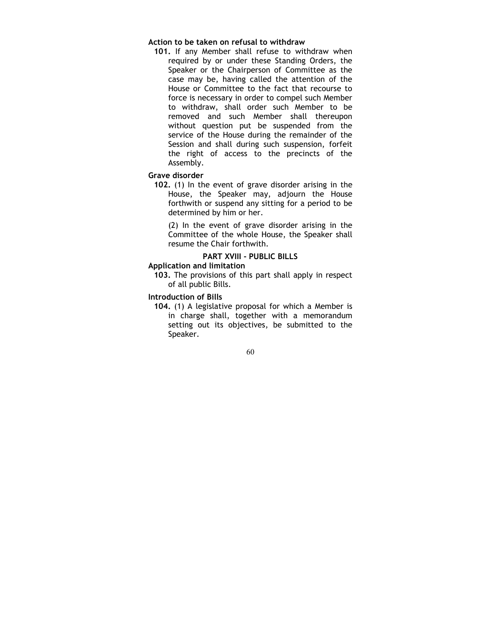### Action to be taken on refusal to withdraw

101. If any Member shall refuse to withdraw when required by or under these Standing Orders, the Speaker or the Chairperson of Committee as the case may be, having called the attention of the House or Committee to the fact that recourse to force is necessary in order to compel such Member to withdraw, shall order such Member to be removed and such Member shall thereupon without question put be suspended from the service of the House during the remainder of the Session and shall during such suspension, forfeit the right of access to the precincts of the Assembly.

#### Grave disorder

102. (1) In the event of grave disorder arising in the House, the Speaker may, adjourn the House forthwith or suspend any sitting for a period to be determined by him or her.

(2) In the event of grave disorder arising in the Committee of the whole House, the Speaker shall resume the Chair forthwith.

# PART XVIII - PUBLIC BILLS

### Application and limitation

103. The provisions of this part shall apply in respect of all public Bills.

### Introduction of Bills

104. (1) A legislative proposal for which a Member is in charge shall, together with a memorandum setting out its objectives, be submitted to the Speaker.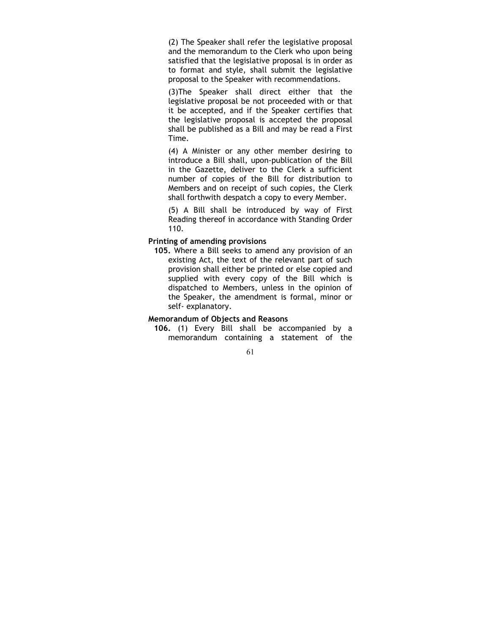(2) The Speaker shall refer the legislative proposal and the memorandum to the Clerk who upon being satisfied that the legislative proposal is in order as to format and style, shall submit the legislative proposal to the Speaker with recommendations.

(3)The Speaker shall direct either that the legislative proposal be not proceeded with or that it be accepted, and if the Speaker certifies that the legislative proposal is accepted the proposal shall be published as a Bill and may be read a First Time.

(4) A Minister or any other member desiring to introduce a Bill shall, upon-publication of the Bill in the Gazette, deliver to the Clerk a sufficient number of copies of the Bill for distribution to Members and on receipt of such copies, the Clerk shall forthwith despatch a copy to every Member.

(5) A Bill shall be introduced by way of First Reading thereof in accordance with Standing Order 110.

### Printing of amending provisions

105. Where a Bill seeks to amend any provision of an existing Act, the text of the relevant part of such provision shall either be printed or else copied and supplied with every copy of the Bill which is dispatched to Members, unless in the opinion of the Speaker, the amendment is formal, minor or self- explanatory.

### Memorandum of Objects and Reasons

106. (1) Every Bill shall be accompanied by a memorandum containing a statement of the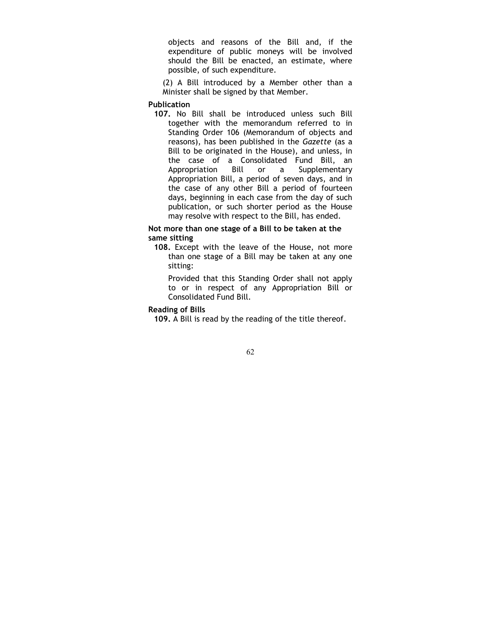objects and reasons of the Bill and, if the expenditure of public moneys will be involved should the Bill be enacted, an estimate, where possible, of such expenditure.

(2) A Bill introduced by a Member other than a Minister shall be signed by that Member.

### Publication

107. No Bill shall be introduced unless such Bill together with the memorandum referred to in Standing Order 106 (Memorandum of objects and reasons), has been published in the Gazette (as a Bill to be originated in the House), and unless, in the case of a Consolidated Fund Bill, an Appropriation Bill or a Supplementary Appropriation Bill, a period of seven days, and in the case of any other Bill a period of fourteen days, beginning in each case from the day of such publication, or such shorter period as the House may resolve with respect to the Bill, has ended.

### Not more than one stage of a Bill to be taken at the same sitting

108. Except with the leave of the House, not more than one stage of a Bill may be taken at any one sitting:

Provided that this Standing Order shall not apply to or in respect of any Appropriation Bill or Consolidated Fund Bill.

### Reading of Bills

109. A Bill is read by the reading of the title thereof.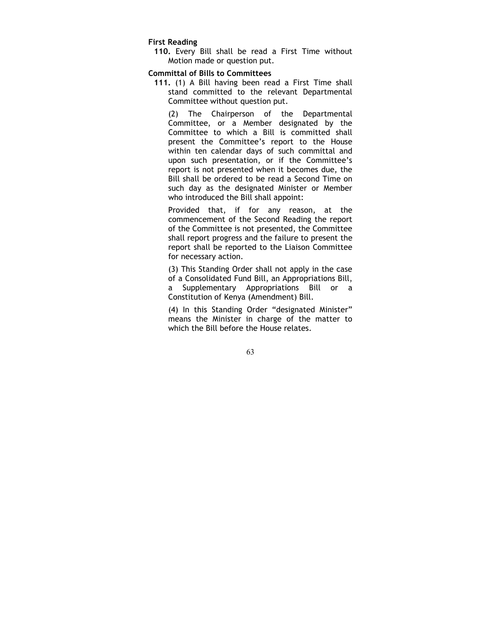#### First Reading

110. Every Bill shall be read a First Time without Motion made or question put.

#### Committal of Bills to Committees

111. (1) A Bill having been read a First Time shall stand committed to the relevant Departmental Committee without question put.

(2) The Chairperson of the Departmental Committee, or a Member designated by the Committee to which a Bill is committed shall present the Committee's report to the House within ten calendar days of such committal and upon such presentation, or if the Committee's report is not presented when it becomes due, the Bill shall be ordered to be read a Second Time on such day as the designated Minister or Member who introduced the Bill shall appoint:

Provided that, if for any reason, at the commencement of the Second Reading the report of the Committee is not presented, the Committee shall report progress and the failure to present the report shall be reported to the Liaison Committee for necessary action.

(3) This Standing Order shall not apply in the case of a Consolidated Fund Bill, an Appropriations Bill, a Supplementary Appropriations Bill or a Constitution of Kenya (Amendment) Bill.

(4) In this Standing Order "designated Minister" means the Minister in charge of the matter to which the Bill before the House relates.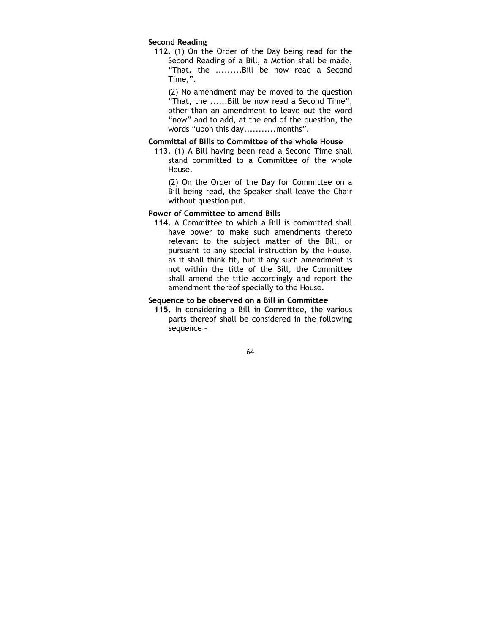#### Second Reading

112. (1) On the Order of the Day being read for the Second Reading of a Bill, a Motion shall be made, "That, the .........Bill be now read a Second Time,".

(2) No amendment may be moved to the question "That, the ......Bill be now read a Second Time", other than an amendment to leave out the word "now" and to add, at the end of the question, the words "upon this day...........months".

### Committal of Bills to Committee of the whole House

113. (1) A Bill having been read a Second Time shall stand committed to a Committee of the whole House.

(2) On the Order of the Day for Committee on a Bill being read, the Speaker shall leave the Chair without question put.

#### Power of Committee to amend Bills

114. A Committee to which a Bill is committed shall have power to make such amendments thereto relevant to the subject matter of the Bill, or pursuant to any special instruction by the House, as it shall think fit, but if any such amendment is not within the title of the Bill, the Committee shall amend the title accordingly and report the amendment thereof specially to the House.

# Sequence to be observed on a Bill in Committee

115. In considering a Bill in Committee, the various parts thereof shall be considered in the following sequence –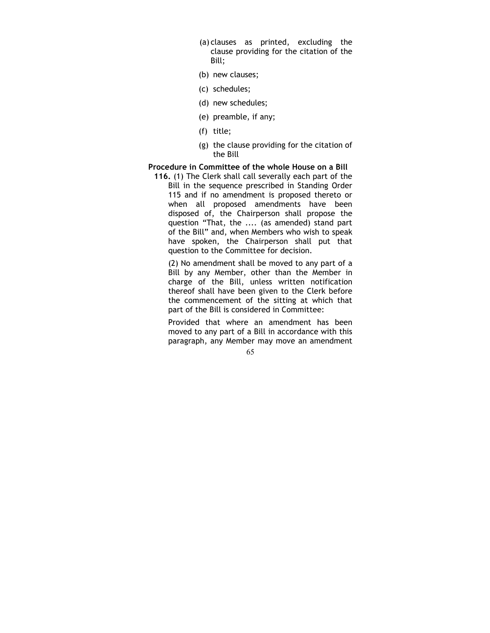- (a) clauses as printed, excluding the clause providing for the citation of the Bill;
- (b) new clauses;
- (c) schedules;
- (d) new schedules;
- (e) preamble, if any;
- (f) title;
- (g) the clause providing for the citation of the Bill

# Procedure in Committee of the whole House on a Bill

116. (1) The Clerk shall call severally each part of the Bill in the sequence prescribed in Standing Order 115 and if no amendment is proposed thereto or when all proposed amendments have been disposed of, the Chairperson shall propose the question "That, the .... (as amended) stand part of the Bill" and, when Members who wish to speak have spoken, the Chairperson shall put that question to the Committee for decision.

(2) No amendment shall be moved to any part of a Bill by any Member, other than the Member in charge of the Bill, unless written notification thereof shall have been given to the Clerk before the commencement of the sitting at which that part of the Bill is considered in Committee:

Provided that where an amendment has been moved to any part of a Bill in accordance with this paragraph, any Member may move an amendment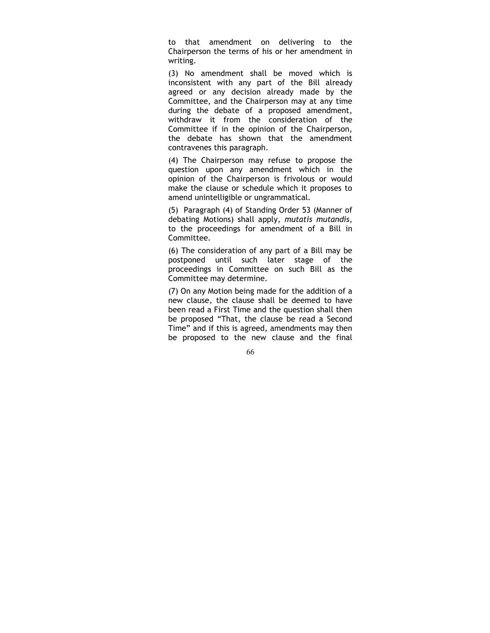to that amendment on delivering to the Chairperson the terms of his or her amendment in writing.

(3) No amendment shall be moved which is inconsistent with any part of the Bill already agreed or any decision already made by the Committee, and the Chairperson may at any time during the debate of a proposed amendment, withdraw it from the consideration of the Committee if in the opinion of the Chairperson, the debate has shown that the amendment contravenes this paragraph.

(4) The Chairperson may refuse to propose the question upon any amendment which in the opinion of the Chairperson is frivolous or would make the clause or schedule which it proposes to amend unintelligible or ungrammatical.

(5) Paragraph (4) of Standing Order 53 (Manner of debating Motions) shall apply, mutatis mutandis, to the proceedings for amendment of a Bill in Committee.

(6) The consideration of any part of a Bill may be postponed until such later stage of the proceedings in Committee on such Bill as the Committee may determine.

(7) On any Motion being made for the addition of a new clause, the clause shall be deemed to have been read a First Time and the question shall then be proposed "That, the clause be read a Second Time" and if this is agreed, amendments may then be proposed to the new clause and the final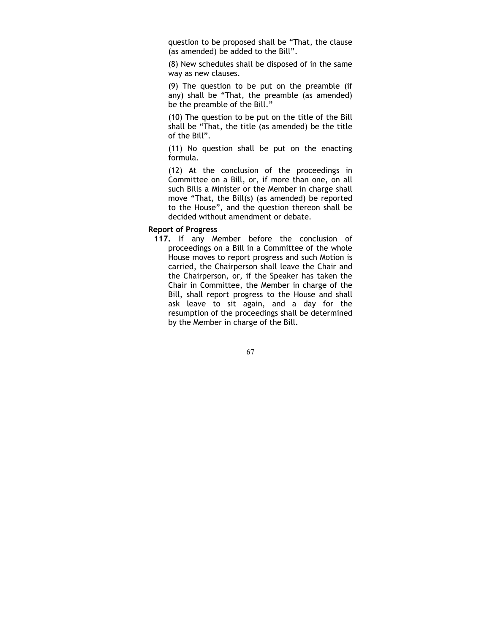question to be proposed shall be "That, the clause (as amended) be added to the Bill".

(8) New schedules shall be disposed of in the same way as new clauses.

(9) The question to be put on the preamble (if any) shall be "That, the preamble (as amended) be the preamble of the Bill."

(10) The question to be put on the title of the Bill shall be "That, the title (as amended) be the title of the Bill".

(11) No question shall be put on the enacting formula.

(12) At the conclusion of the proceedings in Committee on a Bill, or, if more than one, on all such Bills a Minister or the Member in charge shall move "That, the Bill(s) (as amended) be reported to the House", and the question thereon shall be decided without amendment or debate.

#### Report of Progress

117. If any Member before the conclusion of proceedings on a Bill in a Committee of the whole House moves to report progress and such Motion is carried, the Chairperson shall leave the Chair and the Chairperson, or, if the Speaker has taken the Chair in Committee, the Member in charge of the Bill, shall report progress to the House and shall ask leave to sit again, and a day for the resumption of the proceedings shall be determined by the Member in charge of the Bill.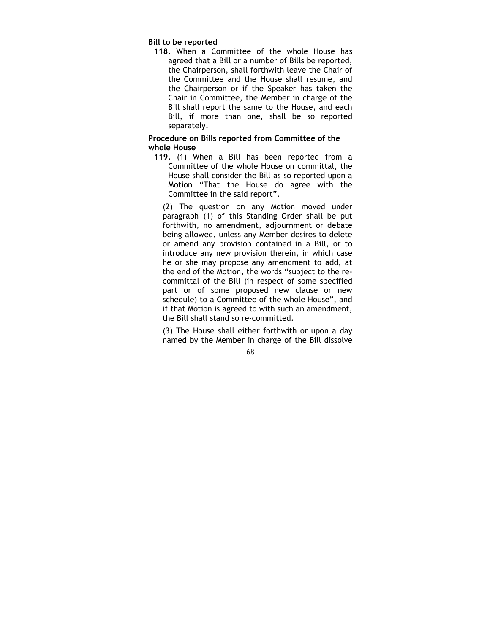### Bill to be reported

118. When a Committee of the whole House has agreed that a Bill or a number of Bills be reported, the Chairperson, shall forthwith leave the Chair of the Committee and the House shall resume, and the Chairperson or if the Speaker has taken the Chair in Committee, the Member in charge of the Bill shall report the same to the House, and each Bill, if more than one, shall be so reported separately.

### Procedure on Bills reported from Committee of the whole House

119. (1) When a Bill has been reported from a Committee of the whole House on committal, the House shall consider the Bill as so reported upon a Motion "That the House do agree with the Committee in the said report".

(2) The question on any Motion moved under paragraph (1) of this Standing Order shall be put forthwith, no amendment, adjournment or debate being allowed, unless any Member desires to delete or amend any provision contained in a Bill, or to introduce any new provision therein, in which case he or she may propose any amendment to add, at the end of the Motion, the words "subject to the recommittal of the Bill (in respect of some specified part or of some proposed new clause or new schedule) to a Committee of the whole House", and if that Motion is agreed to with such an amendment, the Bill shall stand so re-committed.

(3) The House shall either forthwith or upon a day named by the Member in charge of the Bill dissolve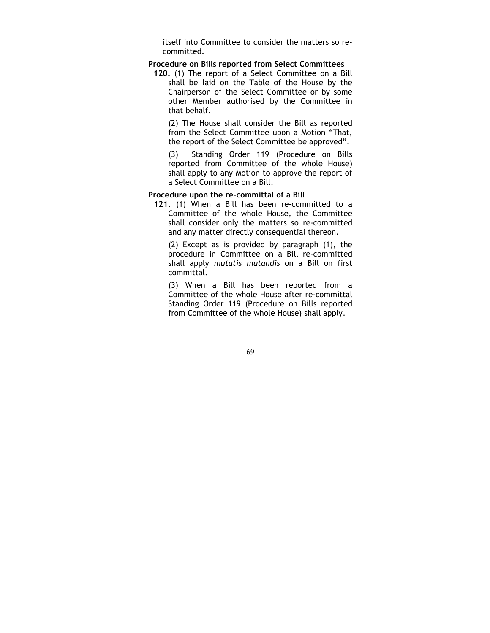itself into Committee to consider the matters so recommitted.

#### Procedure on Bills reported from Select Committees

120. (1) The report of a Select Committee on a Bill shall be laid on the Table of the House by the Chairperson of the Select Committee or by some other Member authorised by the Committee in that behalf.

(2) The House shall consider the Bill as reported from the Select Committee upon a Motion "That, the report of the Select Committee be approved".

(3) Standing Order 119 (Procedure on Bills reported from Committee of the whole House) shall apply to any Motion to approve the report of a Select Committee on a Bill.

### Procedure upon the re-committal of a Bill

121. (1) When a Bill has been re-committed to a Committee of the whole House, the Committee shall consider only the matters so re-committed and any matter directly consequential thereon.

(2) Except as is provided by paragraph (1), the procedure in Committee on a Bill re-committed shall apply mutatis mutandis on a Bill on first committal.

(3) When a Bill has been reported from a Committee of the whole House after re-committal Standing Order 119 (Procedure on Bills reported from Committee of the whole House) shall apply.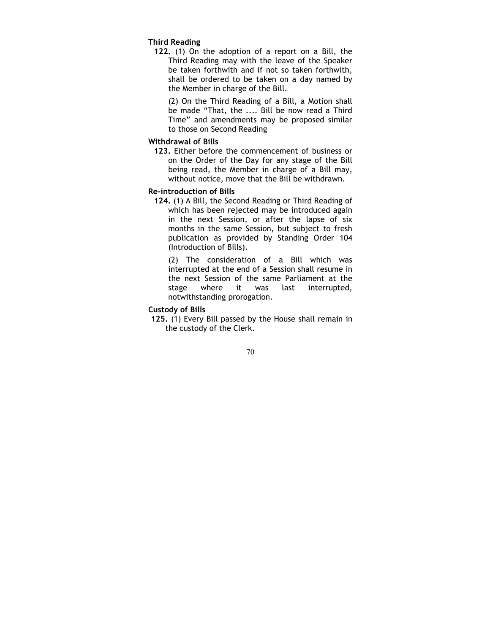### Third Reading

122. (1) On the adoption of a report on a Bill, the Third Reading may with the leave of the Speaker be taken forthwith and if not so taken forthwith, shall be ordered to be taken on a day named by the Member in charge of the Bill.

(2) On the Third Reading of a Bill, a Motion shall be made "That, the .... Bill be now read a Third Time" and amendments may be proposed similar to those on Second Reading

### Withdrawal of Bills

123. Either before the commencement of business or on the Order of the Day for any stage of the Bill being read, the Member in charge of a Bill may, without notice, move that the Bill be withdrawn.

### Re-introduction of Bills

124. (1) A Bill, the Second Reading or Third Reading of which has been rejected may be introduced again in the next Session, or after the lapse of six months in the same Session, but subject to fresh publication as provided by Standing Order 104 (Introduction of Bills).

(2) The consideration of a Bill which was interrupted at the end of a Session shall resume in the next Session of the same Parliament at the stage where it was last interrupted, notwithstanding prorogation.

#### Custody of Bills

125. (1) Every Bill passed by the House shall remain in the custody of the Clerk.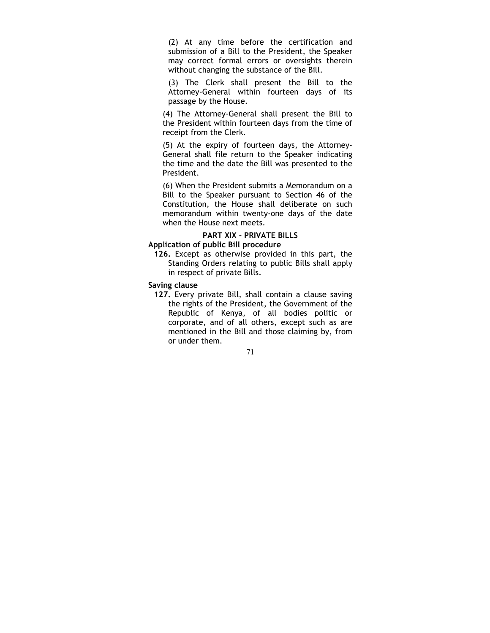(2) At any time before the certification and submission of a Bill to the President, the Speaker may correct formal errors or oversights therein without changing the substance of the Bill.

(3) The Clerk shall present the Bill to the Attorney-General within fourteen days of its passage by the House.

(4) The Attorney-General shall present the Bill to the President within fourteen days from the time of receipt from the Clerk.

(5) At the expiry of fourteen days, the Attorney-General shall file return to the Speaker indicating the time and the date the Bill was presented to the President.

(6) When the President submits a Memorandum on a Bill to the Speaker pursuant to Section 46 of the Constitution, the House shall deliberate on such memorandum within twenty-one days of the date when the House next meets.

### PART XIX - PRIVATE BILLS

# Application of public Bill procedure

126. Except as otherwise provided in this part, the Standing Orders relating to public Bills shall apply in respect of private Bills.

### Saving clause

127. Every private Bill, shall contain a clause saving the rights of the President, the Government of the Republic of Kenya, of all bodies politic or corporate, and of all others, except such as are mentioned in the Bill and those claiming by, from or under them.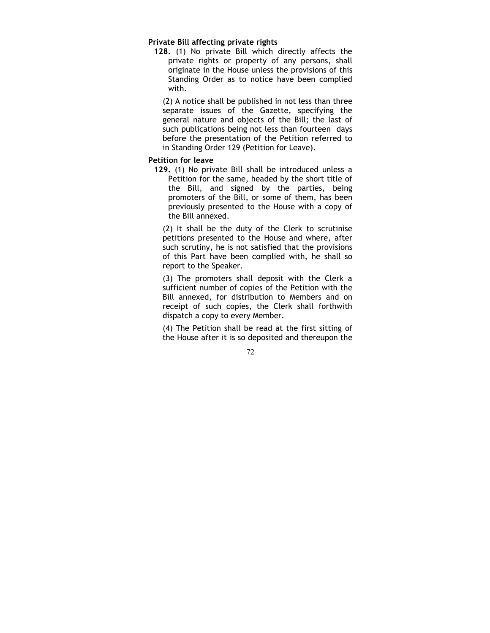### Private Bill affecting private rights

128. (1) No private Bill which directly affects the private rights or property of any persons, shall originate in the House unless the provisions of this Standing Order as to notice have been complied with.

(2) A notice shall be published in not less than three separate issues of the Gazette, specifying the general nature and objects of the Bill; the last of such publications being not less than fourteen days before the presentation of the Petition referred to in Standing Order 129 (Petition for Leave).

#### Petition for leave

129. (1) No private Bill shall be introduced unless a Petition for the same, headed by the short title of the Bill, and signed by the parties, being promoters of the Bill, or some of them, has been previously presented to the House with a copy of the Bill annexed.

(2) It shall be the duty of the Clerk to scrutinise petitions presented to the House and where, after such scrutiny, he is not satisfied that the provisions of this Part have been complied with, he shall so report to the Speaker.

(3) The promoters shall deposit with the Clerk a sufficient number of copies of the Petition with the Bill annexed, for distribution to Members and on receipt of such copies, the Clerk shall forthwith dispatch a copy to every Member.

(4) The Petition shall be read at the first sitting of the House after it is so deposited and thereupon the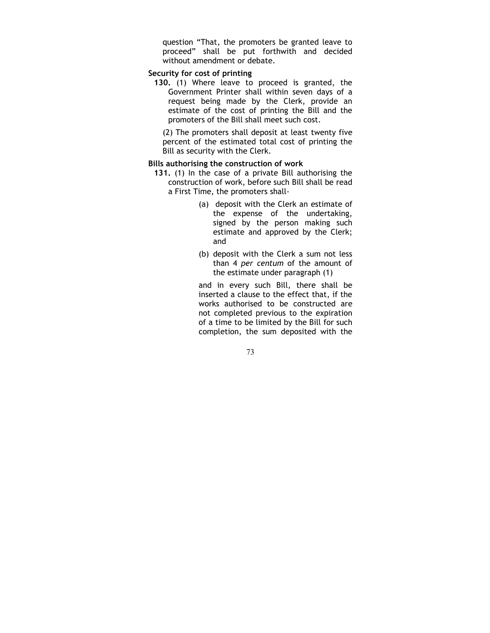question "That, the promoters be granted leave to proceed" shall be put forthwith and decided without amendment or debate.

### Security for cost of printing

130. (1) Where leave to proceed is granted, the Government Printer shall within seven days of a request being made by the Clerk, provide an estimate of the cost of printing the Bill and the promoters of the Bill shall meet such cost.

(2) The promoters shall deposit at least twenty five percent of the estimated total cost of printing the Bill as security with the Clerk.

### Bills authorising the construction of work

- 131. (1) In the case of a private Bill authorising the construction of work, before such Bill shall be read a First Time, the promoters shall-
	- (a) deposit with the Clerk an estimate of the expense of the undertaking, signed by the person making such estimate and approved by the Clerk; and
	- (b) deposit with the Clerk a sum not less than 4 per centum of the amount of the estimate under paragraph (1)

and in every such Bill, there shall be inserted a clause to the effect that, if the works authorised to be constructed are not completed previous to the expiration of a time to be limited by the Bill for such completion, the sum deposited with the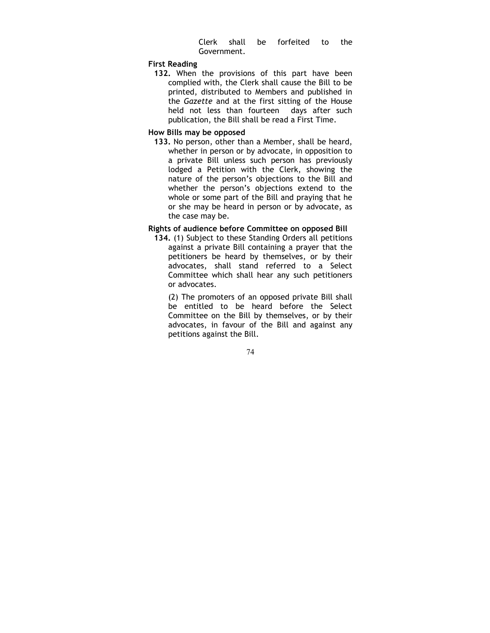Clerk shall be forfeited to the Government.

### First Reading

132. When the provisions of this part have been complied with, the Clerk shall cause the Bill to be printed, distributed to Members and published in the Gazette and at the first sitting of the House held not less than fourteen days after such publication, the Bill shall be read a First Time.

### How Bills may be opposed

133. No person, other than a Member, shall be heard, whether in person or by advocate, in opposition to a private Bill unless such person has previously lodged a Petition with the Clerk, showing the nature of the person's objections to the Bill and whether the person's objections extend to the whole or some part of the Bill and praying that he or she may be heard in person or by advocate, as the case may be.

### Rights of audience before Committee on opposed Bill

134. (1) Subject to these Standing Orders all petitions against a private Bill containing a prayer that the petitioners be heard by themselves, or by their advocates, shall stand referred to a Select Committee which shall hear any such petitioners or advocates.

(2) The promoters of an opposed private Bill shall be entitled to be heard before the Select Committee on the Bill by themselves, or by their advocates, in favour of the Bill and against any petitions against the Bill.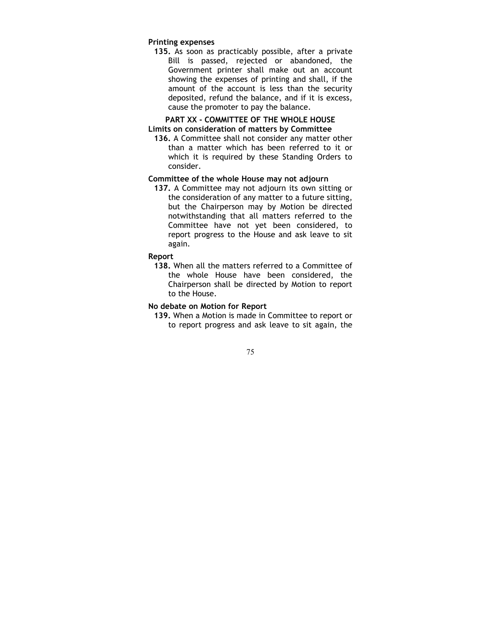### Printing expenses

135. As soon as practicably possible, after a private Bill is passed, rejected or abandoned, the Government printer shall make out an account showing the expenses of printing and shall, if the amount of the account is less than the security deposited, refund the balance, and if it is excess, cause the promoter to pay the balance.

### PART XX - COMMITTEE OF THE WHOLE HOUSE Limits on consideration of matters by Committee

136. A Committee shall not consider any matter other than a matter which has been referred to it or which it is required by these Standing Orders to consider.

### Committee of the whole House may not adjourn

137. A Committee may not adjourn its own sitting or the consideration of any matter to a future sitting, but the Chairperson may by Motion be directed notwithstanding that all matters referred to the Committee have not yet been considered, to report progress to the House and ask leave to sit again.

### Report

138. When all the matters referred to a Committee of the whole House have been considered, the Chairperson shall be directed by Motion to report to the House.

### No debate on Motion for Report

139. When a Motion is made in Committee to report or to report progress and ask leave to sit again, the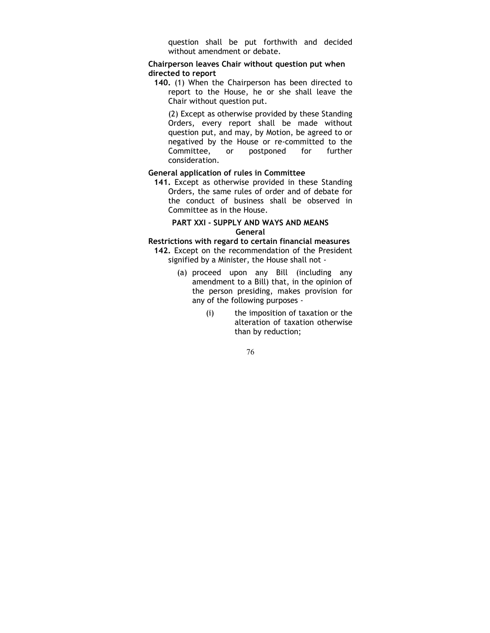question shall be put forthwith and decided without amendment or debate.

### Chairperson leaves Chair without question put when directed to report

140. (1) When the Chairperson has been directed to report to the House, he or she shall leave the Chair without question put.

(2) Except as otherwise provided by these Standing Orders, every report shall be made without question put, and may, by Motion, be agreed to or negatived by the House or re-committed to the<br>Committee, or postponed for further Committee, or postponed for further consideration.

### General application of rules in Committee

141. Except as otherwise provided in these Standing Orders, the same rules of order and of debate for the conduct of business shall be observed in Committee as in the House.

### PART XXI - SUPPLY AND WAYS AND MEANS General

Restrictions with regard to certain financial measures

142. Except on the recommendation of the President signified by a Minister, the House shall not -

- (a) proceed upon any Bill (including any amendment to a Bill) that, in the opinion of the person presiding, makes provision for any of the following purposes -
	- (i) the imposition of taxation or the alteration of taxation otherwise than by reduction;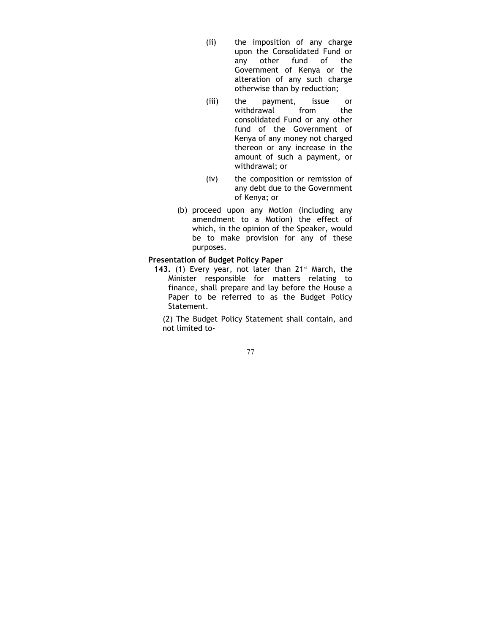- (ii) the imposition of any charge upon the Consolidated Fund or any other fund of the Government of Kenya or the alteration of any such charge otherwise than by reduction;
- (iii) the payment, issue or withdrawal from the consolidated Fund or any other fund of the Government of Kenya of any money not charged thereon or any increase in the amount of such a payment, or withdrawal; or
- (iv) the composition or remission of any debt due to the Government of Kenya; or
- (b) proceed upon any Motion (including any amendment to a Motion) the effect of which, in the opinion of the Speaker, would be to make provision for any of these purposes.

### Presentation of Budget Policy Paper

143. (1) Every year, not later than  $21^{st}$  March, the Minister responsible for matters relating to finance, shall prepare and lay before the House a Paper to be referred to as the Budget Policy Statement.

(2) The Budget Policy Statement shall contain, and not limited to-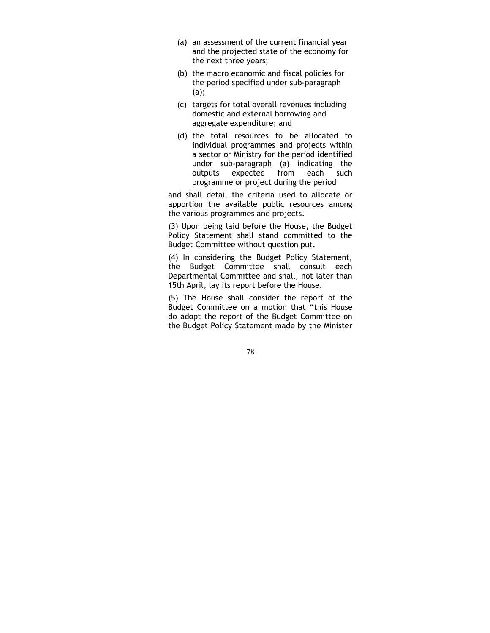- (a) an assessment of the current financial year and the projected state of the economy for the next three years;
- (b) the macro economic and fiscal policies for the period specified under sub-paragraph (a);
- (c) targets for total overall revenues including domestic and external borrowing and aggregate expenditure; and
- (d) the total resources to be allocated to individual programmes and projects within a sector or Ministry for the period identified under sub-paragraph (a) indicating the outputs expected from each such programme or project during the period

and shall detail the criteria used to allocate or apportion the available public resources among the various programmes and projects.

(3) Upon being laid before the House, the Budget Policy Statement shall stand committed to the Budget Committee without question put.

(4) In considering the Budget Policy Statement, the Budget Committee shall consult each Departmental Committee and shall, not later than 15th April, lay its report before the House.

(5) The House shall consider the report of the Budget Committee on a motion that "this House do adopt the report of the Budget Committee on the Budget Policy Statement made by the Minister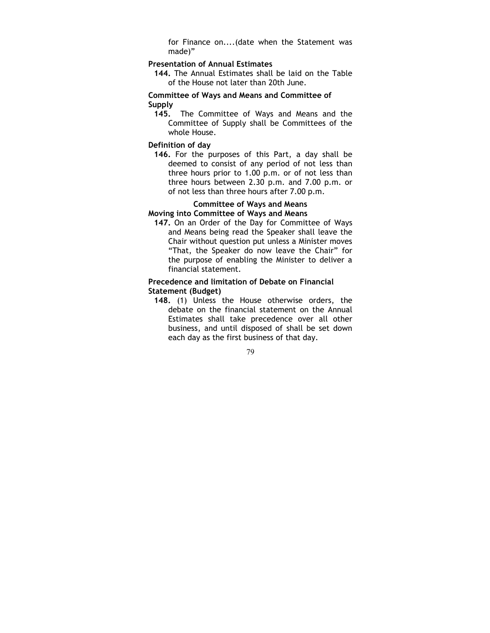for Finance on....(date when the Statement was made)"

#### Presentation of Annual Estimates

144. The Annual Estimates shall be laid on the Table of the House not later than 20th June.

### Committee of Ways and Means and Committee of Supply

145. The Committee of Ways and Means and the Committee of Supply shall be Committees of the whole House.

#### Definition of day

146. For the purposes of this Part, a day shall be deemed to consist of any period of not less than three hours prior to 1.00 p.m. or of not less than three hours between 2.30 p.m. and 7.00 p.m. or of not less than three hours after 7.00 p.m.

### Committee of Ways and Means

### Moving into Committee of Ways and Means

147. On an Order of the Day for Committee of Ways and Means being read the Speaker shall leave the Chair without question put unless a Minister moves "That, the Speaker do now leave the Chair" for the purpose of enabling the Minister to deliver a financial statement.

### Precedence and limitation of Debate on Financial Statement (Budget)

148. (1) Unless the House otherwise orders, the debate on the financial statement on the Annual Estimates shall take precedence over all other business, and until disposed of shall be set down each day as the first business of that day.

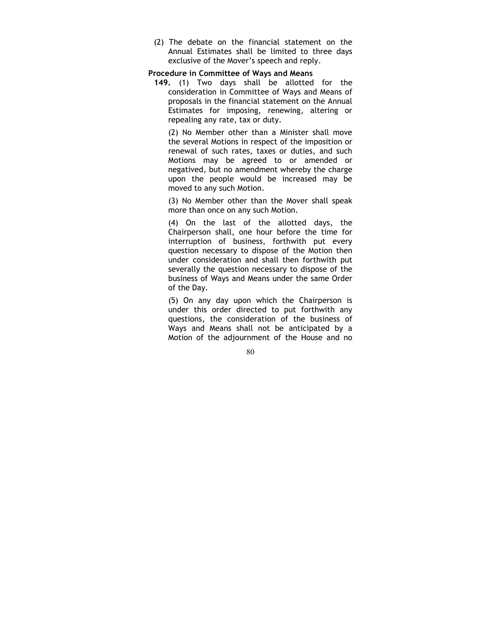(2) The debate on the financial statement on the Annual Estimates shall be limited to three days exclusive of the Mover's speech and reply.

#### Procedure in Committee of Ways and Means

149. (1) Two days shall be allotted for the consideration in Committee of Ways and Means of proposals in the financial statement on the Annual Estimates for imposing, renewing, altering or repealing any rate, tax or duty.

(2) No Member other than a Minister shall move the several Motions in respect of the imposition or renewal of such rates, taxes or duties, and such Motions may be agreed to or amended or negatived, but no amendment whereby the charge upon the people would be increased may be moved to any such Motion.

(3) No Member other than the Mover shall speak more than once on any such Motion.

(4) On the last of the allotted days, the Chairperson shall, one hour before the time for interruption of business, forthwith put every question necessary to dispose of the Motion then under consideration and shall then forthwith put severally the question necessary to dispose of the business of Ways and Means under the same Order of the Day.

(5) On any day upon which the Chairperson is under this order directed to put forthwith any questions, the consideration of the business of Ways and Means shall not be anticipated by a Motion of the adjournment of the House and no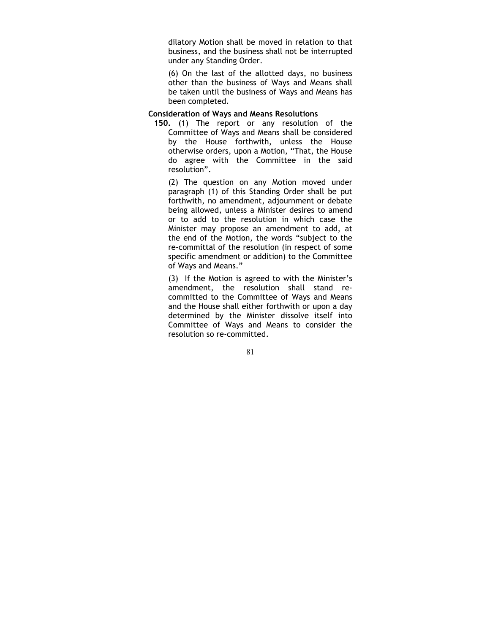dilatory Motion shall be moved in relation to that business, and the business shall not be interrupted under any Standing Order.

(6) On the last of the allotted days, no business other than the business of Ways and Means shall be taken until the business of Ways and Means has been completed.

#### Consideration of Ways and Means Resolutions

150. (1) The report or any resolution of the Committee of Ways and Means shall be considered by the House forthwith, unless the House otherwise orders, upon a Motion, "That, the House do agree with the Committee in the said resolution".

(2) The question on any Motion moved under paragraph (1) of this Standing Order shall be put forthwith, no amendment, adjournment or debate being allowed, unless a Minister desires to amend or to add to the resolution in which case the Minister may propose an amendment to add, at the end of the Motion, the words "subject to the re-committal of the resolution (in respect of some specific amendment or addition) to the Committee of Ways and Means."

(3) If the Motion is agreed to with the Minister's amendment, the resolution shall stand recommitted to the Committee of Ways and Means and the House shall either forthwith or upon a day determined by the Minister dissolve itself into Committee of Ways and Means to consider the resolution so re-committed.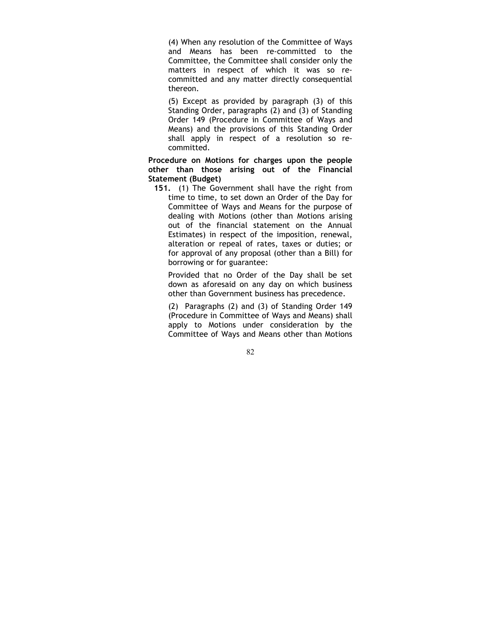(4) When any resolution of the Committee of Ways and Means has been re-committed to the Committee, the Committee shall consider only the matters in respect of which it was so recommitted and any matter directly consequential thereon.

(5) Except as provided by paragraph (3) of this Standing Order, paragraphs (2) and (3) of Standing Order 149 (Procedure in Committee of Ways and Means) and the provisions of this Standing Order shall apply in respect of a resolution so recommitted.

Procedure on Motions for charges upon the people other than those arising out of the Financial Statement (Budget)

151. (1) The Government shall have the right from time to time, to set down an Order of the Day for Committee of Ways and Means for the purpose of dealing with Motions (other than Motions arising out of the financial statement on the Annual Estimates) in respect of the imposition, renewal, alteration or repeal of rates, taxes or duties; or for approval of any proposal (other than a Bill) for borrowing or for guarantee:

Provided that no Order of the Day shall be set down as aforesaid on any day on which business other than Government business has precedence.

(2) Paragraphs (2) and (3) of Standing Order 149 (Procedure in Committee of Ways and Means) shall apply to Motions under consideration by the Committee of Ways and Means other than Motions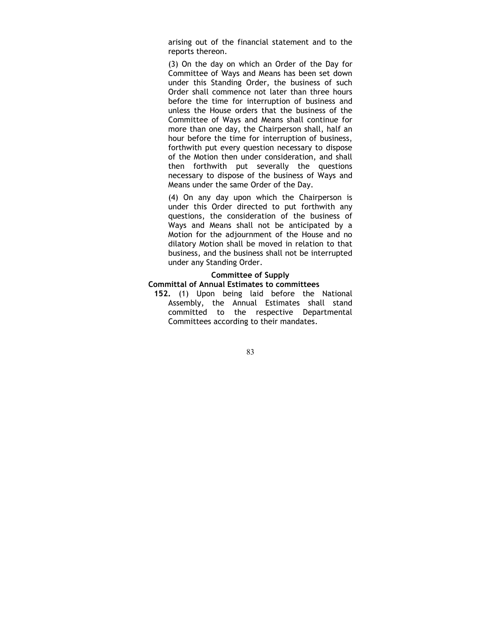arising out of the financial statement and to the reports thereon.

(3) On the day on which an Order of the Day for Committee of Ways and Means has been set down under this Standing Order, the business of such Order shall commence not later than three hours before the time for interruption of business and unless the House orders that the business of the Committee of Ways and Means shall continue for more than one day, the Chairperson shall, half an hour before the time for interruption of business, forthwith put every question necessary to dispose of the Motion then under consideration, and shall then forthwith put severally the questions necessary to dispose of the business of Ways and Means under the same Order of the Day.

(4) On any day upon which the Chairperson is under this Order directed to put forthwith any questions, the consideration of the business of Ways and Means shall not be anticipated by a Motion for the adjournment of the House and no dilatory Motion shall be moved in relation to that business, and the business shall not be interrupted under any Standing Order.

#### Committee of Supply Committal of Annual Estimates to committees

152. (1) Upon being laid before the National Assembly, the Annual Estimates shall stand committed to the respective Departmental Committees according to their mandates.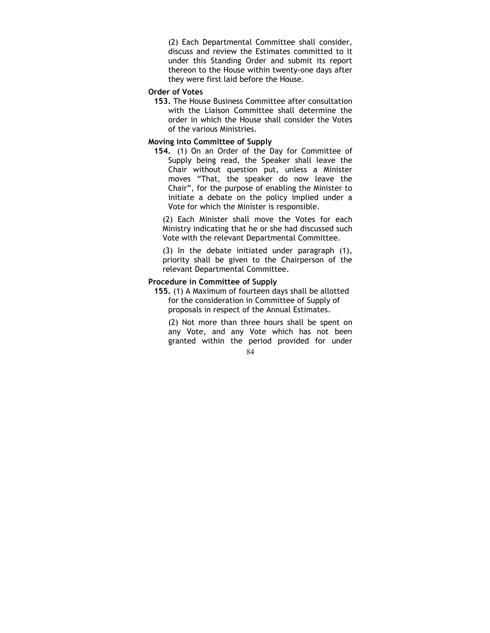(2) Each Departmental Committee shall consider, discuss and review the Estimates committed to it under this Standing Order and submit its report thereon to the House within twenty-one days after they were first laid before the House.

# Order of Votes

153. The House Business Committee after consultation with the Liaison Committee shall determine the order in which the House shall consider the Votes of the various Ministries.

#### Moving into Committee of Supply

154. (1) On an Order of the Day for Committee of Supply being read, the Speaker shall leave the Chair without question put, unless a Minister moves "That, the speaker do now leave the Chair", for the purpose of enabling the Minister to initiate a debate on the policy implied under a Vote for which the Minister is responsible.

(2) Each Minister shall move the Votes for each Ministry indicating that he or she had discussed such Vote with the relevant Departmental Committee.

(3) In the debate initiated under paragraph (1), priority shall be given to the Chairperson of the relevant Departmental Committee.

### Procedure in Committee of Supply

155. (1) A Maximum of fourteen days shall be allotted for the consideration in Committee of Supply of proposals in respect of the Annual Estimates.

(2) Not more than three hours shall be spent on any Vote, and any Vote which has not been granted within the period provided for under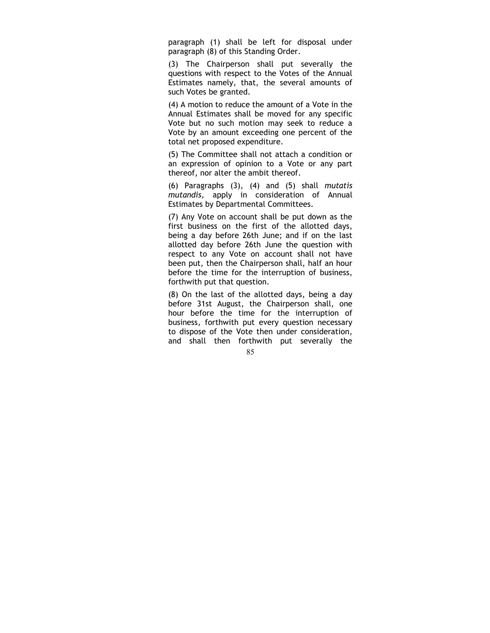paragraph (1) shall be left for disposal under paragraph (8) of this Standing Order.

(3) The Chairperson shall put severally the questions with respect to the Votes of the Annual Estimates namely, that, the several amounts of such Votes be granted.

(4) A motion to reduce the amount of a Vote in the Annual Estimates shall be moved for any specific Vote but no such motion may seek to reduce a Vote by an amount exceeding one percent of the total net proposed expenditure.

(5) The Committee shall not attach a condition or an expression of opinion to a Vote or any part thereof, nor alter the ambit thereof.

(6) Paragraphs (3), (4) and (5) shall mutatis mutandis, apply in consideration of Annual Estimates by Departmental Committees.

(7) Any Vote on account shall be put down as the first business on the first of the allotted days, being a day before 26th June; and if on the last allotted day before 26th June the question with respect to any Vote on account shall not have been put, then the Chairperson shall, half an hour before the time for the interruption of business, forthwith put that question.

(8) On the last of the allotted days, being a day before 31st August, the Chairperson shall, one hour before the time for the interruption of business, forthwith put every question necessary to dispose of the Vote then under consideration, and shall then forthwith put severally the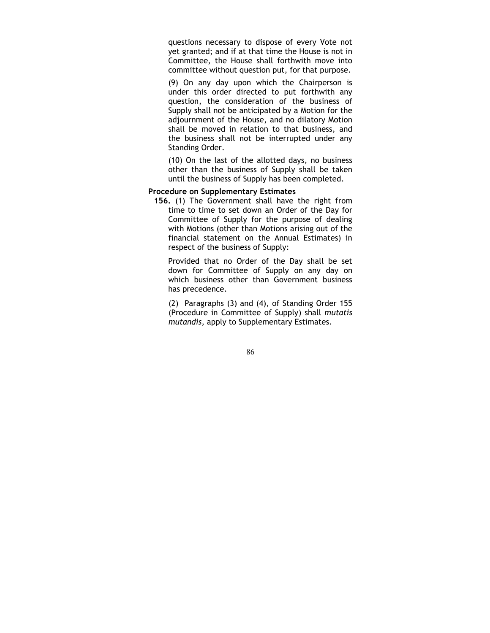questions necessary to dispose of every Vote not yet granted; and if at that time the House is not in Committee, the House shall forthwith move into committee without question put, for that purpose.

(9) On any day upon which the Chairperson is under this order directed to put forthwith any question, the consideration of the business of Supply shall not be anticipated by a Motion for the adjournment of the House, and no dilatory Motion shall be moved in relation to that business, and the business shall not be interrupted under any Standing Order.

(10) On the last of the allotted days, no business other than the business of Supply shall be taken until the business of Supply has been completed.

### Procedure on Supplementary Estimates

156. (1) The Government shall have the right from time to time to set down an Order of the Day for Committee of Supply for the purpose of dealing with Motions (other than Motions arising out of the financial statement on the Annual Estimates) in respect of the business of Supply:

Provided that no Order of the Day shall be set down for Committee of Supply on any day on which business other than Government business has precedence.

(2) Paragraphs (3) and (4), of Standing Order 155 (Procedure in Committee of Supply) shall mutatis mutandis, apply to Supplementary Estimates.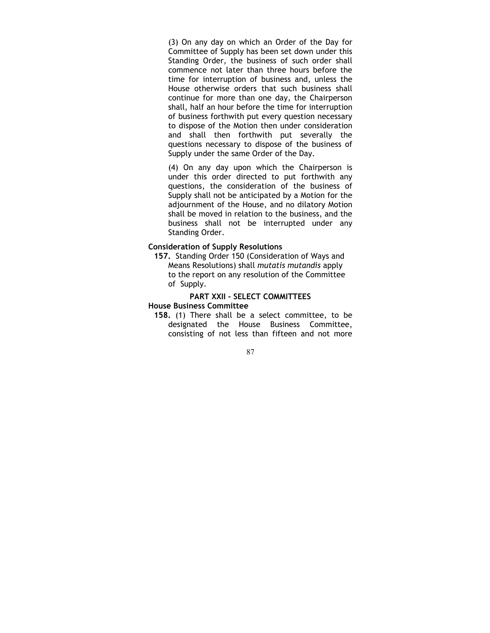(3) On any day on which an Order of the Day for Committee of Supply has been set down under this Standing Order, the business of such order shall commence not later than three hours before the time for interruption of business and, unless the House otherwise orders that such business shall continue for more than one day, the Chairperson shall, half an hour before the time for interruption of business forthwith put every question necessary to dispose of the Motion then under consideration and shall then forthwith put severally the questions necessary to dispose of the business of Supply under the same Order of the Day.

(4) On any day upon which the Chairperson is under this order directed to put forthwith any questions, the consideration of the business of Supply shall not be anticipated by a Motion for the adjournment of the House, and no dilatory Motion shall be moved in relation to the business, and the business shall not be interrupted under any Standing Order.

### Consideration of Supply Resolutions

157. Standing Order 150 (Consideration of Ways and Means Resolutions) shall mutatis mutandis apply to the report on any resolution of the Committee of Supply.

### PART XXII - SELECT COMMITTEES

#### House Business Committee

158. (1) There shall be a select committee, to be designated the House Business Committee, consisting of not less than fifteen and not more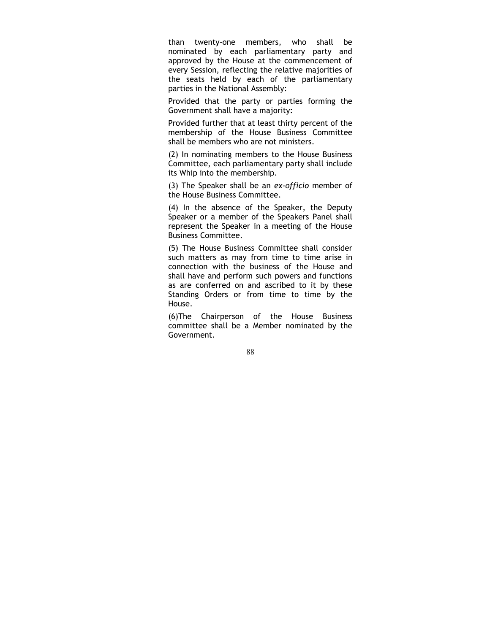than twenty-one members, who shall be nominated by each parliamentary party and approved by the House at the commencement of every Session, reflecting the relative majorities of the seats held by each of the parliamentary parties in the National Assembly:

Provided that the party or parties forming the Government shall have a majority:

Provided further that at least thirty percent of the membership of the House Business Committee shall be members who are not ministers.

(2) In nominating members to the House Business Committee, each parliamentary party shall include its Whip into the membership.

(3) The Speaker shall be an ex-officio member of the House Business Committee.

(4) In the absence of the Speaker, the Deputy Speaker or a member of the Speakers Panel shall represent the Speaker in a meeting of the House Business Committee.

(5) The House Business Committee shall consider such matters as may from time to time arise in connection with the business of the House and shall have and perform such powers and functions as are conferred on and ascribed to it by these Standing Orders or from time to time by the House.

(6)The Chairperson of the House Business committee shall be a Member nominated by the Government.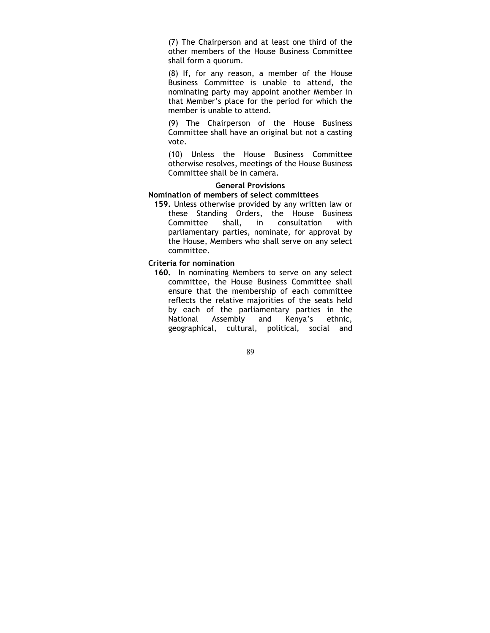(7) The Chairperson and at least one third of the other members of the House Business Committee shall form a quorum.

(8) If, for any reason, a member of the House Business Committee is unable to attend, the nominating party may appoint another Member in that Member's place for the period for which the member is unable to attend.

(9) The Chairperson of the House Business Committee shall have an original but not a casting vote.

(10) Unless the House Business Committee otherwise resolves, meetings of the House Business Committee shall be in camera.

### General Provisions

### Nomination of members of select committees

159. Unless otherwise provided by any written law or these Standing Orders, the House Business Committee shall, in consultation with parliamentary parties, nominate, for approval by the House, Members who shall serve on any select committee.

Criteria for nomination

160. In nominating Members to serve on any select committee, the House Business Committee shall ensure that the membership of each committee reflects the relative majorities of the seats held by each of the parliamentary parties in the National Assembly and Kenya's ethnic, geographical, cultural, political, social and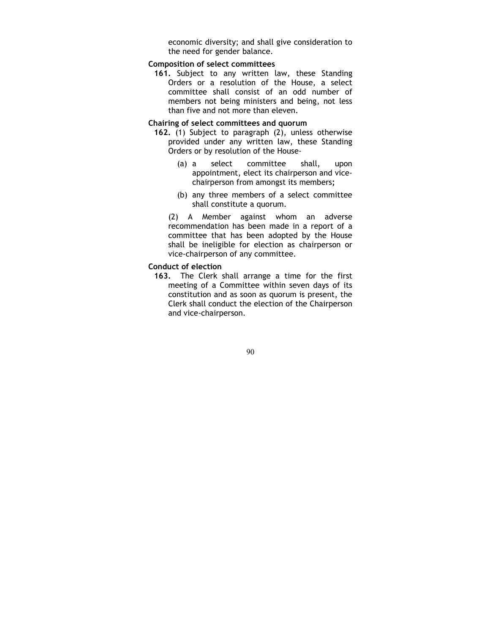economic diversity; and shall give consideration to the need for gender balance.

### Composition of select committees

161. Subject to any written law, these Standing Orders or a resolution of the House, a select committee shall consist of an odd number of members not being ministers and being, not less than five and not more than eleven.

### Chairing of select committees and quorum

- 162. (1) Subject to paragraph (2), unless otherwise provided under any written law, these Standing Orders or by resolution of the House-
	- (a) a select committee shall, upon appointment, elect its chairperson and vicechairperson from amongst its members;
	- (b) any three members of a select committee shall constitute a quorum.

(2) A Member against whom an adverse recommendation has been made in a report of a committee that has been adopted by the House shall be ineligible for election as chairperson or vice-chairperson of any committee.

#### Conduct of election

163. The Clerk shall arrange a time for the first meeting of a Committee within seven days of its constitution and as soon as quorum is present, the Clerk shall conduct the election of the Chairperson and vice-chairperson.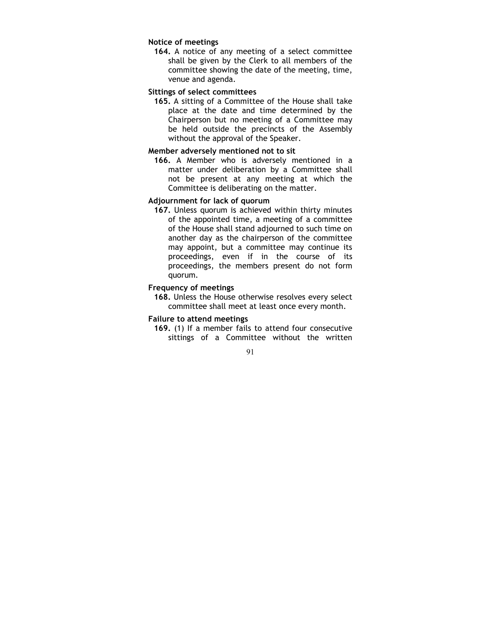# Notice of meetings

164. A notice of any meeting of a select committee shall be given by the Clerk to all members of the committee showing the date of the meeting, time, venue and agenda.

### Sittings of select committees

165. A sitting of a Committee of the House shall take place at the date and time determined by the Chairperson but no meeting of a Committee may be held outside the precincts of the Assembly without the approval of the Speaker.

### Member adversely mentioned not to sit

166. A Member who is adversely mentioned in a matter under deliberation by a Committee shall not be present at any meeting at which the Committee is deliberating on the matter.

### Adjournment for lack of quorum

167. Unless quorum is achieved within thirty minutes of the appointed time, a meeting of a committee of the House shall stand adjourned to such time on another day as the chairperson of the committee may appoint, but a committee may continue its proceedings, even if in the course of its proceedings, the members present do not form quorum.

### Frequency of meetings

168. Unless the House otherwise resolves every select committee shall meet at least once every month.

#### Failure to attend meetings

169. (1) If a member fails to attend four consecutive sittings of a Committee without the written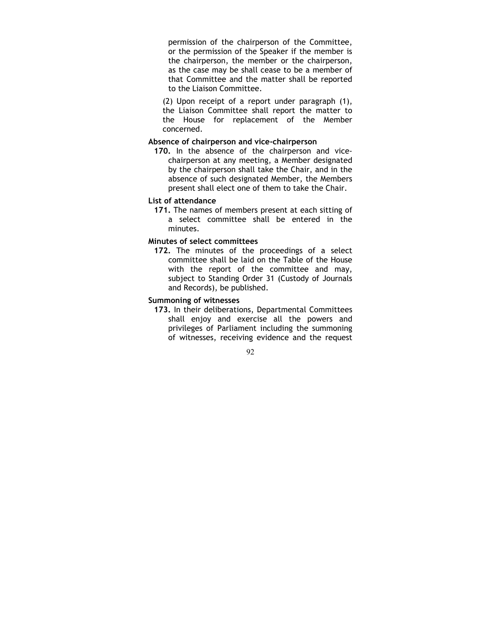permission of the chairperson of the Committee, or the permission of the Speaker if the member is the chairperson, the member or the chairperson, as the case may be shall cease to be a member of that Committee and the matter shall be reported to the Liaison Committee.

(2) Upon receipt of a report under paragraph (1), the Liaison Committee shall report the matter to the House for replacement of the Member concerned.

### Absence of chairperson and vice-chairperson

170. In the absence of the chairperson and vicechairperson at any meeting, a Member designated by the chairperson shall take the Chair, and in the absence of such designated Member, the Members present shall elect one of them to take the Chair.

#### List of attendance

171. The names of members present at each sitting of a select committee shall be entered in the minutes.

### Minutes of select committees

172. The minutes of the proceedings of a select committee shall be laid on the Table of the House with the report of the committee and may, subject to Standing Order 31 (Custody of Journals and Records), be published.

### Summoning of witnesses

173. In their deliberations, Departmental Committees shall enjoy and exercise all the powers and privileges of Parliament including the summoning of witnesses, receiving evidence and the request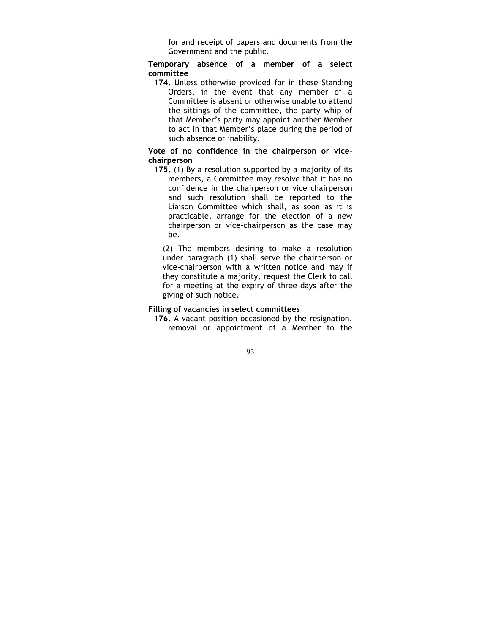for and receipt of papers and documents from the Government and the public.

Temporary absence of a member of a select committee

174. Unless otherwise provided for in these Standing Orders, in the event that any member of a Committee is absent or otherwise unable to attend the sittings of the committee, the party whip of that Member's party may appoint another Member to act in that Member's place during the period of such absence or inability.

### Vote of no confidence in the chairperson or vicechairperson

175. (1) By a resolution supported by a majority of its members, a Committee may resolve that it has no confidence in the chairperson or vice chairperson and such resolution shall be reported to the Liaison Committee which shall, as soon as it is practicable, arrange for the election of a new chairperson or vice-chairperson as the case may be.

(2) The members desiring to make a resolution under paragraph (1) shall serve the chairperson or vice-chairperson with a written notice and may if they constitute a majority, request the Clerk to call for a meeting at the expiry of three days after the giving of such notice.

### Filling of vacancies in select committees

176. A vacant position occasioned by the resignation, removal or appointment of a Member to the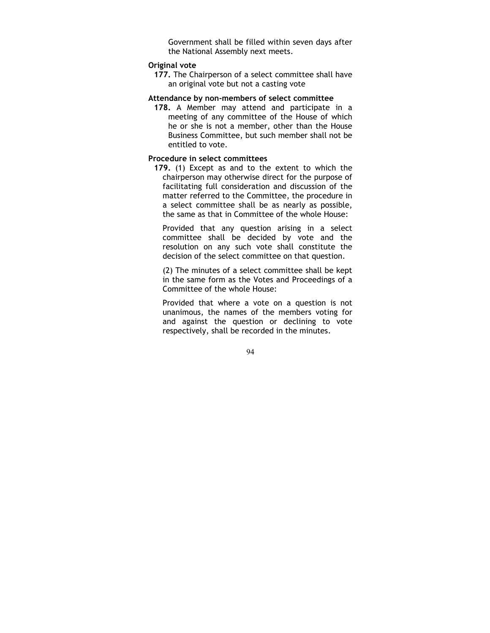Government shall be filled within seven days after the National Assembly next meets.

### Original vote

177. The Chairperson of a select committee shall have an original vote but not a casting vote

### Attendance by non-members of select committee

178. A Member may attend and participate in a meeting of any committee of the House of which he or she is not a member, other than the House Business Committee, but such member shall not be entitled to vote.

### Procedure in select committees

179. (1) Except as and to the extent to which the chairperson may otherwise direct for the purpose of facilitating full consideration and discussion of the matter referred to the Committee, the procedure in a select committee shall be as nearly as possible, the same as that in Committee of the whole House:

Provided that any question arising in a select committee shall be decided by vote and the resolution on any such vote shall constitute the decision of the select committee on that question.

(2) The minutes of a select committee shall be kept in the same form as the Votes and Proceedings of a Committee of the whole House:

Provided that where a vote on a question is not unanimous, the names of the members voting for and against the question or declining to vote respectively, shall be recorded in the minutes.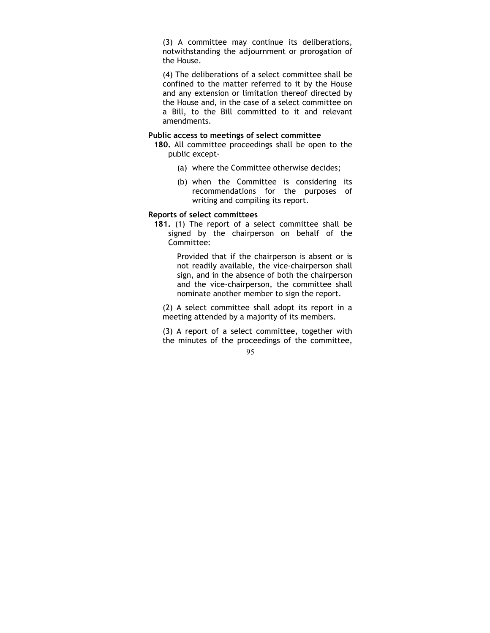(3) A committee may continue its deliberations, notwithstanding the adjournment or prorogation of the House.

(4) The deliberations of a select committee shall be confined to the matter referred to it by the House and any extension or limitation thereof directed by the House and, in the case of a select committee on a Bill, to the Bill committed to it and relevant amendments.

#### Public access to meetings of select committee

- 180. All committee proceedings shall be open to the public except-
	- (a) where the Committee otherwise decides;
	- (b) when the Committee is considering its recommendations for the purposes of writing and compiling its report.

#### Reports of select committees

181. (1) The report of a select committee shall be signed by the chairperson on behalf of the Committee:

> Provided that if the chairperson is absent or is not readily available, the vice-chairperson shall sign, and in the absence of both the chairperson and the vice-chairperson, the committee shall nominate another member to sign the report.

(2) A select committee shall adopt its report in a meeting attended by a majority of its members.

(3) A report of a select committee, together with the minutes of the proceedings of the committee,

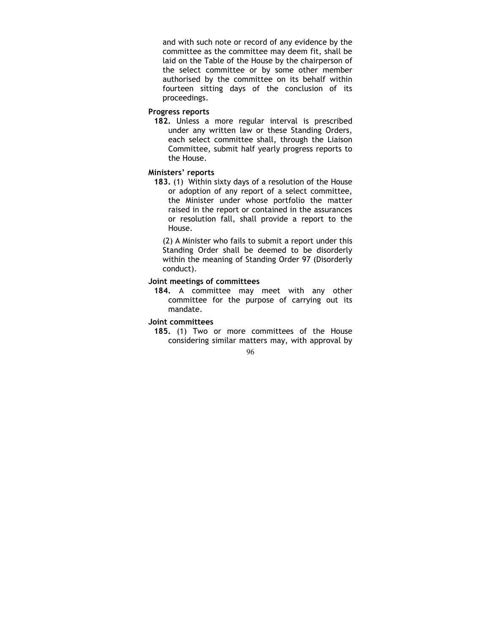and with such note or record of any evidence by the committee as the committee may deem fit, shall be laid on the Table of the House by the chairperson of the select committee or by some other member authorised by the committee on its behalf within fourteen sitting days of the conclusion of its proceedings.

## Progress reports

182. Unless a more regular interval is prescribed under any written law or these Standing Orders, each select committee shall, through the Liaison Committee, submit half yearly progress reports to the House.

#### Ministers' reports

183. (1) Within sixty days of a resolution of the House or adoption of any report of a select committee, the Minister under whose portfolio the matter raised in the report or contained in the assurances or resolution fall, shall provide a report to the House.

(2) A Minister who fails to submit a report under this Standing Order shall be deemed to be disorderly within the meaning of Standing Order 97 (Disorderly conduct).

# Joint meetings of committees

184. A committee may meet with any other committee for the purpose of carrying out its mandate.

# Joint committees

185. (1) Two or more committees of the House considering similar matters may, with approval by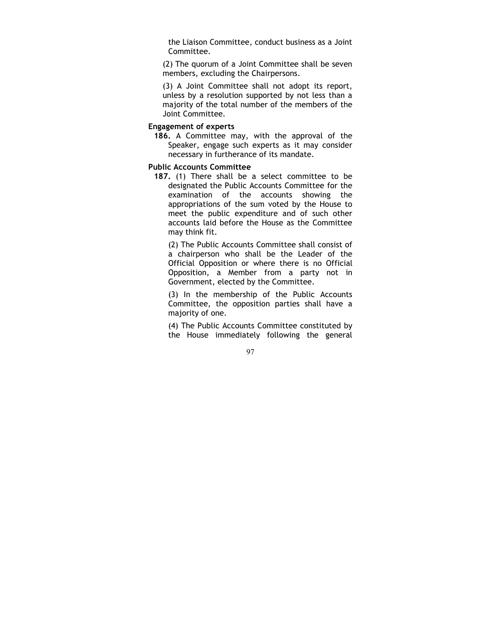the Liaison Committee, conduct business as a Joint Committee.

(2) The quorum of a Joint Committee shall be seven members, excluding the Chairpersons.

(3) A Joint Committee shall not adopt its report, unless by a resolution supported by not less than a majority of the total number of the members of the Joint Committee.

## Engagement of experts

186. A Committee may, with the approval of the Speaker, engage such experts as it may consider necessary in furtherance of its mandate.

# Public Accounts Committee

187. (1) There shall be a select committee to be designated the Public Accounts Committee for the examination of the accounts showing the appropriations of the sum voted by the House to meet the public expenditure and of such other accounts laid before the House as the Committee may think fit.

(2) The Public Accounts Committee shall consist of a chairperson who shall be the Leader of the Official Opposition or where there is no Official Opposition, a Member from a party not in Government, elected by the Committee.

(3) In the membership of the Public Accounts Committee, the opposition parties shall have a majority of one.

(4) The Public Accounts Committee constituted by the House immediately following the general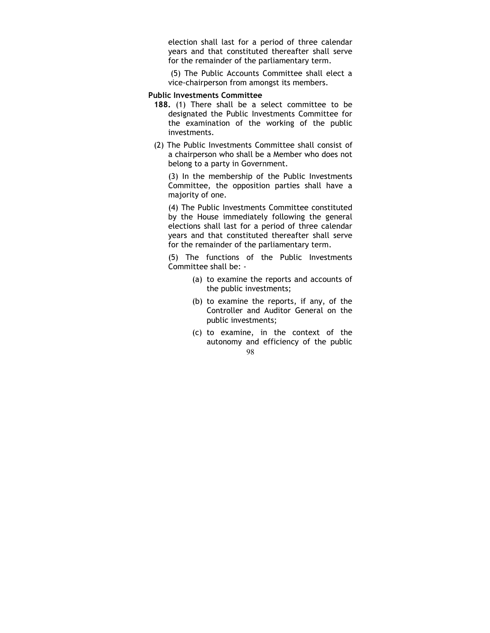election shall last for a period of three calendar years and that constituted thereafter shall serve for the remainder of the parliamentary term.

 (5) The Public Accounts Committee shall elect a vice-chairperson from amongst its members.

#### Public Investments Committee

- 188. (1) There shall be a select committee to be designated the Public Investments Committee for the examination of the working of the public investments.
- (2) The Public Investments Committee shall consist of a chairperson who shall be a Member who does not belong to a party in Government.

(3) In the membership of the Public Investments Committee, the opposition parties shall have a majority of one.

(4) The Public Investments Committee constituted by the House immediately following the general elections shall last for a period of three calendar years and that constituted thereafter shall serve for the remainder of the parliamentary term.

(5) The functions of the Public Investments Committee shall be: -

- (a) to examine the reports and accounts of the public investments;
- (b) to examine the reports, if any, of the Controller and Auditor General on the public investments;
- 98 (c) to examine, in the context of the autonomy and efficiency of the public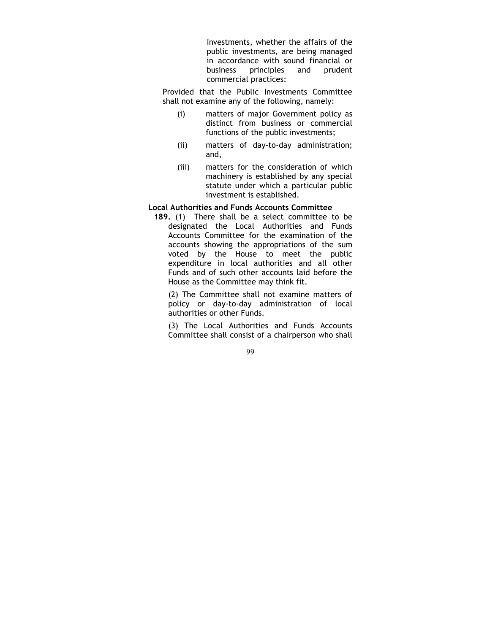investments, whether the affairs of the public investments, are being managed in accordance with sound financial or business principles and prudent commercial practices:

Provided that the Public Investments Committee shall not examine any of the following, namely:

- (i) matters of major Government policy as distinct from business or commercial functions of the public investments;
- (ii) matters of day-to-day administration; and,
- (iii) matters for the consideration of which machinery is established by any special statute under which a particular public investment is established.

# Local Authorities and Funds Accounts Committee

189. (1) There shall be a select committee to be designated the Local Authorities and Funds Accounts Committee for the examination of the accounts showing the appropriations of the sum voted by the House to meet the public expenditure in local authorities and all other Funds and of such other accounts laid before the House as the Committee may think fit.

(2) The Committee shall not examine matters of policy or day-to-day administration of local authorities or other Funds.

(3) The Local Authorities and Funds Accounts Committee shall consist of a chairperson who shall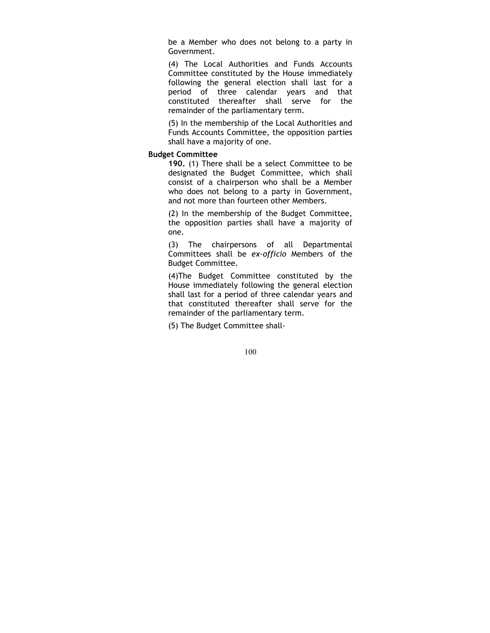be a Member who does not belong to a party in Government.

(4) The Local Authorities and Funds Accounts Committee constituted by the House immediately following the general election shall last for a period of three calendar years and that constituted thereafter shall serve for the remainder of the parliamentary term.

(5) In the membership of the Local Authorities and Funds Accounts Committee, the opposition parties shall have a majority of one.

## Budget Committee

190. (1) There shall be a select Committee to be designated the Budget Committee, which shall consist of a chairperson who shall be a Member who does not belong to a party in Government, and not more than fourteen other Members.

(2) In the membership of the Budget Committee, the opposition parties shall have a majority of one.

(3) The chairpersons of all Departmental Committees shall be ex-officio Members of the Budget Committee.

(4)The Budget Committee constituted by the House immediately following the general election shall last for a period of three calendar years and that constituted thereafter shall serve for the remainder of the parliamentary term.

(5) The Budget Committee shall-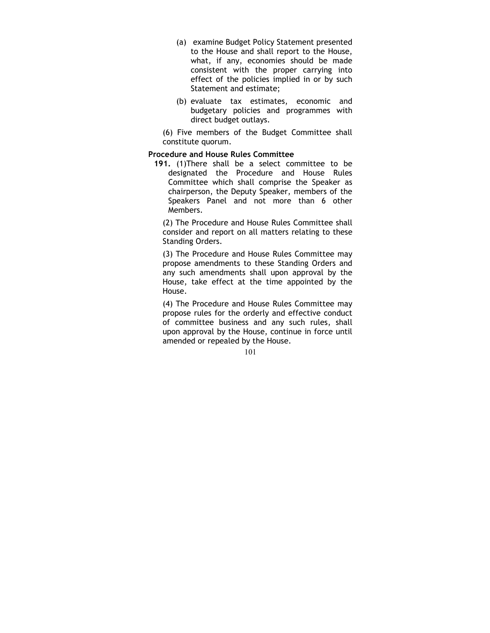- (a) examine Budget Policy Statement presented to the House and shall report to the House, what, if any, economies should be made consistent with the proper carrying into effect of the policies implied in or by such Statement and estimate;
- (b) evaluate tax estimates, economic and budgetary policies and programmes with direct budget outlays.

(6) Five members of the Budget Committee shall constitute quorum.

## Procedure and House Rules Committee

191. (1)There shall be a select committee to be designated the Procedure and House Rules Committee which shall comprise the Speaker as chairperson, the Deputy Speaker, members of the Speakers Panel and not more than 6 other Members.

(2) The Procedure and House Rules Committee shall consider and report on all matters relating to these Standing Orders.

(3) The Procedure and House Rules Committee may propose amendments to these Standing Orders and any such amendments shall upon approval by the House, take effect at the time appointed by the House.

(4) The Procedure and House Rules Committee may propose rules for the orderly and effective conduct of committee business and any such rules, shall upon approval by the House, continue in force until amended or repealed by the House.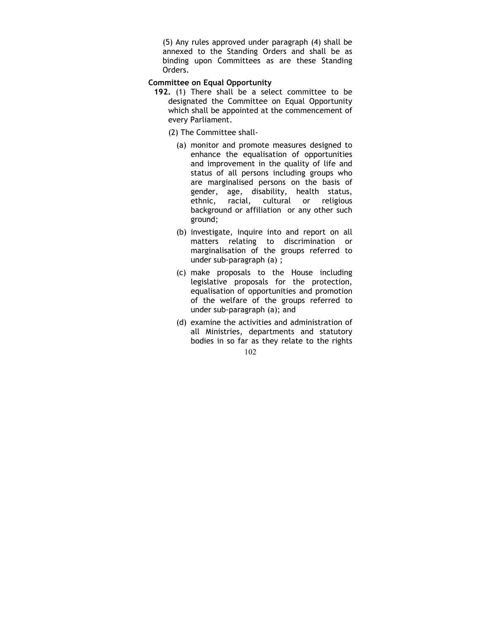(5) Any rules approved under paragraph (4) shall be annexed to the Standing Orders and shall be as binding upon Committees as are these Standing Orders.

# Committee on Equal Opportunity

- 192. (1) There shall be a select committee to be designated the Committee on Equal Opportunity which shall be appointed at the commencement of every Parliament.
	- (2) The Committee shall-
		- (a) monitor and promote measures designed to enhance the equalisation of opportunities and improvement in the quality of life and status of all persons including groups who are marginalised persons on the basis of gender, age, disability, health status, ethnic, racial, cultural or religious background or affiliation or any other such ground;
		- (b) investigate, inquire into and report on all matters relating to discrimination or marginalisation of the groups referred to under sub-paragraph (a) ;
		- (c) make proposals to the House including legislative proposals for the protection, equalisation of opportunities and promotion of the welfare of the groups referred to under sub-paragraph (a); and
		- 102 (d) examine the activities and administration of all Ministries, departments and statutory bodies in so far as they relate to the rights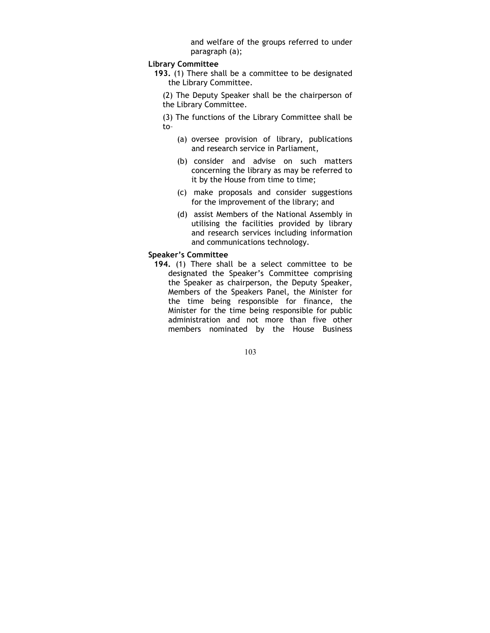and welfare of the groups referred to under paragraph (a);

## Library Committee

- 193. (1) There shall be a committee to be designated the Library Committee.
	- (2) The Deputy Speaker shall be the chairperson of the Library Committee.
	- (3) The functions of the Library Committee shall be to–
		- (a) oversee provision of library, publications and research service in Parliament,
		- (b) consider and advise on such matters concerning the library as may be referred to it by the House from time to time;
		- (c) make proposals and consider suggestions for the improvement of the library; and
		- (d) assist Members of the National Assembly in utilising the facilities provided by library and research services including information and communications technology.

#### Speaker's Committee

194. (1) There shall be a select committee to be designated the Speaker's Committee comprising the Speaker as chairperson, the Deputy Speaker, Members of the Speakers Panel, the Minister for the time being responsible for finance, the Minister for the time being responsible for public administration and not more than five other members nominated by the House Business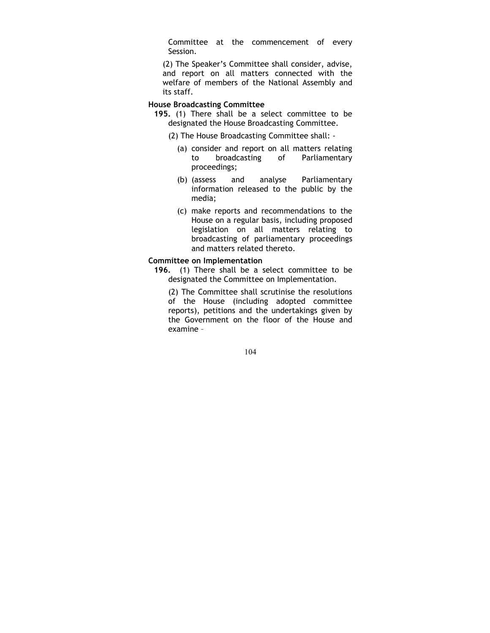Committee at the commencement of every Session.

(2) The Speaker's Committee shall consider, advise, and report on all matters connected with the welfare of members of the National Assembly and its staff.

## House Broadcasting Committee

- 195. (1) There shall be a select committee to be designated the House Broadcasting Committee.
	- (2) The House Broadcasting Committee shall:
		- (a) consider and report on all matters relating to broadcasting of Parliamentary proceedings;
		- (b) (assess and analyse Parliamentary information released to the public by the media;
		- (c) make reports and recommendations to the House on a regular basis, including proposed legislation on all matters relating to broadcasting of parliamentary proceedings and matters related thereto.

## Committee on Implementation

196. (1) There shall be a select committee to be designated the Committee on Implementation.

(2) The Committee shall scrutinise the resolutions of the House (including adopted committee reports), petitions and the undertakings given by the Government on the floor of the House and examine –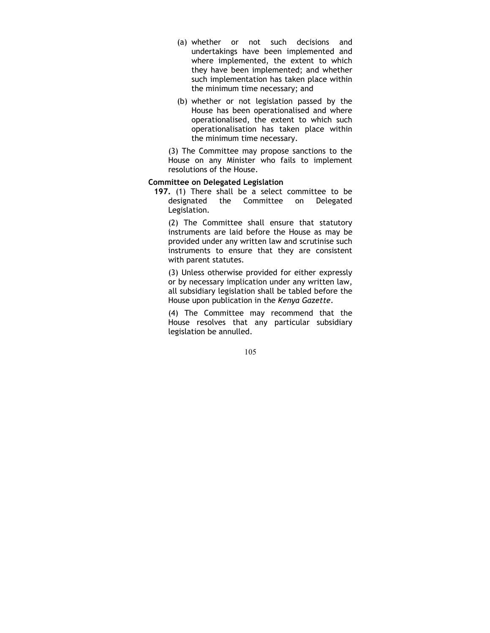- (a) whether or not such decisions and undertakings have been implemented and where implemented, the extent to which they have been implemented; and whether such implementation has taken place within the minimum time necessary; and
- (b) whether or not legislation passed by the House has been operationalised and where operationalised, the extent to which such operationalisation has taken place within the minimum time necessary.

(3) The Committee may propose sanctions to the House on any Minister who fails to implement resolutions of the House.

## Committee on Delegated Legislation

197. (1) There shall be a select committee to be designated the Committee on Delegated Legislation.

(2) The Committee shall ensure that statutory instruments are laid before the House as may be provided under any written law and scrutinise such instruments to ensure that they are consistent with parent statutes.

(3) Unless otherwise provided for either expressly or by necessary implication under any written law, all subsidiary legislation shall be tabled before the House upon publication in the Kenya Gazette.

(4) The Committee may recommend that the House resolves that any particular subsidiary legislation be annulled.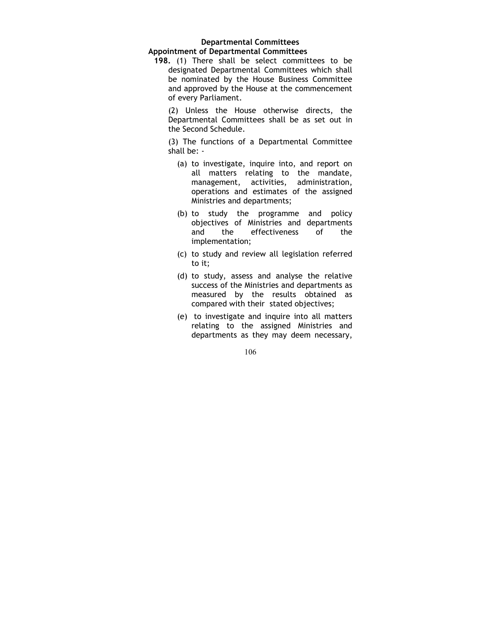## Departmental Committees Appointment of Departmental Committees

198. (1) There shall be select committees to be designated Departmental Committees which shall be nominated by the House Business Committee and approved by the House at the commencement of every Parliament.

(2) Unless the House otherwise directs, the Departmental Committees shall be as set out in the Second Schedule.

(3) The functions of a Departmental Committee shall be: -

- (a) to investigate, inquire into, and report on all matters relating to the mandate, management, activities, administration, operations and estimates of the assigned Ministries and departments;
- (b) to study the programme and policy objectives of Ministries and departments and the effectiveness of the implementation;
- (c) to study and review all legislation referred to it;
- (d) to study, assess and analyse the relative success of the Ministries and departments as measured by the results obtained as compared with their stated objectives;
- (e) to investigate and inquire into all matters relating to the assigned Ministries and departments as they may deem necessary,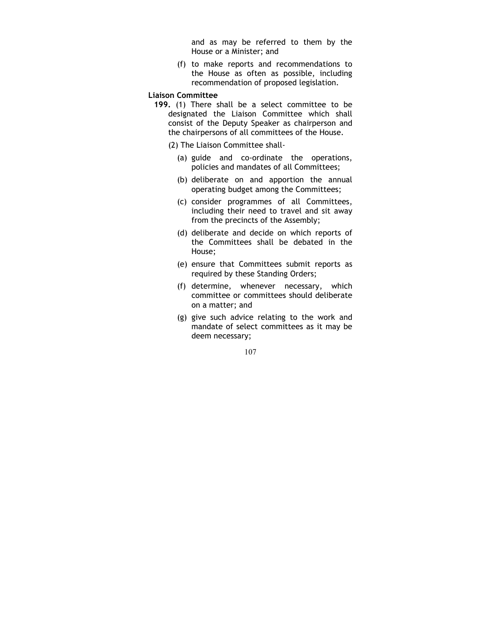and as may be referred to them by the House or a Minister; and

(f) to make reports and recommendations to the House as often as possible, including recommendation of proposed legislation.

#### Liaison Committee

- 199. (1) There shall be a select committee to be designated the Liaison Committee which shall consist of the Deputy Speaker as chairperson and the chairpersons of all committees of the House.
	- (2) The Liaison Committee shall-
		- (a) guide and co-ordinate the operations, policies and mandates of all Committees;
		- (b) deliberate on and apportion the annual operating budget among the Committees;
		- (c) consider programmes of all Committees, including their need to travel and sit away from the precincts of the Assembly;
		- (d) deliberate and decide on which reports of the Committees shall be debated in the House;
		- (e) ensure that Committees submit reports as required by these Standing Orders;
		- (f) determine, whenever necessary, which committee or committees should deliberate on a matter; and
		- (g) give such advice relating to the work and mandate of select committees as it may be deem necessary;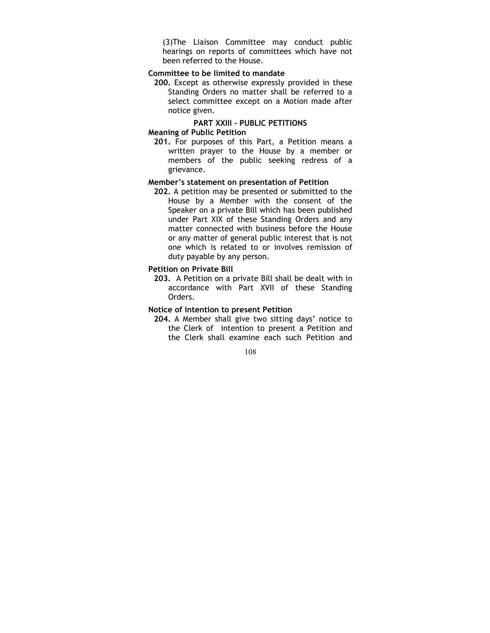(3)The Liaison Committee may conduct public hearings on reports of committees which have not been referred to the House.

## Committee to be limited to mandate

200. Except as otherwise expressly provided in these Standing Orders no matter shall be referred to a select committee except on a Motion made after notice given.

# PART XXIII - PUBLIC PETITIONS

# Meaning of Public Petition

201. For purposes of this Part, a Petition means a written prayer to the House by a member or members of the public seeking redress of a grievance.

## Member's statement on presentation of Petition

202. A petition may be presented or submitted to the House by a Member with the consent of the Speaker on a private Bill which has been published under Part XIX of these Standing Orders and any matter connected with business before the House or any matter of general public interest that is not one which is related to or involves remission of duty payable by any person.

#### Petition on Private Bill

203. A Petition on a private Bill shall be dealt with in accordance with Part XVII of these Standing Orders.

## Notice of intention to present Petition

204. A Member shall give two sitting days' notice to the Clerk of intention to present a Petition and the Clerk shall examine each such Petition and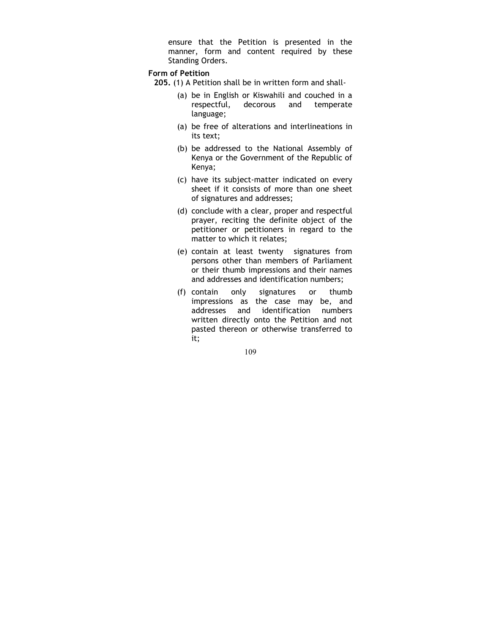ensure that the Petition is presented in the manner, form and content required by these Standing Orders.

## Form of Petition

- 205. (1) A Petition shall be in written form and shall-
	- (a) be in English or Kiswahili and couched in a respectful, decorous and temperate language;
	- (a) be free of alterations and interlineations in its text;
	- (b) be addressed to the National Assembly of Kenya or the Government of the Republic of Kenya;
	- (c) have its subject-matter indicated on every sheet if it consists of more than one sheet of signatures and addresses;
	- (d) conclude with a clear, proper and respectful prayer, reciting the definite object of the petitioner or petitioners in regard to the matter to which it relates;
	- (e) contain at least twenty signatures from persons other than members of Parliament or their thumb impressions and their names and addresses and identification numbers;
	- (f) contain only signatures or thumb impressions as the case may be, and addresses and identification numbers written directly onto the Petition and not pasted thereon or otherwise transferred to it;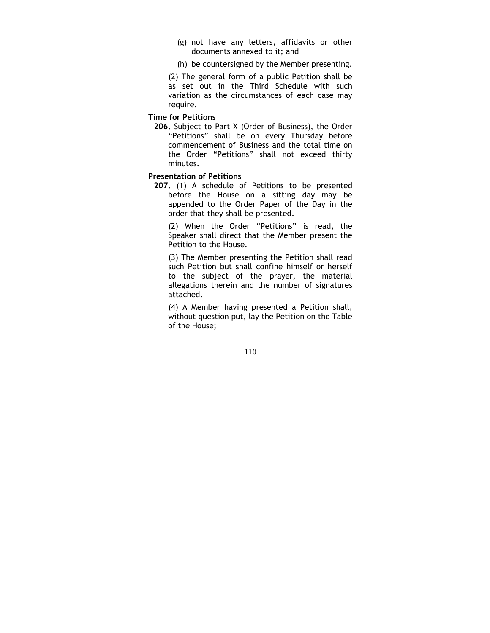- (g) not have any letters, affidavits or other documents annexed to it; and
- (h) be countersigned by the Member presenting.

(2) The general form of a public Petition shall be as set out in the Third Schedule with such variation as the circumstances of each case may require.

Time for Petitions

206. Subject to Part X (Order of Business), the Order "Petitions" shall be on every Thursday before commencement of Business and the total time on the Order "Petitions" shall not exceed thirty minutes.

# Presentation of Petitions

207. (1) A schedule of Petitions to be presented before the House on a sitting day may be appended to the Order Paper of the Day in the order that they shall be presented.

(2) When the Order "Petitions" is read, the Speaker shall direct that the Member present the Petition to the House.

(3) The Member presenting the Petition shall read such Petition but shall confine himself or herself to the subject of the prayer, the material allegations therein and the number of signatures attached.

(4) A Member having presented a Petition shall, without question put, lay the Petition on the Table of the House;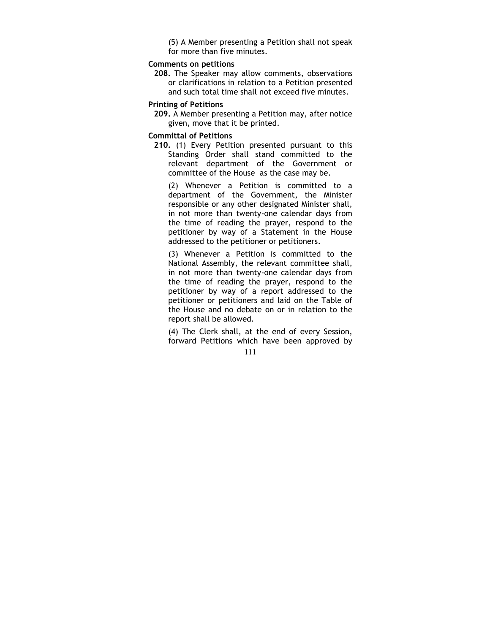(5) A Member presenting a Petition shall not speak for more than five minutes.

## Comments on petitions

208. The Speaker may allow comments, observations or clarifications in relation to a Petition presented and such total time shall not exceed five minutes.

## Printing of Petitions

209. A Member presenting a Petition may, after notice given, move that it be printed.

#### Committal of Petitions

210. (1) Every Petition presented pursuant to this Standing Order shall stand committed to the relevant department of the Government or committee of the House as the case may be.

(2) Whenever a Petition is committed to a department of the Government, the Minister responsible or any other designated Minister shall, in not more than twenty-one calendar days from the time of reading the prayer, respond to the petitioner by way of a Statement in the House addressed to the petitioner or petitioners.

(3) Whenever a Petition is committed to the National Assembly, the relevant committee shall, in not more than twenty-one calendar days from the time of reading the prayer, respond to the petitioner by way of a report addressed to the petitioner or petitioners and laid on the Table of the House and no debate on or in relation to the report shall be allowed.

(4) The Clerk shall, at the end of every Session, forward Petitions which have been approved by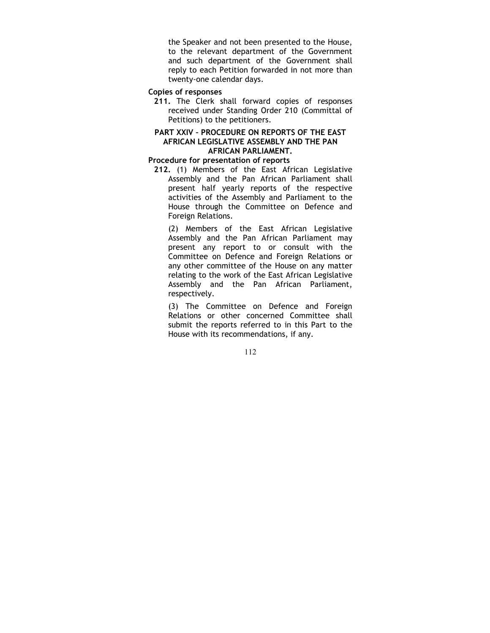the Speaker and not been presented to the House, to the relevant department of the Government and such department of the Government shall reply to each Petition forwarded in not more than twenty-one calendar days.

## Copies of responses

211. The Clerk shall forward copies of responses received under Standing Order 210 (Committal of Petitions) to the petitioners.

## PART XXIV – PROCEDURE ON REPORTS OF THE EAST AFRICAN LEGISLATIVE ASSEMBLY AND THE PAN AFRICAN PARLIAMENT.

#### Procedure for presentation of reports

212. (1) Members of the East African Legislative Assembly and the Pan African Parliament shall present half yearly reports of the respective activities of the Assembly and Parliament to the House through the Committee on Defence and Foreign Relations.

(2) Members of the East African Legislative Assembly and the Pan African Parliament may present any report to or consult with the Committee on Defence and Foreign Relations or any other committee of the House on any matter relating to the work of the East African Legislative Assembly and the Pan African Parliament, respectively.

(3) The Committee on Defence and Foreign Relations or other concerned Committee shall submit the reports referred to in this Part to the House with its recommendations, if any.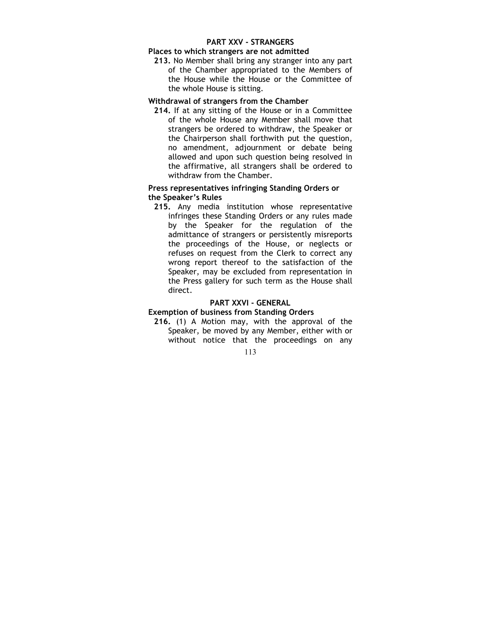## PART XXV - STRANGERS

#### Places to which strangers are not admitted

213. No Member shall bring any stranger into any part of the Chamber appropriated to the Members of the House while the House or the Committee of the whole House is sitting.

## Withdrawal of strangers from the Chamber

214. If at any sitting of the House or in a Committee of the whole House any Member shall move that strangers be ordered to withdraw, the Speaker or the Chairperson shall forthwith put the question, no amendment, adjournment or debate being allowed and upon such question being resolved in the affirmative, all strangers shall be ordered to withdraw from the Chamber.

## Press representatives infringing Standing Orders or the Speaker's Rules

215. Any media institution whose representative infringes these Standing Orders or any rules made by the Speaker for the regulation of the admittance of strangers or persistently misreports the proceedings of the House, or neglects or refuses on request from the Clerk to correct any wrong report thereof to the satisfaction of the Speaker, may be excluded from representation in the Press gallery for such term as the House shall direct.

## PART XXVI - GENERAL

# Exemption of business from Standing Orders

216. (1) A Motion may, with the approval of the Speaker, be moved by any Member, either with or without notice that the proceedings on any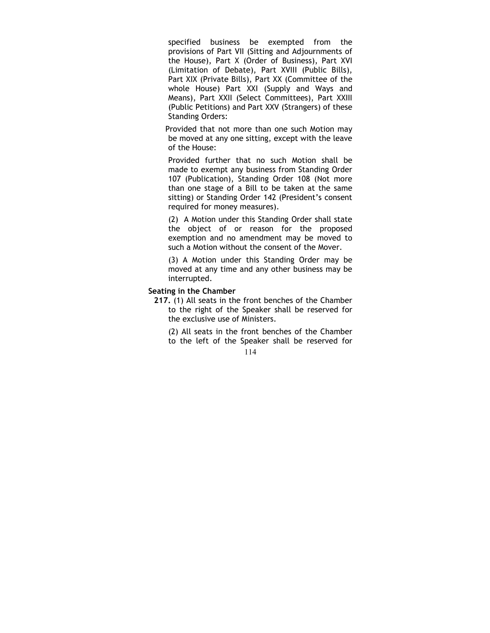specified business be exempted from the provisions of Part VII (Sitting and Adjournments of the House), Part X (Order of Business), Part XVI (Limitation of Debate), Part XVIII (Public Bills), Part XIX (Private Bills), Part XX (Committee of the whole House) Part XXI (Supply and Ways and Means), Part XXII (Select Committees), Part XXIII (Public Petitions) and Part XXV (Strangers) of these Standing Orders:

Provided that not more than one such Motion may be moved at any one sitting, except with the leave of the House:

Provided further that no such Motion shall be made to exempt any business from Standing Order 107 (Publication), Standing Order 108 (Not more than one stage of a Bill to be taken at the same sitting) or Standing Order 142 (President's consent required for money measures).

(2) A Motion under this Standing Order shall state the object of or reason for the proposed exemption and no amendment may be moved to such a Motion without the consent of the Mover.

(3) A Motion under this Standing Order may be moved at any time and any other business may be interrupted.

#### Seating in the Chamber

- 217. (1) All seats in the front benches of the Chamber to the right of the Speaker shall be reserved for the exclusive use of Ministers.
	- (2) All seats in the front benches of the Chamber to the left of the Speaker shall be reserved for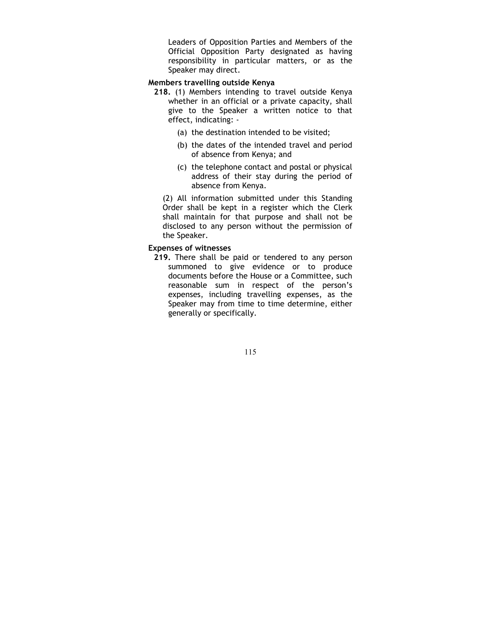Leaders of Opposition Parties and Members of the Official Opposition Party designated as having responsibility in particular matters, or as the Speaker may direct.

## Members travelling outside Kenya

- 218. (1) Members intending to travel outside Kenya whether in an official or a private capacity, shall give to the Speaker a written notice to that effect, indicating: -
	- (a) the destination intended to be visited;
	- (b) the dates of the intended travel and period of absence from Kenya; and
	- (c) the telephone contact and postal or physical address of their stay during the period of absence from Kenya.

(2) All information submitted under this Standing Order shall be kept in a register which the Clerk shall maintain for that purpose and shall not be disclosed to any person without the permission of the Speaker.

## Expenses of witnesses

219. There shall be paid or tendered to any person summoned to give evidence or to produce documents before the House or a Committee, such reasonable sum in respect of the person's expenses, including travelling expenses, as the Speaker may from time to time determine, either generally or specifically.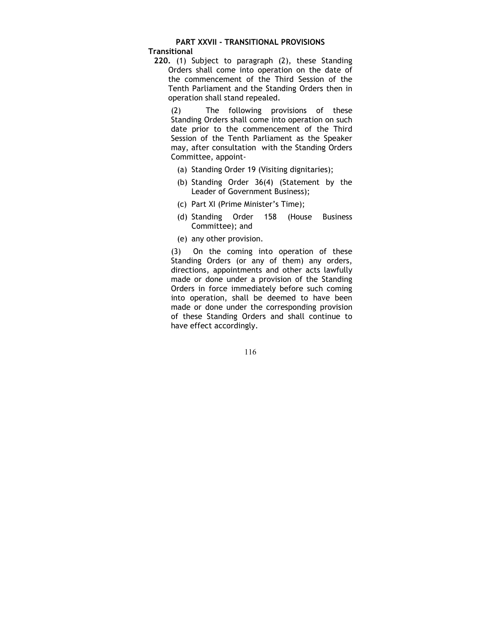# PART XXVII - TRANSITIONAL PROVISIONS

**Transitional** 

220. (1) Subject to paragraph (2), these Standing Orders shall come into operation on the date of the commencement of the Third Session of the Tenth Parliament and the Standing Orders then in operation shall stand repealed.

(2) The following provisions of these Standing Orders shall come into operation on such date prior to the commencement of the Third Session of the Tenth Parliament as the Speaker may, after consultation with the Standing Orders Committee, appoint-

- (a) Standing Order 19 (Visiting dignitaries);
- (b) Standing Order 36(4) (Statement by the Leader of Government Business);
- (c) Part XI (Prime Minister's Time);
- (d) Standing Order 158 (House Business Committee); and
- (e) any other provision.

(3) On the coming into operation of these Standing Orders (or any of them) any orders, directions, appointments and other acts lawfully made or done under a provision of the Standing Orders in force immediately before such coming into operation, shall be deemed to have been made or done under the corresponding provision of these Standing Orders and shall continue to have effect accordingly.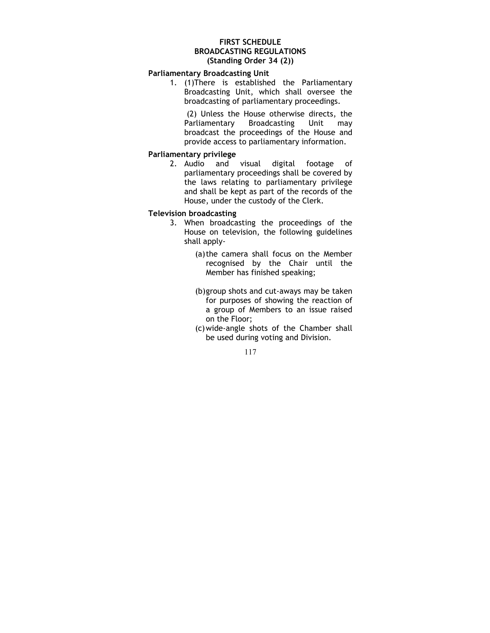## FIRST SCHEDULE BROADCASTING REGULATIONS (Standing Order 34 (2))

## Parliamentary Broadcasting Unit

1. (1)There is established the Parliamentary Broadcasting Unit, which shall oversee the broadcasting of parliamentary proceedings.

(2) Unless the House otherwise directs, the<br>Parliamentary Broadcasting Unit may Parliamentary Broadcasting Unit may broadcast the proceedings of the House and provide access to parliamentary information.

# Parliamentary privilege

2. Audio and visual digital footage of parliamentary proceedings shall be covered by the laws relating to parliamentary privilege and shall be kept as part of the records of the House, under the custody of the Clerk.

## Television broadcasting

- 3. When broadcasting the proceedings of the House on television, the following guidelines shall apply-
	- (a)the camera shall focus on the Member recognised by the Chair until the Member has finished speaking;
	- (b)group shots and cut-aways may be taken for purposes of showing the reaction of a group of Members to an issue raised on the Floor;
	- (c)wide-angle shots of the Chamber shall be used during voting and Division.

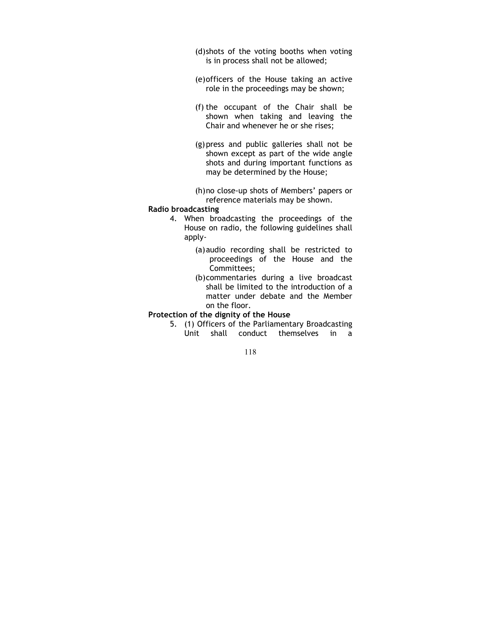(d)shots of the voting booths when voting is in process shall not be allowed;

- (e)officers of the House taking an active role in the proceedings may be shown;
- (f) the occupant of the Chair shall be shown when taking and leaving the Chair and whenever he or she rises;
- (g)press and public galleries shall not be shown except as part of the wide angle shots and during important functions as may be determined by the House;
- (h)no close-up shots of Members' papers or reference materials may be shown.

#### Radio broadcasting

- 4. When broadcasting the proceedings of the House on radio, the following guidelines shall apply-
	- (a)audio recording shall be restricted to proceedings of the House and the Committees;
	- (b)commentaries during a live broadcast shall be limited to the introduction of a matter under debate and the Member on the floor.

#### Protection of the dignity of the House

5. (1) Officers of the Parliamentary Broadcasting Unit shall conduct themselves in a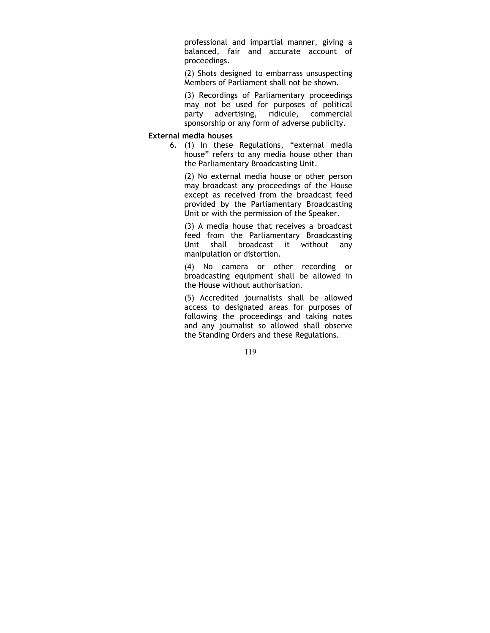professional and impartial manner, giving a balanced, fair and accurate account of proceedings.

(2) Shots designed to embarrass unsuspecting Members of Parliament shall not be shown.

(3) Recordings of Parliamentary proceedings may not be used for purposes of political party advertising, ridicule, commercial sponsorship or any form of adverse publicity.

#### External media houses

6. (1) In these Regulations, "external media house" refers to any media house other than the Parliamentary Broadcasting Unit.

(2) No external media house or other person may broadcast any proceedings of the House except as received from the broadcast feed provided by the Parliamentary Broadcasting Unit or with the permission of the Speaker.

(3) A media house that receives a broadcast feed from the Parliamentary Broadcasting Unit shall broadcast it without any manipulation or distortion.

(4) No camera or other recording or broadcasting equipment shall be allowed in the House without authorisation.

(5) Accredited journalists shall be allowed access to designated areas for purposes of following the proceedings and taking notes and any journalist so allowed shall observe the Standing Orders and these Regulations.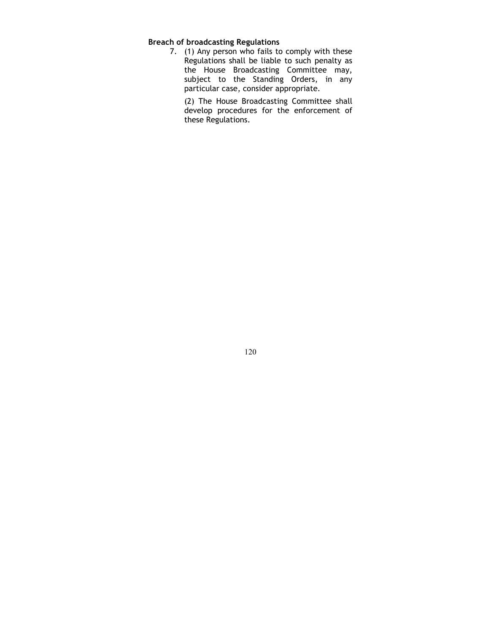# Breach of broadcasting Regulations

7. (1) Any person who fails to comply with these Regulations shall be liable to such penalty as the House Broadcasting Committee may, subject to the Standing Orders, in any particular case, consider appropriate.

(2) The House Broadcasting Committee shall develop procedures for the enforcement of these Regulations.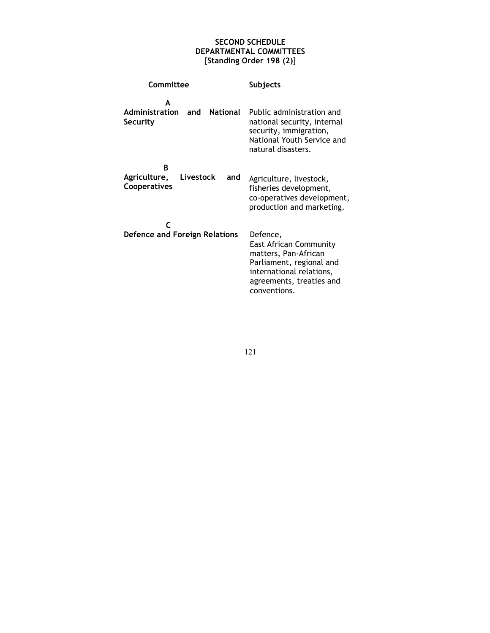# SECOND SCHEDULE DEPARTMENTAL COMMITTEES [Standing Order 198 (2)]

| Committee                                              | <b>Subjects</b>                                                                                                                                                       |
|--------------------------------------------------------|-----------------------------------------------------------------------------------------------------------------------------------------------------------------------|
| Δ<br><b>Administration</b><br>and National<br>Security | Public administration and<br>national security, internal<br>security, immigration,<br>National Youth Service and<br>natural disasters.                                |
| B<br>Agriculture,<br>Livestock<br>and<br>Cooperatives  | Agriculture, livestock,<br>fisheries development,<br>co-operatives development,<br>production and marketing.                                                          |
| Defence and Foreign Relations                          | Defence,<br><b>East African Community</b><br>matters, Pan-African<br>Parliament, regional and<br>international relations,<br>agreements, treaties and<br>conventions. |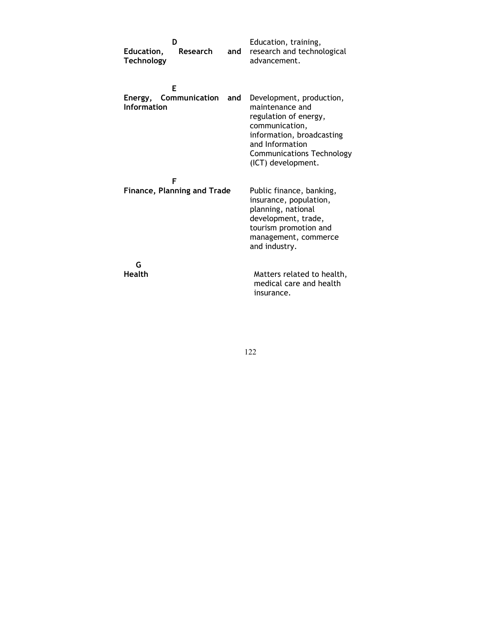| Education,<br><b>Technology</b> | ח<br><b>Research</b>                    | and | Education, training,<br>research and technological<br>advancement.                                                                                                                               |
|---------------------------------|-----------------------------------------|-----|--------------------------------------------------------------------------------------------------------------------------------------------------------------------------------------------------|
| Information                     | F<br>Energy, Communication and          |     | Development, production,<br>maintenance and<br>regulation of energy,<br>communication,<br>information, broadcasting<br>and Information<br><b>Communications Technology</b><br>(ICT) development. |
|                                 | F<br><b>Finance, Planning and Trade</b> |     | Public finance, banking,<br>insurance, population,<br>planning, national<br>development, trade,<br>tourism promotion and<br>management, commerce<br>and industry.                                |
| G<br><b>Health</b>              |                                         |     | Matters related to health,<br>medical care and health<br>insurance.                                                                                                                              |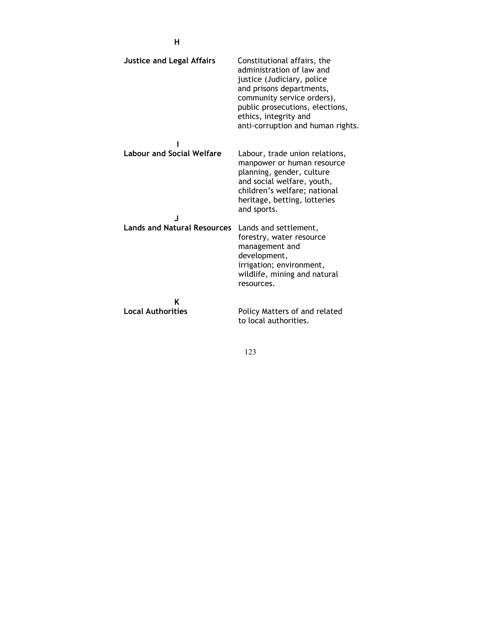| <b>Justice and Legal Affairs</b>   | Constitutional affairs, the<br>administration of law and<br>justice (Judiciary, police<br>and prisons departments,<br>community service orders),<br>public prosecutions, elections,<br>ethics, integrity and<br>anti-corruption and human rights. |
|------------------------------------|---------------------------------------------------------------------------------------------------------------------------------------------------------------------------------------------------------------------------------------------------|
| <b>Labour and Social Welfare</b>   | Labour, trade union relations,<br>manpower or human resource<br>planning, gender, culture<br>and social welfare, youth,<br>children's welfare; national<br>heritage, betting, lotteries<br>and sports.                                            |
| <b>Lands and Natural Resources</b> | Lands and settlement,<br>forestry, water resource<br>management and<br>development,<br>irrigation; environment,<br>wildlife, mining and natural<br>resources.                                                                                     |
| K<br><b>Local Authorities</b>      | Policy Matters of and related<br>to local authorities.                                                                                                                                                                                            |

123

H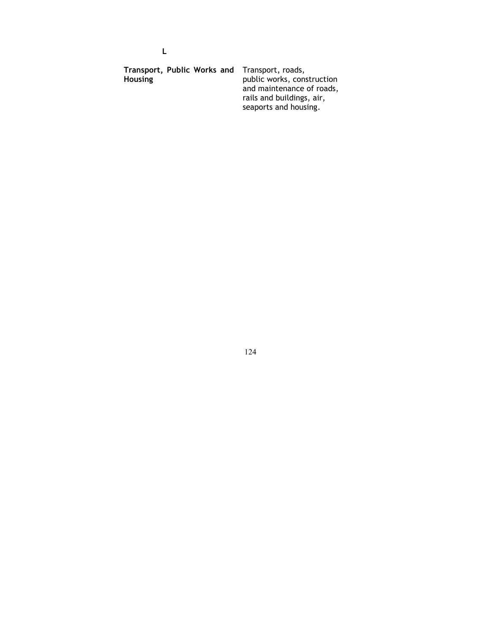| Transport, Public Works and Transport, roads, |                            |
|-----------------------------------------------|----------------------------|
| <b>Housing</b>                                | public works, construction |
|                                               | and maintenance of roads,  |
|                                               | rails and buildings, air,  |
|                                               | seaports and housing.      |

L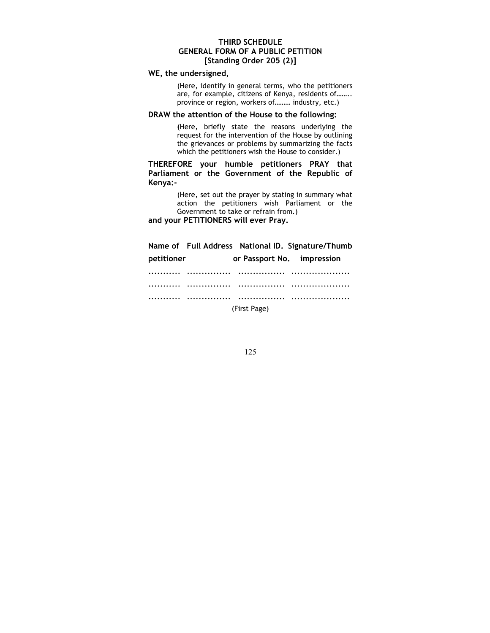## THIRD SCHEDULE GENERAL FORM OF A PUBLIC PETITION [Standing Order 205 (2)]

# WE, the undersigned,

(Here, identify in general terms, who the petitioners are, for example, citizens of Kenya, residents of…….. province or region, workers of……… industry, etc.)

## DRAW the attention of the House to the following:

(Here, briefly state the reasons underlying the request for the intervention of the House by outlining the grievances or problems by summarizing the facts which the petitioners wish the House to consider.)

THEREFORE your humble petitioners PRAY that Parliament or the Government of the Republic of Kenya:-

> (Here, set out the prayer by stating in summary what action the petitioners wish Parliament or the Government to take or refrain from.)

and your PETITIONERS will ever Pray.

|            |   | Name of Full Address National ID. Signature/Thumb |   |
|------------|---|---------------------------------------------------|---|
| petitioner |   | or Passport No. impression                        |   |
|            |   | .                                                 |   |
|            | . | .                                                 | . |
|            |   |                                                   |   |

(First Page)